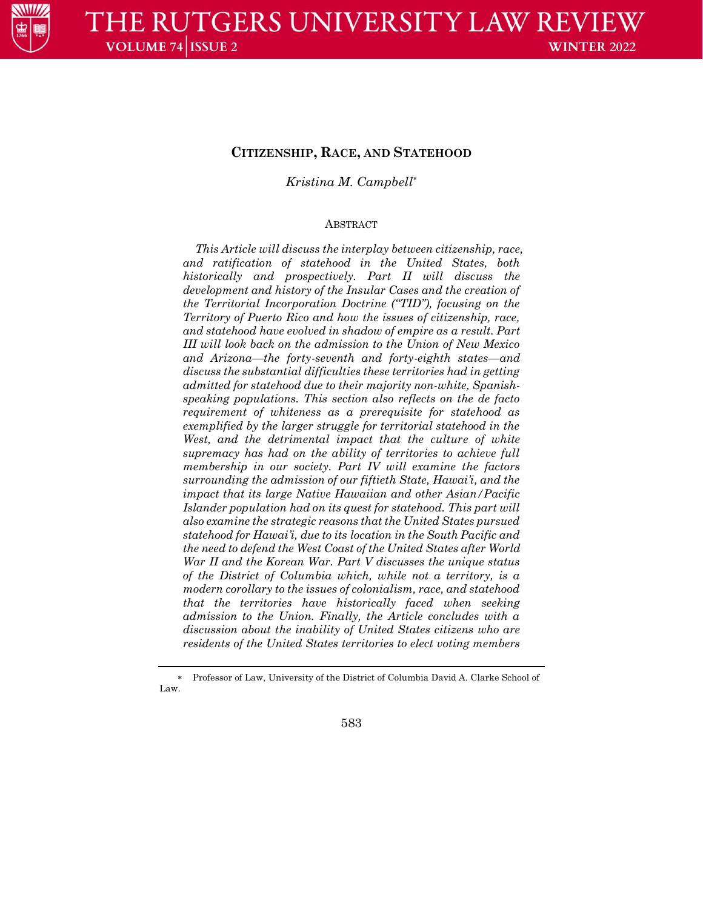

# *Kristina M. Campbell*

## ABSTRACT

*This Article will discuss the interplay between citizenship, race, and ratification of statehood in the United States, both historically and prospectively. Part II will discuss the development and history of the Insular Cases and the creation of the Territorial Incorporation Doctrine ("TID"), focusing on the Territory of Puerto Rico and how the issues of citizenship, race, and statehood have evolved in shadow of empire as a result. Part III will look back on the admission to the Union of New Mexico and Arizona—the forty-seventh and forty-eighth states—and discuss the substantial difficulties these territories had in getting admitted for statehood due to their majority non-white, Spanishspeaking populations. This section also reflects on the de facto requirement of whiteness as a prerequisite for statehood as exemplified by the larger struggle for territorial statehood in the*  West, and the detrimental impact that the culture of white *supremacy has had on the ability of territories to achieve full membership in our society. Part IV will examine the factors surrounding the admission of our fiftieth State, Hawai'i, and the impact that its large Native Hawaiian and other Asian/Pacific Islander population had on its quest for statehood. This part will also examine the strategic reasons that the United States pursued statehood for Hawai'i, due to its location in the South Pacific and the need to defend the West Coast of the United States after World War II and the Korean War. Part V discusses the unique status of the District of Columbia which, while not a territory, is a modern corollary to the issues of colonialism, race, and statehood that the territories have historically faced when seeking admission to the Union. Finally, the Article concludes with a discussion about the inability of United States citizens who are residents of the United States territories to elect voting members* 

 Professor of Law, University of the District of Columbia David A. Clarke School of Law.

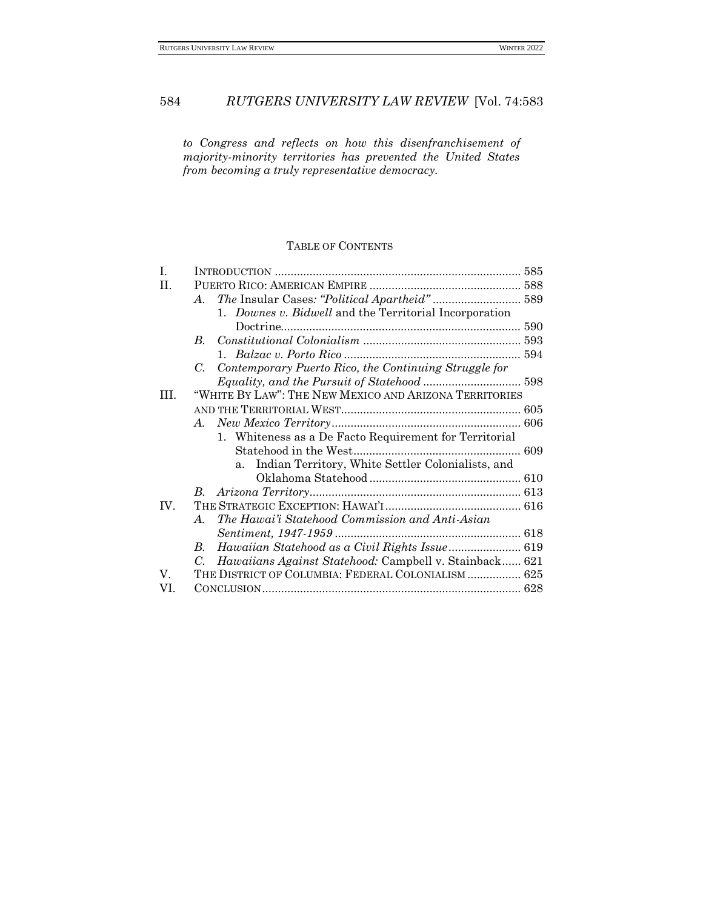*to Congress and reflects on how this disenfranchisement of majority-minority territories has prevented the United States from becoming a truly representative democracy.*

# TABLE OF CONTENTS

| Ι.   |                                                                       |  |
|------|-----------------------------------------------------------------------|--|
| H.   |                                                                       |  |
|      | The Insular Cases: "Political Apartheid" 589<br>A.                    |  |
|      | 1. Downes v. Bidwell and the Territorial Incorporation                |  |
|      |                                                                       |  |
|      | $B_{-}$                                                               |  |
|      |                                                                       |  |
|      | Contemporary Puerto Rico, the Continuing Struggle for<br>С.           |  |
|      |                                                                       |  |
| TIT. | "WHITE BY LAW": THE NEW MEXICO AND ARIZONA TERRITORIES                |  |
|      |                                                                       |  |
|      | A.                                                                    |  |
|      | 1. Whiteness as a De Facto Requirement for Territorial                |  |
|      |                                                                       |  |
|      | a. Indian Territory, White Settler Colonialists, and                  |  |
|      |                                                                       |  |
|      |                                                                       |  |
| IV.  |                                                                       |  |
|      | The Hawai'i Statehood Commission and Anti-Asian<br>$A_{\cdot}$        |  |
|      |                                                                       |  |
|      | Hawaiian Statehood as a Civil Rights Issue 619<br>В.                  |  |
|      | Hawaiians Against Statehood: Campbell v. Stainback 621<br>$C_{\cdot}$ |  |
| V.   | THE DISTRICT OF COLUMBIA: FEDERAL COLONIALISM 625                     |  |
| VI.  |                                                                       |  |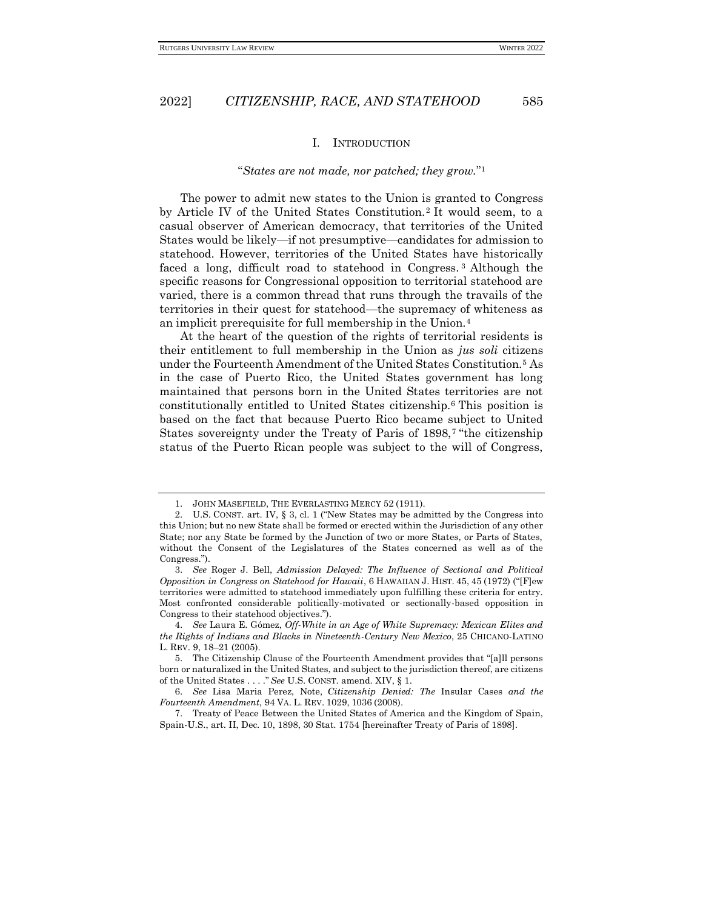#### I. INTRODUCTION

#### "*States are not made, nor patched; they grow.*" 1

<span id="page-2-0"></span>The power to admit new states to the Union is granted to Congress by Article IV of the United States Constitution.<sup>2</sup> It would seem, to a casual observer of American democracy, that territories of the United States would be likely—if not presumptive—candidates for admission to statehood. However, territories of the United States have historically faced a long, difficult road to statehood in Congress. <sup>3</sup> Although the specific reasons for Congressional opposition to territorial statehood are varied, there is a common thread that runs through the travails of the territories in their quest for statehood—the supremacy of whiteness as an implicit prerequisite for full membership in the Union.<sup>4</sup>

At the heart of the question of the rights of territorial residents is their entitlement to full membership in the Union as *jus soli* citizens under the Fourteenth Amendment of the United States Constitution.<sup>5</sup> As in the case of Puerto Rico, the United States government has long maintained that persons born in the United States territories are not constitutionally entitled to United States citizenship.<sup>6</sup> This position is based on the fact that because Puerto Rico became subject to United States sovereignty under the Treaty of Paris of 1898,<sup>7</sup> "the citizenship status of the Puerto Rican people was subject to the will of Congress,

<sup>1.</sup> JOHN MASEFIELD, THE EVERLASTING MERCY 52 (1911).

<sup>2.</sup> U.S. CONST. art. IV, § 3, cl. 1 ("New States may be admitted by the Congress into this Union; but no new State shall be formed or erected within the Jurisdiction of any other State; nor any State be formed by the Junction of two or more States, or Parts of States, without the Consent of the Legislatures of the States concerned as well as of the Congress.").

<sup>3.</sup> *See* Roger J. Bell, *Admission Delayed: The Influence of Sectional and Political Opposition in Congress on Statehood for Hawaii*, 6 HAWAIIAN J. HIST. 45, 45 (1972) ("[F]ew territories were admitted to statehood immediately upon fulfilling these criteria for entry. Most confronted considerable politically-motivated or sectionally-based opposition in Congress to their statehood objectives.").

<sup>4.</sup> *See* Laura E. Gómez, *Off-White in an Age of White Supremacy: Mexican Elites and the Rights of Indians and Blacks in Nineteenth-Century New Mexico*, 25 CHICANO-LATINO L. REV. 9, 18–21 (2005).

<sup>5.</sup> The Citizenship Clause of the Fourteenth Amendment provides that "[a]ll persons born or naturalized in the United States, and subject to the jurisdiction thereof, are citizens of the United States . . . ." *See* U.S. CONST. amend. XIV, § 1.

<sup>6.</sup> *See* Lisa Maria Perez, Note, *Citizenship Denied: The* Insular Cases *and the Fourteenth Amendment*, 94 VA. L. REV. 1029, 1036 (2008).

<sup>7.</sup> Treaty of Peace Between the United States of America and the Kingdom of Spain, Spain-U.S., art. II, Dec. 10, 1898, 30 Stat. 1754 [hereinafter Treaty of Paris of 1898].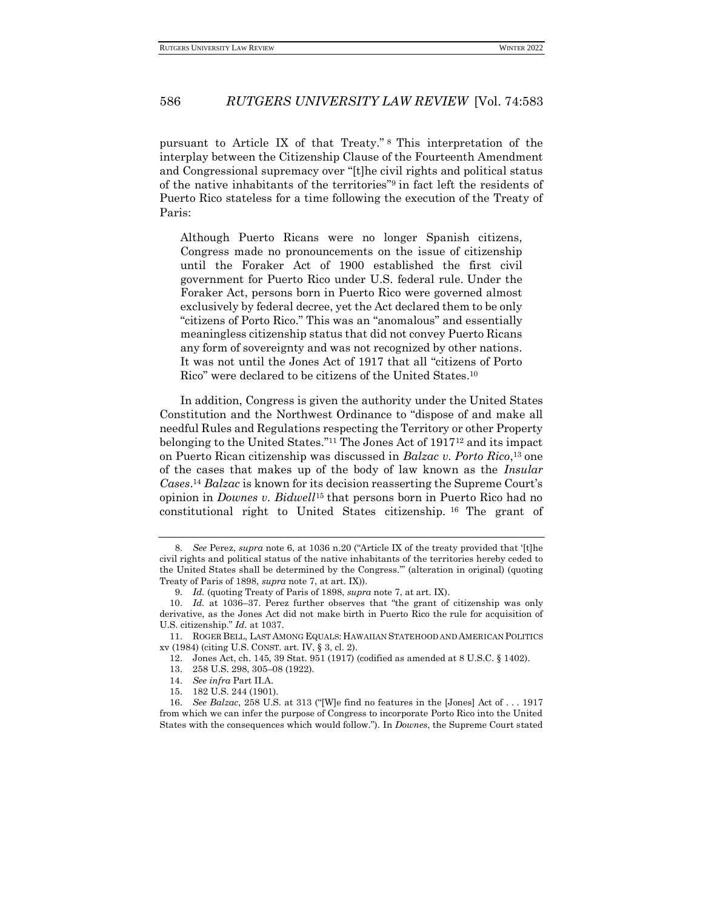pursuant to Article IX of that Treaty." <sup>8</sup> This interpretation of the interplay between the Citizenship Clause of the Fourteenth Amendment and Congressional supremacy over "[t]he civil rights and political status of the native inhabitants of the territories"<sup>9</sup> in fact left the residents of Puerto Rico stateless for a time following the execution of the Treaty of Paris:

Although Puerto Ricans were no longer Spanish citizens, Congress made no pronouncements on the issue of citizenship until the Foraker Act of 1900 established the first civil government for Puerto Rico under U.S. federal rule. Under the Foraker Act, persons born in Puerto Rico were governed almost exclusively by federal decree, yet the Act declared them to be only "citizens of Porto Rico." This was an "anomalous" and essentially meaningless citizenship status that did not convey Puerto Ricans any form of sovereignty and was not recognized by other nations. It was not until the Jones Act of 1917 that all "citizens of Porto Rico" were declared to be citizens of the United States.<sup>10</sup>

In addition, Congress is given the authority under the United States Constitution and the Northwest Ordinance to "dispose of and make all needful Rules and Regulations respecting the Territory or other Property belonging to the United States."<sup>11</sup> The Jones Act of 1917<sup>12</sup> and its impact on Puerto Rican citizenship was discussed in *Balzac v. Porto Rico*, <sup>13</sup> one of the cases that makes up of the body of law known as the *Insular Cases*. <sup>14</sup> *Balzac* is known for its decision reasserting the Supreme Court's opinion in *Downes v. Bidwell*<sup>15</sup> that persons born in Puerto Rico had no constitutional right to United States citizenship. <sup>16</sup> The grant of

<sup>8.</sup> *See* Perez, *supra* note 6, at 1036 n.20 ("Article IX of the treaty provided that '[t]he civil rights and political status of the native inhabitants of the territories hereby ceded to the United States shall be determined by the Congress.'" (alteration in original) (quoting Treaty of Paris of 1898, *supra* note 7, at art. IX)).

<sup>9.</sup> *Id.* (quoting Treaty of Paris of 1898, *supra* note 7, at art. IX).

<sup>10.</sup> *Id.* at 1036–37. Perez further observes that "the grant of citizenship was only derivative, as the Jones Act did not make birth in Puerto Rico the rule for acquisition of U.S. citizenship." *Id.* at 1037.

<sup>11.</sup> ROGER BELL, LAST AMONG EQUALS: HAWAIIAN STATEHOOD AND AMERICAN POLITICS xv (1984) (citing U.S. CONST. art. IV, § 3, cl. 2).

<sup>12.</sup> Jones Act, ch. 145, 39 Stat. 951 (1917) (codified as amended at 8 U.S.C. § 1402).

<sup>13.</sup> 258 U.S. 298, 305–08 (1922).

<sup>14.</sup> *See infra* Part II.A.

<sup>15.</sup> 182 U.S. 244 (1901).

<sup>16.</sup> *See Balzac*, 258 U.S. at 313 ("[W]e find no features in the [Jones] Act of . . . 1917 from which we can infer the purpose of Congress to incorporate Porto Rico into the United States with the consequences which would follow."). In *Downes*, the Supreme Court stated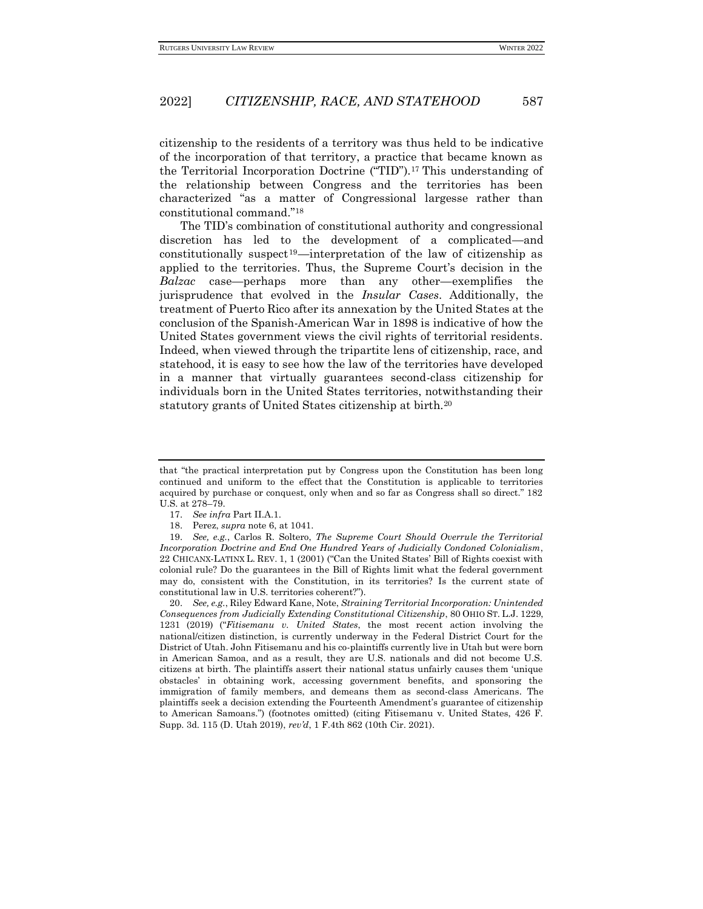citizenship to the residents of a territory was thus held to be indicative of the incorporation of that territory, a practice that became known as the Territorial Incorporation Doctrine ("TID").<sup>17</sup> This understanding of the relationship between Congress and the territories has been characterized "as a matter of Congressional largesse rather than constitutional command."<sup>18</sup>

The TID's combination of constitutional authority and congressional discretion has led to the development of a complicated—and constitutionally suspect<sup>19</sup>—interpretation of the law of citizenship as applied to the territories. Thus, the Supreme Court's decision in the *Balzac* case—perhaps more than any other—exemplifies the jurisprudence that evolved in the *Insular Cases*. Additionally, the treatment of Puerto Rico after its annexation by the United States at the conclusion of the Spanish-American War in 1898 is indicative of how the United States government views the civil rights of territorial residents. Indeed, when viewed through the tripartite lens of citizenship, race, and statehood, it is easy to see how the law of the territories have developed in a manner that virtually guarantees second-class citizenship for individuals born in the United States territories, notwithstanding their statutory grants of United States citizenship at birth.<sup>20</sup>

that "the practical interpretation put by Congress upon the Constitution has been long continued and uniform to the effect that the Constitution is applicable to territories acquired by purchase or conquest, only when and so far as Congress shall so direct." 182 U.S. at 278–79.

<sup>17.</sup> *See infra* Part II.A.1.

<sup>18.</sup> Perez, *supra* note 6, at 1041.

<sup>19.</sup> *See, e.g.*, Carlos R. Soltero, *The Supreme Court Should Overrule the Territorial Incorporation Doctrine and End One Hundred Years of Judicially Condoned Colonialism*, 22 CHICANX-LATINX L. REV. 1, 1 (2001) ("Can the United States' Bill of Rights coexist with colonial rule? Do the guarantees in the Bill of Rights limit what the federal government may do, consistent with the Constitution, in its territories? Is the current state of constitutional law in U.S. territories coherent?").

<sup>20.</sup> *See, e.g.*, Riley Edward Kane, Note, *Straining Territorial Incorporation: Unintended Consequences from Judicially Extending Constitutional Citizenship*, 80 OHIO ST. L.J. 1229, 1231 (2019) ("*Fitisemanu v. United States*, the most recent action involving the national/citizen distinction, is currently underway in the Federal District Court for the District of Utah. John Fitisemanu and his co-plaintiffs currently live in Utah but were born in American Samoa, and as a result, they are U.S. nationals and did not become U.S. citizens at birth. The plaintiffs assert their national status unfairly causes them 'unique obstacles' in obtaining work, accessing government benefits, and sponsoring the immigration of family members, and demeans them as second-class Americans. The plaintiffs seek a decision extending the Fourteenth Amendment's guarantee of citizenship to American Samoans.") (footnotes omitted) (citing Fitisemanu v. United States, 426 F. Supp. 3d. 115 (D. Utah 2019), *rev'd*, 1 F.4th 862 (10th Cir. 2021).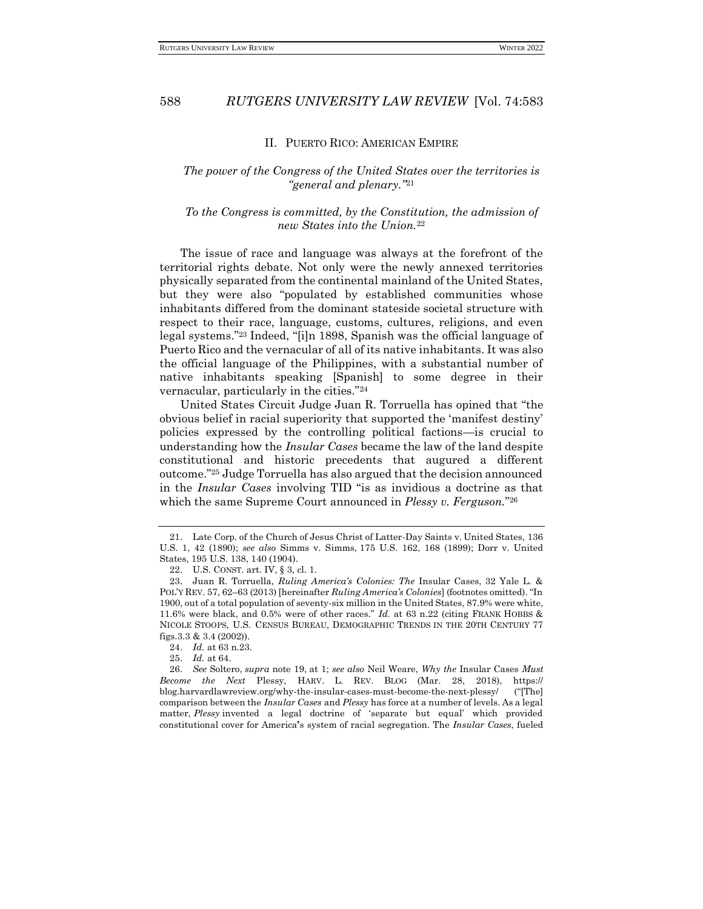#### II. PUERTO RICO: AMERICAN EMPIRE

## <span id="page-5-0"></span>*The power of the Congress of the United States over the territories is "general and plenary."*<sup>21</sup>

### *To the Congress is committed, by the Constitution, the admission of new States into the Union.*<sup>22</sup>

The issue of race and language was always at the forefront of the territorial rights debate. Not only were the newly annexed territories physically separated from the continental mainland of the United States, but they were also "populated by established communities whose inhabitants differed from the dominant stateside societal structure with respect to their race, language, customs, cultures, religions, and even legal systems."<sup>23</sup> Indeed, "[i]n 1898, Spanish was the official language of Puerto Rico and the vernacular of all of its native inhabitants. It was also the official language of the Philippines, with a substantial number of native inhabitants speaking [Spanish] to some degree in their vernacular, particularly in the cities."<sup>24</sup>

United States Circuit Judge Juan R. Torruella has opined that "the obvious belief in racial superiority that supported the 'manifest destiny' policies expressed by the controlling political factions—is crucial to understanding how the *Insular Cases* became the law of the land despite constitutional and historic precedents that augured a different outcome."<sup>25</sup> Judge Torruella has also argued that the decision announced in the *Insular Cases* involving TID "is as invidious a doctrine as that which the same Supreme Court announced in *Plessy v. Ferguson.*" 26

<sup>21.</sup> Late Corp. of the Church of Jesus Christ of Latter-Day Saints v. United States, 136 U.S. 1, 42 (1890); *see also* Simms v. Simms, 175 U.S. 162, 168 (1899); Dorr v. United States, 195 U.S. 138, 140 (1904).

<sup>22.</sup> U.S. CONST. art. IV, § 3, cl. 1.

<sup>23.</sup> Juan R. Torruella, *Ruling America's Colonies: The* Insular Cases, 32 Yale L. & POL'Y REV. 57, 62–63 (2013) [hereinafter *Ruling America's Colonies*] (footnotes omitted). "In 1900, out of a total population of seventy-six million in the United States, 87.9% were white, 11.6% were black, and 0.5% were of other races." *Id.* at 63 n.22 (citing FRANK HOBBS & NICOLE STOOPS, U.S. CENSUS BUREAU, DEMOGRAPHIC TRENDS IN THE 20TH CENTURY 77 figs.3.3 & 3.4 (2002)).

<sup>24.</sup> *Id.* at 63 n.23.

<sup>25.</sup> *Id.* at 64.

<sup>26.</sup> *See* Soltero, *supra* note 19, at 1; *see also* Neil Weare, *Why the* Insular Cases *Must Become the Next* Plessy, HARV. L. REV. BLOG (Mar. 28, 2018), https:// blog.harvardlawreview.org/why-the-insular-cases-must-become-the-next-plessy/ ("[The] comparison between the *Insular Cases* and *Plessy* has force at a number of levels. As a legal matter, *Plessy* invented a legal doctrine of 'separate but equal' which provided constitutional cover for America**'**s system of racial segregation. The *Insular Cases*, fueled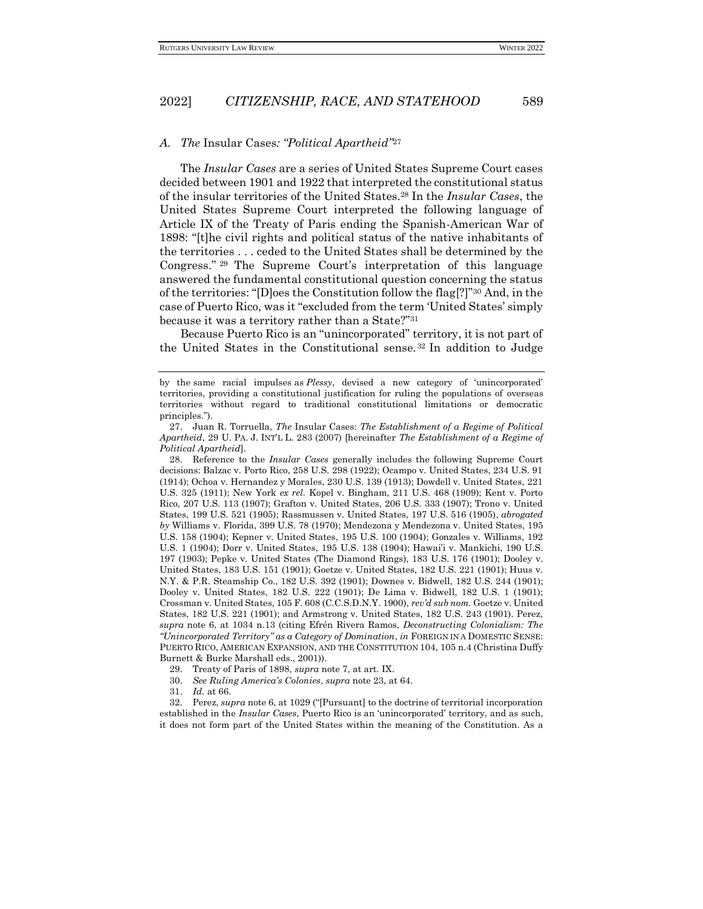#### <span id="page-6-0"></span>*A. The* Insular Cases*: "Political Apartheid"*<sup>27</sup>

The *Insular Cases* are a series of United States Supreme Court cases decided between 1901 and 1922 that interpreted the constitutional status of the insular territories of the United States.<sup>28</sup> In the *Insular Cases*, the United States Supreme Court interpreted the following language of Article IX of the Treaty of Paris ending the Spanish-American War of 1898: "[t]he civil rights and political status of the native inhabitants of the territories . . . ceded to the United States shall be determined by the Congress." <sup>29</sup> The Supreme Court's interpretation of this language answered the fundamental constitutional question concerning the status of the territories: "[D]oes the Constitution follow the flag[?]"<sup>30</sup> And, in the case of Puerto Rico, was it "excluded from the term 'United States' simply because it was a territory rather than a State?"<sup>31</sup>

Because Puerto Rico is an "unincorporated" territory, it is not part of the United States in the Constitutional sense.<sup>32</sup> In addition to Judge

28. Reference to the *Insular Cases* generally includes the following Supreme Court decisions: Balzac v. Porto Rico, 258 U.S. 298 (1922); Ocampo v. United States, 234 U.S. 91 (1914); Ochoa v. Hernandez y Morales, 230 U.S. 139 (1913); Dowdell v. United States, 221 U.S. 325 (1911); New York *ex rel.* Kopel v. Bingham, 211 U.S. 468 (1909); Kent v. Porto Rico, 207 U.S. 113 (1907); Grafton v. United States, 206 U.S. 333 (1907); Trono v. United States, 199 U.S. 521 (1905); Rassmussen v. United States, 197 U.S. 516 (1905), *abrogated by* Williams v. Florida, 399 U.S. 78 (1970); Mendezona y Mendezona v. United States, 195 U.S. 158 (1904); Kepner v. United States, 195 U.S. 100 (1904); Gonzales v. Williams, 192 U.S. 1 (1904); Dorr v. United States, 195 U.S. 138 (1904); Hawai'i v. Mankichi, 190 U.S. 197 (1903); Pepke v. United States (The Diamond Rings), 183 U.S. 176 (1901); Dooley v. United States, 183 U.S. 151 (1901); Goetze v. United States, 182 U.S. 221 (1901); Huus v. N.Y. & P.R. Steamship Co., 182 U.S. 392 (1901); Downes v. Bidwell, 182 U.S. 244 (1901); Dooley v. United States, 182 U.S. 222 (1901); De Lima v. Bidwell, 182 U.S. 1 (1901); Crossman v. United States, 105 F. 608 (C.C.S.D.N.Y. 1900), *rev'd sub nom.* Goetze v. United States, 182 U.S. 221 (1901); and Armstrong v. United States, 182 U.S. 243 (1901). Perez, *supra* note 6, at 1034 n.13 (citing Efrén Rivera Ramos, *Deconstructing Colonialism: The "Unincorporated Territory" as a Category of Domination*, *in* FOREIGN IN A DOMESTIC SENSE: PUERTO RICO, AMERICAN EXPANSION, AND THE CONSTITUTION 104, 105 n.4 (Christina Duffy Burnett & Burke Marshall eds., 2001)).

30. *See Ruling America's Colonies*, *supra* note 23, at 64.

31. *Id.* at 66.

32. Perez, *supra* note 6, at 1029 ("[Pursuant] to the doctrine of territorial incorporation established in the *Insular Cases*, Puerto Rico is an 'unincorporated' territory, and as such, it does not form part of the United States within the meaning of the Constitution. As a

by the same racial impulses as *Plessy*, devised a new category of 'unincorporated' territories, providing a constitutional justification for ruling the populations of overseas territories without regard to traditional constitutional limitations or democratic principles.").

<sup>27.</sup> Juan R. Torruella, *The* Insular Cases: *The Establishment of a Regime of Political Apartheid*, 29 U. PA. J. INT'L L. 283 (2007) [hereinafter *The Establishment of a Regime of Political Apartheid*].

<sup>29.</sup> Treaty of Paris of 1898, *supra* note 7, at art. IX.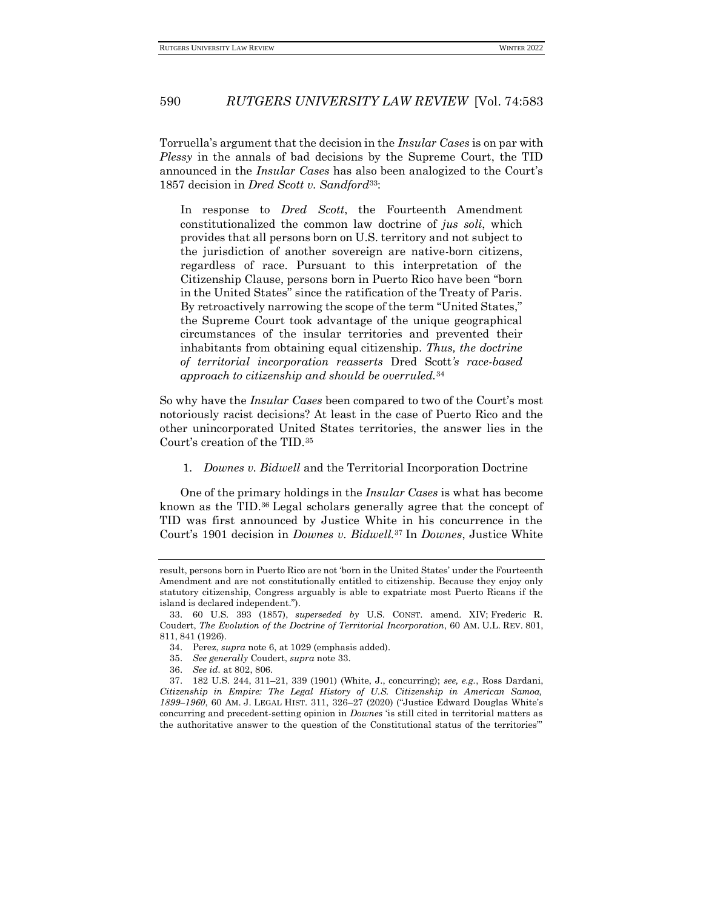Torruella's argument that the decision in the *Insular Cases* is on par with *Plessy* in the annals of bad decisions by the Supreme Court, the TID announced in the *Insular Cases* has also been analogized to the Court's 1857 decision in *Dred Scott v. Sandford*33:

In response to *Dred Scott*, the Fourteenth Amendment constitutionalized the common law doctrine of *jus soli*, which provides that all persons born on U.S. territory and not subject to the jurisdiction of another sovereign are native-born citizens, regardless of race. Pursuant to this interpretation of the Citizenship Clause, persons born in Puerto Rico have been "born in the United States" since the ratification of the Treaty of Paris. By retroactively narrowing the scope of the term "United States," the Supreme Court took advantage of the unique geographical circumstances of the insular territories and prevented their inhabitants from obtaining equal citizenship. *Thus, the doctrine of territorial incorporation reasserts* Dred Scott*'s race-based approach to citizenship and should be overruled.*<sup>34</sup>

So why have the *Insular Cases* been compared to two of the Court's most notoriously racist decisions? At least in the case of Puerto Rico and the other unincorporated United States territories, the answer lies in the Court's creation of the TID.<sup>35</sup>

<span id="page-7-0"></span>1. *Downes v. Bidwell* and the Territorial Incorporation Doctrine

One of the primary holdings in the *Insular Cases* is what has become known as the TID.<sup>36</sup> Legal scholars generally agree that the concept of TID was first announced by Justice White in his concurrence in the Court's 1901 decision in *Downes v. Bidwell.*<sup>37</sup> In *Downes*, Justice White

- 35. *See generally* Coudert, *supra* note 33.
- 36. *See id.* at 802, 806.

result, persons born in Puerto Rico are not 'born in the United States' under the Fourteenth Amendment and are not constitutionally entitled to citizenship. Because they enjoy only statutory citizenship, Congress arguably is able to expatriate most Puerto Ricans if the island is declared independent.").

<sup>33.</sup> 60 U.S. 393 (1857), *superseded by* U.S. CONST. amend. XIV; Frederic R. Coudert, *The Evolution of the Doctrine of Territorial Incorporation*, 60 AM. U.L. REV. 801, 811, 841 (1926).

<sup>34.</sup> Perez, *supra* note 6, at 1029 (emphasis added).

<sup>37.</sup> 182 U.S. 244, 311–21, 339 (1901) (White, J., concurring); *see, e.g.*, Ross Dardani, *Citizenship in Empire: The Legal History of U.S. Citizenship in American Samoa, 1899–1960*, 60 AM. J. LEGAL HIST. 311, 326–27 (2020) ("Justice Edward Douglas White's concurring and precedent-setting opinion in *Downes* 'is still cited in territorial matters as the authoritative answer to the question of the Constitutional status of the territories'"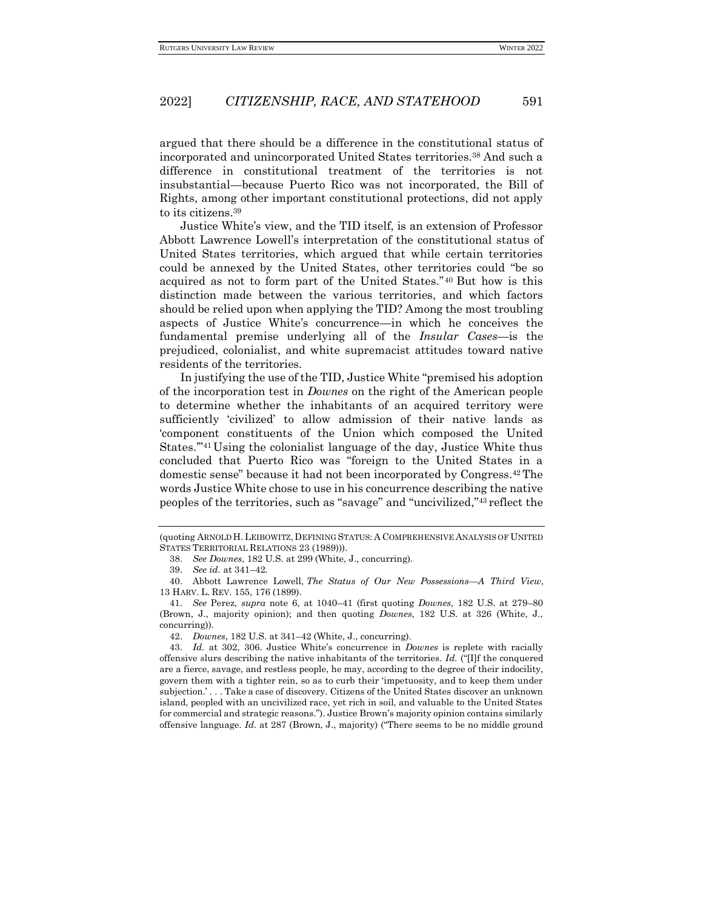argued that there should be a difference in the constitutional status of incorporated and unincorporated United States territories.<sup>38</sup> And such a difference in constitutional treatment of the territories is not insubstantial—because Puerto Rico was not incorporated, the Bill of Rights, among other important constitutional protections, did not apply to its citizens.<sup>39</sup>

Justice White's view, and the TID itself, is an extension of Professor Abbott Lawrence Lowell's interpretation of the constitutional status of United States territories, which argued that while certain territories could be annexed by the United States, other territories could "be so acquired as not to form part of the United States."<sup>40</sup> But how is this distinction made between the various territories, and which factors should be relied upon when applying the TID? Among the most troubling aspects of Justice White's concurrence—in which he conceives the fundamental premise underlying all of the *Insular Cases*—is the prejudiced, colonialist, and white supremacist attitudes toward native residents of the territories.

In justifying the use of the TID, Justice White "premised his adoption of the incorporation test in *Downes* on the right of the American people to determine whether the inhabitants of an acquired territory were sufficiently 'civilized' to allow admission of their native lands as 'component constituents of the Union which composed the United States.'"<sup>41</sup> Using the colonialist language of the day, Justice White thus concluded that Puerto Rico was "foreign to the United States in a domestic sense" because it had not been incorporated by Congress.42The words Justice White chose to use in his concurrence describing the native peoples of the territories, such as "savage" and "uncivilized,"<sup>43</sup> reflect the

<sup>(</sup>quoting ARNOLD H.LEIBOWITZ, DEFINING STATUS: A COMPREHENSIVE ANALYSIS OF UNITED STATES TERRITORIAL RELATIONS 23 (1989))).

<sup>38.</sup> *See Downes*, 182 U.S. at 299 (White, J., concurring).

<sup>39.</sup> *See id.* at 341–42.

<sup>40.</sup> Abbott Lawrence Lowell, *The Status of Our New Possessions—A Third View*, 13 HARV. L. REV. 155, 176 (1899).

<sup>41.</sup> *See* Perez, *supra* note 6, at 1040–41 (first quoting *Downes*, 182 U.S. at 279–80 (Brown, J., majority opinion); and then quoting *Downes*, 182 U.S. at 326 (White, J., concurring)).

<sup>42.</sup> *Downes*, 182 U.S. at 341–42 (White, J., concurring).

<sup>43.</sup> *Id.* at 302, 306. Justice White's concurrence in *Downes* is replete with racially offensive slurs describing the native inhabitants of the territories. *Id.* ("[I]f the conquered are a fierce, savage, and restless people, he may, according to the degree of their indocility, govern them with a tighter rein, so as to curb their 'impetuosity, and to keep them under subjection.' . . . Take a case of discovery. Citizens of the United States discover an unknown island, peopled with an uncivilized race, yet rich in soil, and valuable to the United States for commercial and strategic reasons."). Justice Brown's majority opinion contains similarly offensive language. *Id.* at 287 (Brown, J., majority) ("There seems to be no middle ground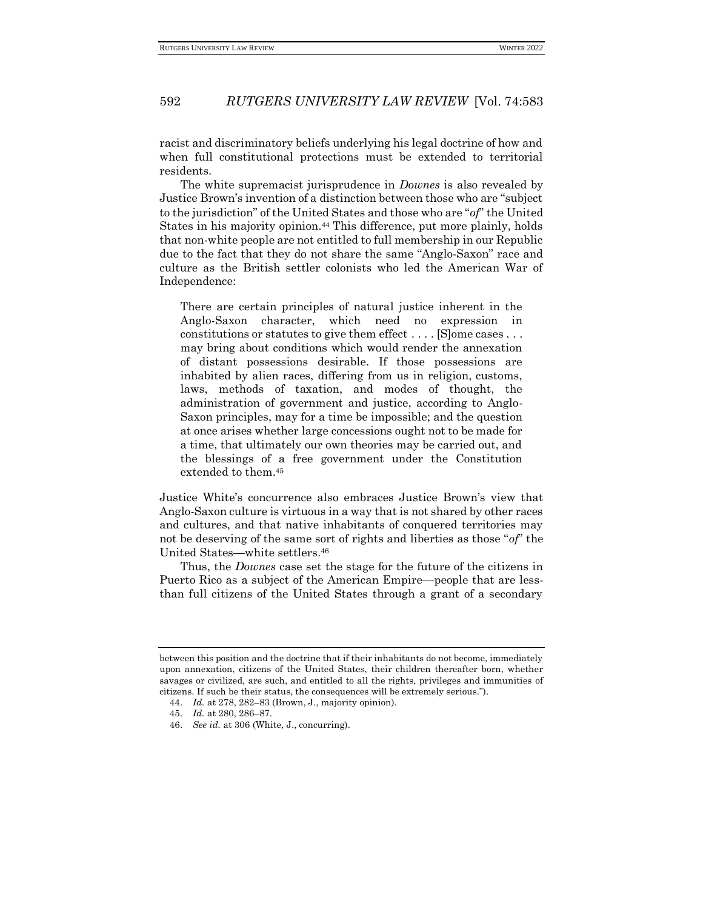racist and discriminatory beliefs underlying his legal doctrine of how and when full constitutional protections must be extended to territorial residents.

The white supremacist jurisprudence in *Downes* is also revealed by Justice Brown's invention of a distinction between those who are "subject to the jurisdiction" of the United States and those who are "*of*" the United States in his majority opinion.<sup>44</sup> This difference, put more plainly, holds that non-white people are not entitled to full membership in our Republic due to the fact that they do not share the same "Anglo-Saxon" race and culture as the British settler colonists who led the American War of Independence:

There are certain principles of natural justice inherent in the Anglo-Saxon character, which need no expression in constitutions or statutes to give them effect . . . . [S]ome cases . . . may bring about conditions which would render the annexation of distant possessions desirable. If those possessions are inhabited by alien races, differing from us in religion, customs, laws, methods of taxation, and modes of thought, the administration of government and justice, according to Anglo-Saxon principles, may for a time be impossible; and the question at once arises whether large concessions ought not to be made for a time, that ultimately our own theories may be carried out, and the blessings of a free government under the Constitution extended to them.<sup>45</sup>

Justice White's concurrence also embraces Justice Brown's view that Anglo-Saxon culture is virtuous in a way that is not shared by other races and cultures, and that native inhabitants of conquered territories may not be deserving of the same sort of rights and liberties as those "*of*" the United States—white settlers.<sup>46</sup>

Thus, the *Downes* case set the stage for the future of the citizens in Puerto Rico as a subject of the American Empire—people that are lessthan full citizens of the United States through a grant of a secondary

between this position and the doctrine that if their inhabitants do not become, immediately upon annexation, citizens of the United States, their children thereafter born, whether savages or civilized, are such, and entitled to all the rights, privileges and immunities of citizens. If such be their status, the consequences will be extremely serious.").

<sup>44.</sup> *Id.* at 278, 282–83 (Brown, J., majority opinion).

<sup>45.</sup> *Id.* at 280, 286–87.

<sup>46.</sup> *See id.* at 306 (White, J., concurring).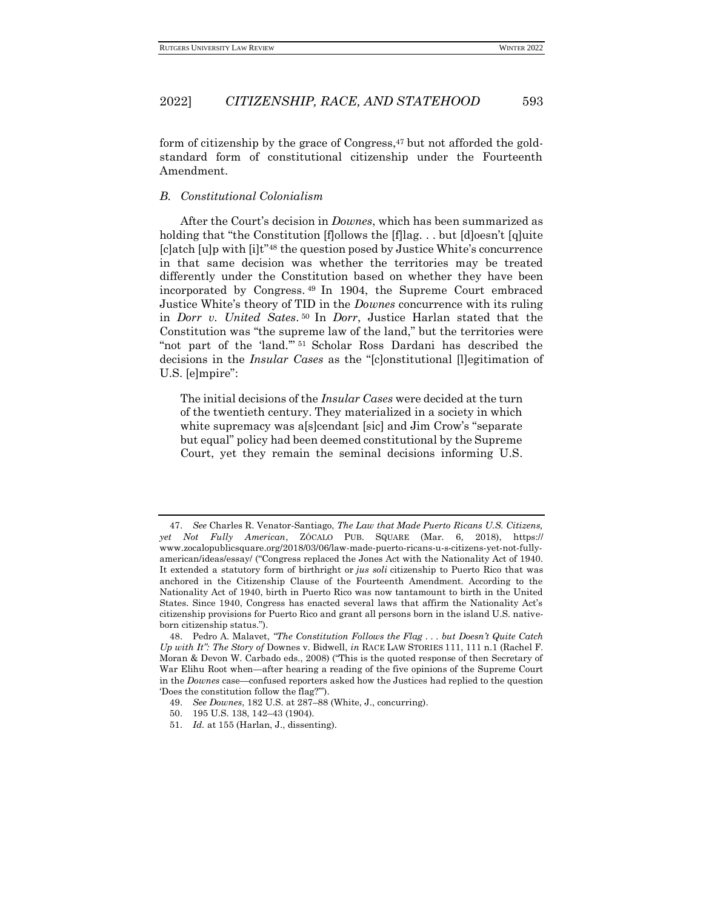form of citizenship by the grace of Congress, $47$  but not afforded the goldstandard form of constitutional citizenship under the Fourteenth Amendment.

#### <span id="page-10-0"></span>*B. Constitutional Colonialism*

After the Court's decision in *Downes*, which has been summarized as holding that "the Constitution [f]ollows the [f]lag. . . but [d]oesn't [q]uite [c]atch [u]p with [i]t"<sup>48</sup> the question posed by Justice White's concurrence in that same decision was whether the territories may be treated differently under the Constitution based on whether they have been incorporated by Congress. <sup>49</sup> In 1904, the Supreme Court embraced Justice White's theory of TID in the *Downes* concurrence with its ruling in *Dorr v. United Sates*. <sup>50</sup> In *Dorr*, Justice Harlan stated that the Constitution was "the supreme law of the land," but the territories were "not part of the 'land.'" <sup>51</sup> Scholar Ross Dardani has described the decisions in the *Insular Cases* as the "[c]onstitutional [l]egitimation of U.S. [e]mpire":

The initial decisions of the *Insular Cases* were decided at the turn of the twentieth century. They materialized in a society in which white supremacy was a[s]cendant [sic] and Jim Crow's "separate but equal" policy had been deemed constitutional by the Supreme Court, yet they remain the seminal decisions informing U.S.

<sup>47.</sup> *See* Charles R. Venator-Santiago, *The Law that Made Puerto Ricans U.S. Citizens, yet Not Fully American*, ZÓCALO PUB. SQUARE (Mar. 6, 2018), https:// www.zocalopublicsquare.org/2018/03/06/law-made-puerto-ricans-u-s-citizens-yet-not-fullyamerican/ideas/essay/ ("Congress replaced the Jones Act with the Nationality Act of 1940. It extended a statutory form of birthright or *jus soli* citizenship to Puerto Rico that was anchored in the Citizenship Clause of the Fourteenth Amendment. According to the Nationality Act of 1940, birth in Puerto Rico was now tantamount to birth in the United States. Since 1940, Congress has enacted several laws that affirm the Nationality Act's citizenship provisions for Puerto Rico and grant all persons born in the island U.S. nativeborn citizenship status.").

<sup>48.</sup> Pedro A. Malavet, *"The Constitution Follows the Flag . . . but Doesn't Quite Catch Up with It": The Story of* Downes v. Bidwell, *in* RACE LAW STORIES 111, 111 n.1 (Rachel F. Moran & Devon W. Carbado eds., 2008) ("This is the quoted response of then Secretary of War Elihu Root when—after hearing a reading of the five opinions of the Supreme Court in the *Downes* case—confused reporters asked how the Justices had replied to the question 'Does the constitution follow the flag?'").

<sup>49.</sup> *See Downes*, 182 U.S. at 287–88 (White, J., concurring).

<sup>50.</sup> 195 U.S. 138, 142–43 (1904).

<sup>51.</sup> *Id.* at 155 (Harlan, J., dissenting).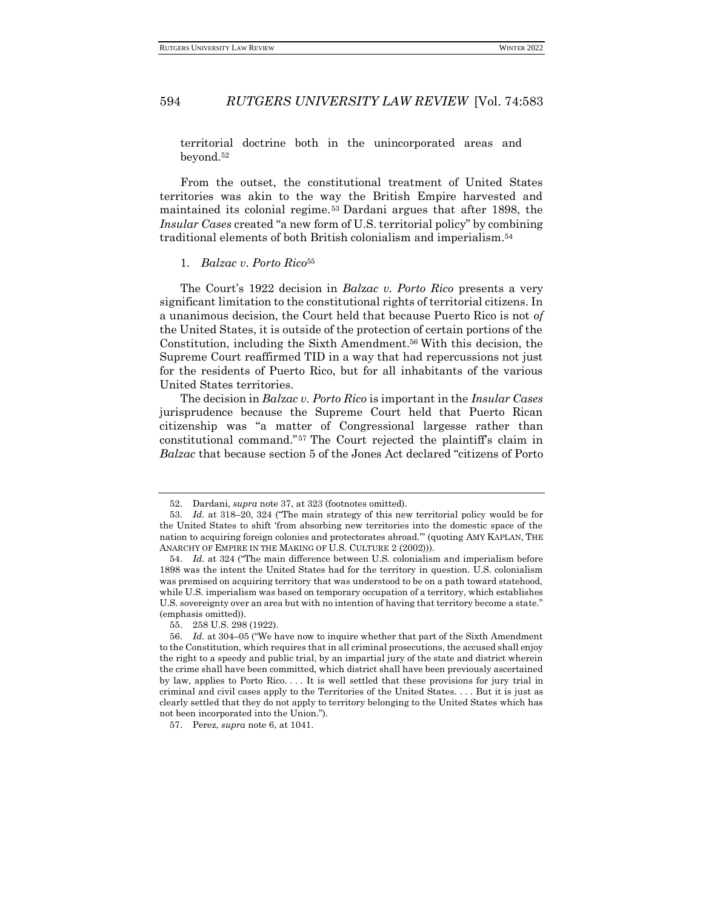territorial doctrine both in the unincorporated areas and beyond.<sup>52</sup>

From the outset, the constitutional treatment of United States territories was akin to the way the British Empire harvested and maintained its colonial regime.<sup>53</sup> Dardani argues that after 1898, the *Insular Cases* created "a new form of U.S. territorial policy" by combining traditional elements of both British colonialism and imperialism.<sup>54</sup>

#### <span id="page-11-0"></span>1. *Balzac v. Porto Rico*<sup>55</sup>

The Court's 1922 decision in *Bal*z*ac v. Porto Rico* presents a very significant limitation to the constitutional rights of territorial citizens. In a unanimous decision, the Court held that because Puerto Rico is not *of* the United States, it is outside of the protection of certain portions of the Constitution, including the Sixth Amendment.<sup>56</sup> With this decision, the Supreme Court reaffirmed TID in a way that had repercussions not just for the residents of Puerto Rico, but for all inhabitants of the various United States territories.

The decision in *Bal*z*ac v. Porto Rico* is important in the *Insular Cases*  jurisprudence because the Supreme Court held that Puerto Rican citizenship was "a matter of Congressional largesse rather than constitutional command."<sup>57</sup> The Court rejected the plaintiff's claim in *Balzac* that because section 5 of the Jones Act declared "citizens of Porto

<sup>52.</sup> Dardani, *supra* note 37, at 323 (footnotes omitted).

<sup>53.</sup> *Id.* at 318–20, 324 ("The main strategy of this new territorial policy would be for the United States to shift 'from absorbing new territories into the domestic space of the nation to acquiring foreign colonies and protectorates abroad.'" (quoting AMY KAPLAN, THE ANARCHY OF EMPIRE IN THE MAKING OF U.S. CULTURE 2 (2002))).

<sup>54.</sup> *Id.* at 324 ("The main difference between U.S. colonialism and imperialism before 1898 was the intent the United States had for the territory in question. U.S. colonialism was premised on acquiring territory that was understood to be on a path toward statehood, while U.S. imperialism was based on temporary occupation of a territory, which establishes U.S. sovereignty over an area but with no intention of having that territory become a state." (emphasis omitted)).

<sup>55.</sup> 258 U.S. 298 (1922).

<sup>56.</sup> *Id.* at 304–05 ("We have now to inquire whether that part of the Sixth Amendment to the Constitution, which requires that in all criminal prosecutions, the accused shall enjoy the right to a speedy and public trial, by an impartial jury of the state and district wherein the crime shall have been committed, which district shall have been previously ascertained by law, applies to Porto Rico. . . . It is well settled that these provisions for jury trial in criminal and civil cases apply to the Territories of the United States. . . . But it is just as clearly settled that they do not apply to territory belonging to the United States which has not been incorporated into the Union.").

<sup>57.</sup> Perez, *supra* note 6, at 1041.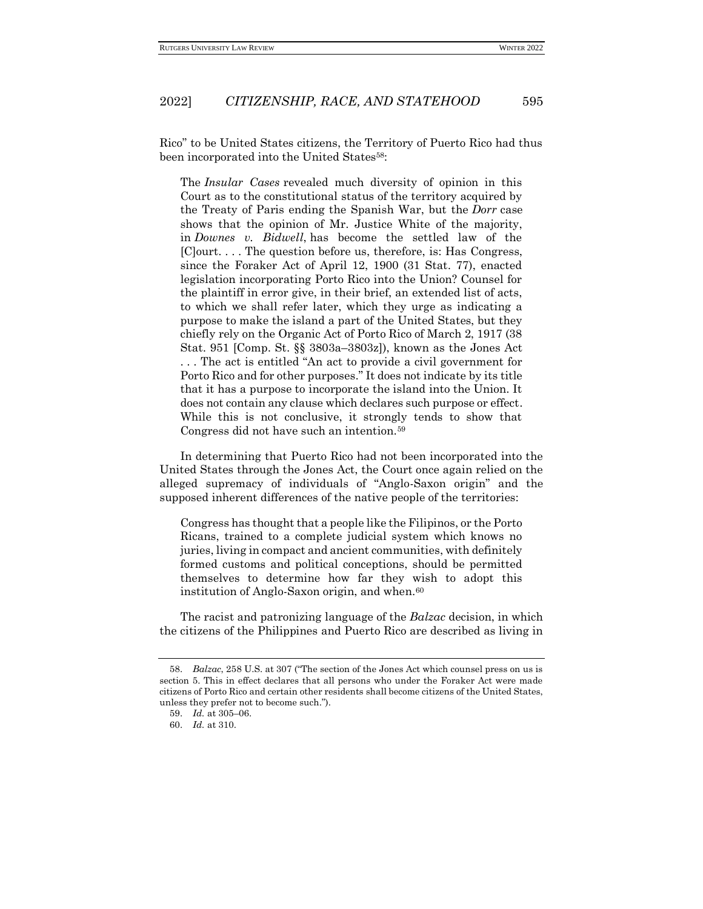Rico" to be United States citizens, the Territory of Puerto Rico had thus been incorporated into the United States<sup>58</sup>:

The *Insular Cases* revealed much diversity of opinion in this Court as to the constitutional status of the territory acquired by the Treaty of Paris ending the Spanish War, but the *Dorr* case shows that the opinion of Mr. Justice White of the majority, in *Downes v. Bidwell*, has become the settled law of the [C]ourt. . . . The question before us, therefore, is: Has Congress, since the Foraker Act of April 12, 1900 (31 Stat. 77), enacted legislation incorporating Porto Rico into the Union? Counsel for the plaintiff in error give, in their brief, an extended list of acts, to which we shall refer later, which they urge as indicating a purpose to make the island a part of the United States, but they chiefly rely on the Organic Act of Porto Rico of March 2, 1917 (38 Stat. 951 [Comp. St. §§ 3803a–3803z]), known as the Jones Act . . . The act is entitled "An act to provide a civil government for Porto Rico and for other purposes." It does not indicate by its title that it has a purpose to incorporate the island into the Union. It does not contain any clause which declares such purpose or effect. While this is not conclusive, it strongly tends to show that Congress did not have such an intention.<sup>59</sup>

In determining that Puerto Rico had not been incorporated into the United States through the Jones Act, the Court once again relied on the alleged supremacy of individuals of "Anglo-Saxon origin" and the supposed inherent differences of the native people of the territories:

Congress has thought that a people like the Filipinos, or the Porto Ricans, trained to a complete judicial system which knows no juries, living in compact and ancient communities, with definitely formed customs and political conceptions, should be permitted themselves to determine how far they wish to adopt this institution of Anglo-Saxon origin, and when.<sup>60</sup>

The racist and patronizing language of the *Balzac* decision, in which the citizens of the Philippines and Puerto Rico are described as living in

<sup>58.</sup> *Balzac*, 258 U.S. at 307 ("The section of the Jones Act which counsel press on us is section 5. This in effect declares that all persons who under the Foraker Act were made citizens of Porto Rico and certain other residents shall become citizens of the United States, unless they prefer not to become such.").

<sup>59.</sup> *Id.* at 305–06.

<sup>60.</sup> *Id.* at 310.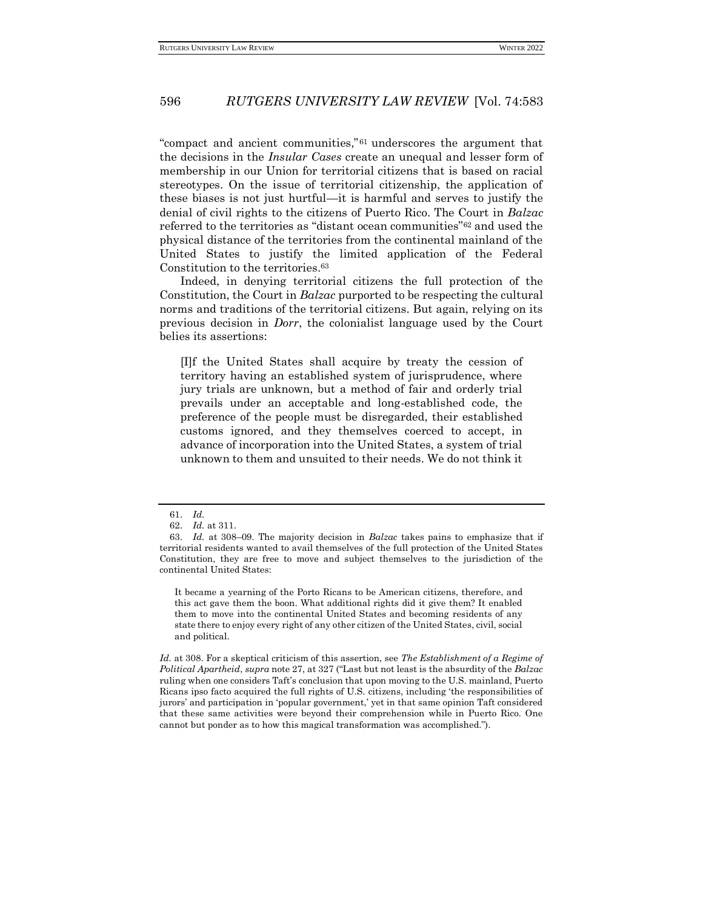"compact and ancient communities,"<sup>61</sup> underscores the argument that the decisions in the *Insular Cases* create an unequal and lesser form of membership in our Union for territorial citizens that is based on racial stereotypes. On the issue of territorial citizenship, the application of these biases is not just hurtful—it is harmful and serves to justify the denial of civil rights to the citizens of Puerto Rico. The Court in *Balzac*  referred to the territories as "distant ocean communities"<sup>62</sup> and used the physical distance of the territories from the continental mainland of the United States to justify the limited application of the Federal Constitution to the territories.<sup>63</sup>

Indeed, in denying territorial citizens the full protection of the Constitution, the Court in *Balzac* purported to be respecting the cultural norms and traditions of the territorial citizens. But again, relying on its previous decision in *Dorr*, the colonialist language used by the Court belies its assertions:

[I]f the United States shall acquire by treaty the cession of territory having an established system of jurisprudence, where jury trials are unknown, but a method of fair and orderly trial prevails under an acceptable and long-established code, the preference of the people must be disregarded, their established customs ignored, and they themselves coerced to accept, in advance of incorporation into the United States, a system of trial unknown to them and unsuited to their needs. We do not think it

It became a yearning of the Porto Ricans to be American citizens, therefore, and this act gave them the boon. What additional rights did it give them? It enabled them to move into the continental United States and becoming residents of any state there to enjoy every right of any other citizen of the United States, civil, social and political.

*Id.* at 308. For a skeptical criticism of this assertion, see *The Establishment of a Regime of Political Apartheid*, *supra* note 27, at 327 ("Last but not least is the absurdity of the *Balzac*  ruling when one considers Taft's conclusion that upon moving to the U.S. mainland, Puerto Ricans ipso facto acquired the full rights of U.S. citizens, including 'the responsibilities of jurors' and participation in 'popular government,' yet in that same opinion Taft considered that these same activities were beyond their comprehension while in Puerto Rico. One cannot but ponder as to how this magical transformation was accomplished.").

<sup>61.</sup> *Id.*

<sup>62.</sup> *Id.* at 311.

<sup>63.</sup> *Id.* at 308–09. The majority decision in *Balzac* takes pains to emphasize that if territorial residents wanted to avail themselves of the full protection of the United States Constitution, they are free to move and subject themselves to the jurisdiction of the continental United States: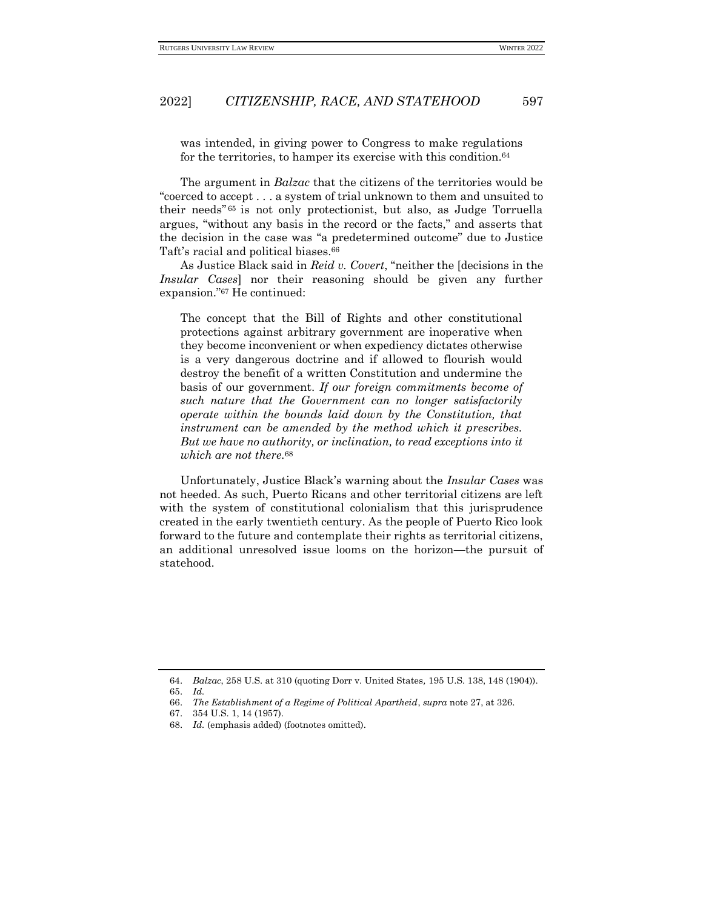was intended, in giving power to Congress to make regulations for the territories, to hamper its exercise with this condition.<sup>64</sup>

The argument in *Balzac* that the citizens of the territories would be "coerced to accept . . . a system of trial unknown to them and unsuited to their needs" <sup>65</sup> is not only protectionist, but also, as Judge Torruella argues, "without any basis in the record or the facts," and asserts that the decision in the case was "a predetermined outcome" due to Justice Taft's racial and political biases.<sup>66</sup>

As Justice Black said in *Reid v. Covert*, "neither the [decisions in the *Insular Cases*] nor their reasoning should be given any further expansion."<sup>67</sup> He continued:

The concept that the Bill of Rights and other constitutional protections against arbitrary government are inoperative when they become inconvenient or when expediency dictates otherwise is a very dangerous doctrine and if allowed to flourish would destroy the benefit of a written Constitution and undermine the basis of our government. *If our foreign commitments become of such nature that the Government can no longer satisfactorily operate within the bounds laid down by the Constitution, that instrument can be amended by the method which it prescribes. But we have no authority, or inclination, to read exceptions into it which are not there.*<sup>68</sup>

Unfortunately, Justice Black's warning about the *Insular Cases* was not heeded. As such, Puerto Ricans and other territorial citizens are left with the system of constitutional colonialism that this jurisprudence created in the early twentieth century. As the people of Puerto Rico look forward to the future and contemplate their rights as territorial citizens, an additional unresolved issue looms on the horizon—the pursuit of statehood.

<sup>64.</sup> *Balzac*, 258 U.S. at 310 (quoting Dorr v. United States*,* 195 U.S. 138, 148 (1904)).

<sup>65.</sup> *Id.*

<sup>66.</sup> *The Establishment of a Regime of Political Apartheid*, *supra* note 27, at 326.

<sup>67.</sup> 354 U.S. 1, 14 (1957).

<sup>68.</sup> *Id.* (emphasis added) (footnotes omitted).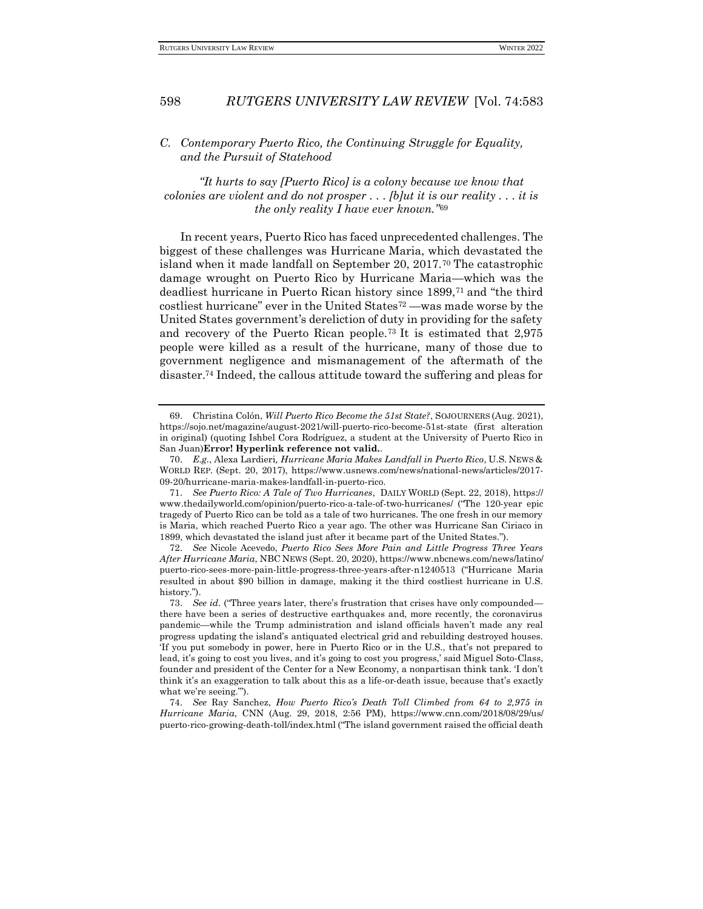### <span id="page-15-0"></span>*C. Contemporary Puerto Rico, the Continuing Struggle for Equality, and the Pursuit of Statehood*

*"It hurts to say [Puerto Rico] is a colony because we know that colonies are violent and do not prosper . . . [b]ut it is our reality . . . it is the only reality I have ever known."*<sup>69</sup>

In recent years, Puerto Rico has faced unprecedented challenges. The biggest of these challenges was Hurricane Maria, which devastated the island when it made landfall on September 20, 2017.<sup>70</sup> The catastrophic damage wrought on Puerto Rico by Hurricane Maria—which was the deadliest hurricane in Puerto Rican history since 1899,<sup>71</sup> and "the third costliest hurricane" ever in the United States<sup>72</sup> —was made worse by the United States government's dereliction of duty in providing for the safety and recovery of the Puerto Rican people.<sup>73</sup> It is estimated that 2,975 people were killed as a result of the hurricane, many of those due to government negligence and mismanagement of the aftermath of the disaster.<sup>74</sup> Indeed, the callous attitude toward the suffering and pleas for

<sup>69.</sup> Christina Colón, *Will Puerto Rico Become the 51st State?*, SOJOURNERS (Aug. 2021), https://sojo.net/magazine/august-2021/will-puerto-rico-become-51st-state (first alteration in original) (quoting Ishbel Cora Rodríguez, a student at the University of Puerto Rico in San Juan)**Error! Hyperlink reference not valid.**.

<sup>70.</sup> *E.g.*, Alexa Lardieri*, Hurricane Maria Makes Landfall in Puerto Rico*, U.S. NEWS & WORLD REP. (Sept. 20, 2017), https://www.usnews.com/news/national-news/articles/2017- 09-20/hurricane-maria-makes-landfall-in-puerto-rico.

<sup>71.</sup> *See Puerto Rico: A Tale of Two Hurricanes*, DAILY WORLD (Sept. 22, 2018), https:// www.thedailyworld.com/opinion/puerto-rico-a-tale-of-two-hurricanes/ ("The 120-year epic tragedy of Puerto Rico can be told as a tale of two hurricanes. The one fresh in our memory is Maria, which reached Puerto Rico a year ago. The other was Hurricane San Ciriaco in 1899, which devastated the island just after it became part of the United States.").

<sup>72.</sup> *See* Nicole Acevedo, *Puerto Rico Sees More Pain and Little Progress Three Years After Hurricane Maria*, NBC NEWS (Sept. 20, 2020), https://www.nbcnews.com/news/latino/ puerto-rico-sees-more-pain-little-progress-three-years-after-n1240513 ("Hurricane Maria resulted in about \$90 billion in damage, making it the third costliest hurricane in U.S. history.").

<sup>73.</sup> *See id.* ("Three years later, there's frustration that crises have only compounded there have been a series of destructive earthquakes and, more recently, the coronavirus pandemic—while the Trump administration and island officials haven't made any real progress updating the island's antiquated electrical grid and rebuilding destroyed houses. 'If you put somebody in power, here in Puerto Rico or in the U.S., that's not prepared to lead, it's going to cost you lives, and it's going to cost you progress,' said Miguel Soto-Class, founder and president of the Center for a New Economy, a nonpartisan think tank. 'I don't think it's an exaggeration to talk about this as a life-or-death issue, because that's exactly what we're seeing.'").

<sup>74.</sup> *See* Ray Sanchez, *How Puerto Rico's Death Toll Climbed from 64 to 2,975 in Hurricane Maria*, CNN (Aug. 29, 2018, 2:56 PM), https://www.cnn.com/2018/08/29/us/ puerto-rico-growing-death-toll/index.html ("The island government raised the official death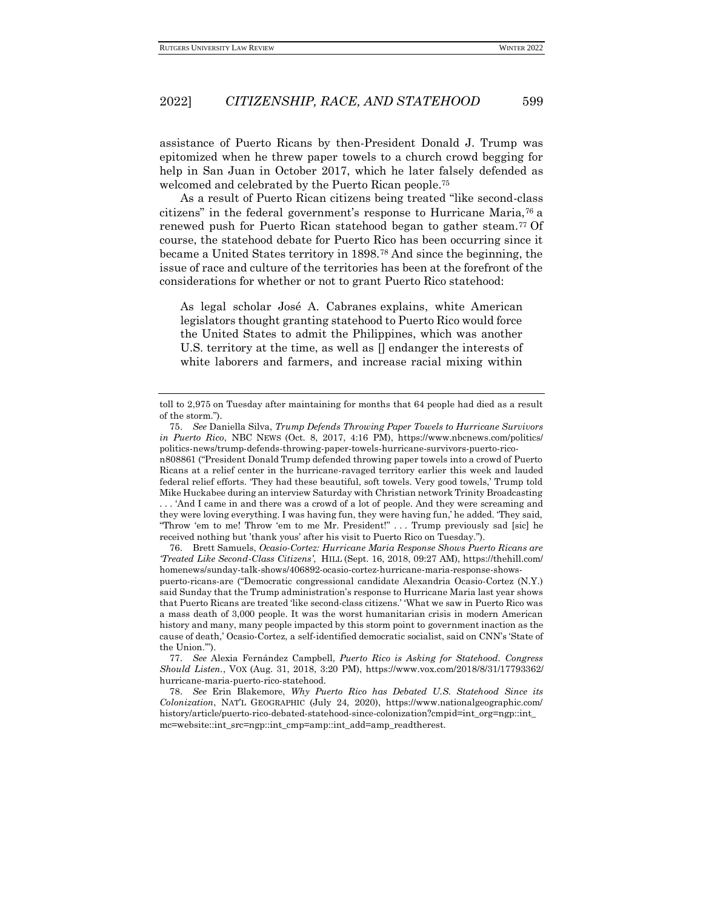assistance of Puerto Ricans by then-President Donald J. Trump was epitomized when he threw paper towels to a church crowd begging for help in San Juan in October 2017, which he later falsely defended as welcomed and celebrated by the Puerto Rican people.<sup>75</sup>

As a result of Puerto Rican citizens being treated "like second-class citizens" in the federal government's response to Hurricane Maria,<sup>76</sup> a renewed push for Puerto Rican statehood began to gather steam.<sup>77</sup> Of course, the statehood debate for Puerto Rico has been occurring since it became a United States territory in 1898.<sup>78</sup> And since the beginning, the issue of race and culture of the territories has been at the forefront of the considerations for whether or not to grant Puerto Rico statehood:

As legal scholar José A. Cabranes explains, white American legislators thought granting statehood to Puerto Rico would force the United States to admit the Philippines, which was another U.S. territory at the time, as well as [] endanger the interests of white laborers and farmers, and increase racial mixing within

n808861 ("President Donald Trump defended throwing paper towels into a crowd of Puerto Ricans at a relief center in the hurricane-ravaged territory earlier this week and lauded federal relief efforts. 'They had these beautiful, soft towels. Very good towels,' Trump told Mike Huckabee during an interview Saturday with Christian network Trinity Broadcasting . . . 'And I came in and there was a crowd of a lot of people. And they were screaming and they were loving everything. I was having fun, they were having fun,' he added. 'They said, "Throw 'em to me! Throw 'em to me Mr. President!" . . . Trump previously sad [sic] he received nothing but 'thank yous' after his visit to Puerto Rico on Tuesday.").

76. Brett Samuels, *Ocasio-Cortez: Hurricane Maria Response Shows Puerto Ricans are 'Treated Like Second-Class Citizens'*, HILL (Sept. 16, 2018, 09:27 AM), https://thehill.com/ homenews/sunday-talk-shows/406892-ocasio-cortez-hurricane-maria-response-showspuerto-ricans-are ("Democratic congressional candidate Alexandria Ocasio-Cortez (N.Y.) said Sunday that the Trump administration's response to Hurricane Maria last year shows that Puerto Ricans are treated 'like second-class citizens.' 'What we saw in Puerto Rico was a mass death of 3,000 people. It was the worst humanitarian crisis in modern American history and many, many people impacted by this storm point to government inaction as the cause of death,' Ocasio-Cortez, a self-identified democratic socialist, said on CNN's 'State of the Union.'").

77. *See* Alexia Fernández Campbell, *Puerto Rico is Asking for Statehood. Congress Should Listen.*, VOX (Aug. 31, 2018, 3:20 PM), https://www.vox.com/2018/8/31/17793362/ hurricane-maria-puerto-rico-statehood.

78. *See* Erin Blakemore, *Why Puerto Rico has Debated U.S. Statehood Since its Colonization*, NAT'L GEOGRAPHIC (July 24, 2020), https://www.nationalgeographic.com/ history/article/puerto-rico-debated-statehood-since-colonization?cmpid=int\_org=ngp::int\_ mc=website::int\_src=ngp::int\_cmp=amp::int\_add=amp\_readtherest.

toll to 2,975 on Tuesday after maintaining for months that 64 people had died as a result of the storm.").

<sup>75.</sup> *See* Daniella Silva, *Trump Defends Throwing Paper Towels to Hurricane Survivors in Puerto Rico*, NBC NEWS (Oct. 8, 2017, 4:16 PM), https://www.nbcnews.com/politics/ politics-news/trump-defends-throwing-paper-towels-hurricane-survivors-puerto-rico-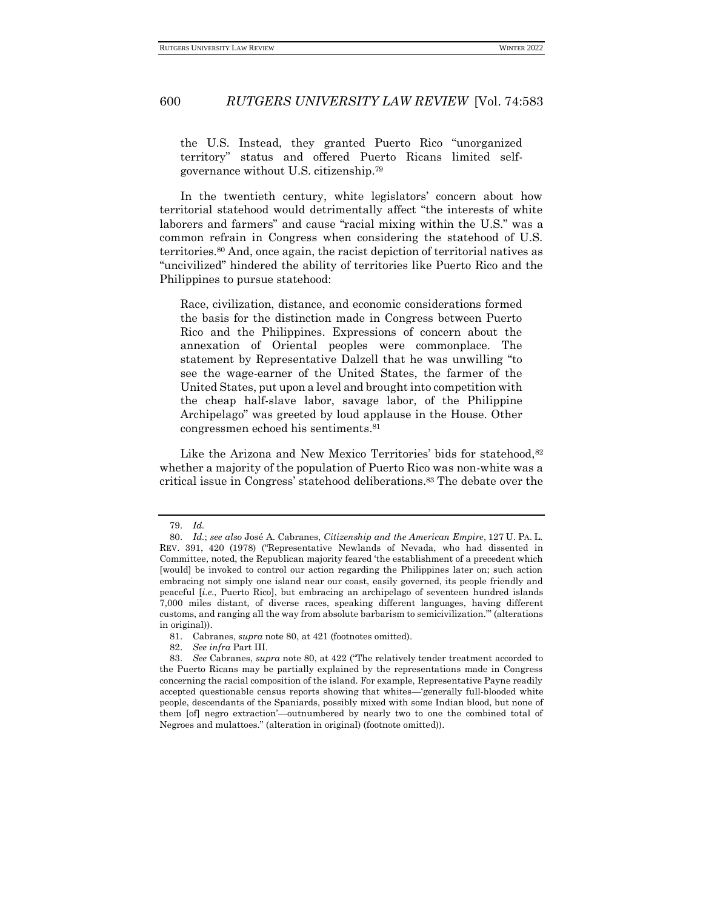the U.S. Instead, they granted Puerto Rico "unorganized territory" status and offered Puerto Ricans limited selfgovernance without U.S. citizenship.<sup>79</sup>

In the twentieth century, white legislators' concern about how territorial statehood would detrimentally affect "the interests of white laborers and farmers" and cause "racial mixing within the U.S." was a common refrain in Congress when considering the statehood of U.S. territories.<sup>80</sup> And, once again, the racist depiction of territorial natives as "uncivilized" hindered the ability of territories like Puerto Rico and the Philippines to pursue statehood:

Race, civilization, distance, and economic considerations formed the basis for the distinction made in Congress between Puerto Rico and the Philippines. Expressions of concern about the annexation of Oriental peoples were commonplace. The statement by Representative Dalzell that he was unwilling "to see the wage-earner of the United States, the farmer of the United States, put upon a level and brought into competition with the cheap half-slave labor, savage labor, of the Philippine Archipelago" was greeted by loud applause in the House. Other congressmen echoed his sentiments.<sup>81</sup>

Like the Arizona and New Mexico Territories' bids for statehood, 82 whether a majority of the population of Puerto Rico was non-white was a critical issue in Congress' statehood deliberations.<sup>83</sup> The debate over the

<sup>79.</sup> *Id.*

<sup>80.</sup> *Id.*; *see also* José A. Cabranes, *Citizenship and the American Empire*, 127 U. PA. L. REV. 391, 420 (1978) ("Representative Newlands of Nevada, who had dissented in Committee, noted, the Republican majority feared 'the establishment of a precedent which [would] be invoked to control our action regarding the Philippines later on; such action embracing not simply one island near our coast, easily governed, its people friendly and peaceful [*i.e.*, Puerto Rico], but embracing an archipelago of seventeen hundred islands 7,000 miles distant, of diverse races, speaking different languages, having different customs, and ranging all the way from absolute barbarism to semicivilization.'" (alterations in original)).

<sup>81.</sup> Cabranes, *supra* note 80, at 421 (footnotes omitted).

<sup>82.</sup> *See infra* Part III.

<sup>83.</sup> *See* Cabranes, *supra* note 80, at 422 ("The relatively tender treatment accorded to the Puerto Ricans may be partially explained by the representations made in Congress concerning the racial composition of the island. For example, Representative Payne readily accepted questionable census reports showing that whites—'generally full-blooded white people, descendants of the Spaniards, possibly mixed with some Indian blood, but none of them [of] negro extraction'—outnumbered by nearly two to one the combined total of Negroes and mulattoes." (alteration in original) (footnote omitted)).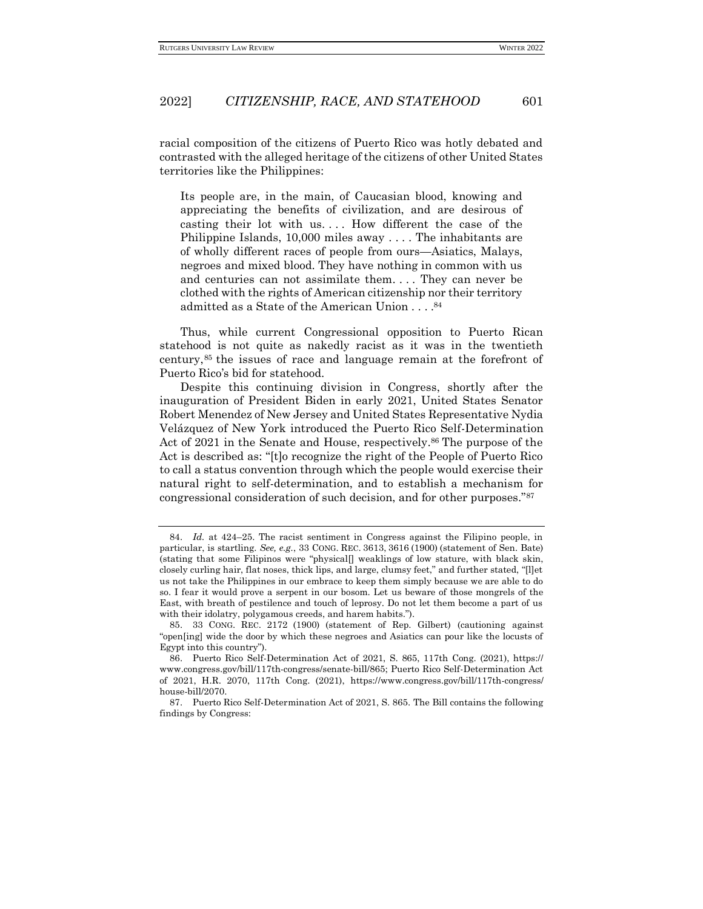racial composition of the citizens of Puerto Rico was hotly debated and contrasted with the alleged heritage of the citizens of other United States territories like the Philippines:

Its people are, in the main, of Caucasian blood, knowing and appreciating the benefits of civilization, and are desirous of casting their lot with us.... How different the case of the Philippine Islands, 10,000 miles away . . . . The inhabitants are of wholly different races of people from ours—Asiatics, Malays, negroes and mixed blood. They have nothing in common with us and centuries can not assimilate them. . . . They can never be clothed with the rights of American citizenship nor their territory admitted as a State of the American Union . . . . 84

Thus, while current Congressional opposition to Puerto Rican statehood is not quite as nakedly racist as it was in the twentieth century,<sup>85</sup> the issues of race and language remain at the forefront of Puerto Rico's bid for statehood.

Despite this continuing division in Congress, shortly after the inauguration of President Biden in early 2021, United States Senator Robert Menendez of New Jersey and United States Representative Nydia Velázquez of New York introduced the Puerto Rico Self-Determination Act of 2021 in the Senate and House, respectively.<sup>86</sup> The purpose of the Act is described as: "[t]o recognize the right of the People of Puerto Rico to call a status convention through which the people would exercise their natural right to self-determination, and to establish a mechanism for congressional consideration of such decision, and for other purposes."<sup>87</sup>

<sup>84.</sup> *Id.* at 424–25. The racist sentiment in Congress against the Filipino people, in particular, is startling. *See, e.g.*, 33 CONG. REC. 3613, 3616 (1900) (statement of Sen. Bate) (stating that some Filipinos were "physical[] weaklings of low stature, with black skin, closely curling hair, flat noses, thick lips, and large, clumsy feet," and further stated, "[l]et us not take the Philippines in our embrace to keep them simply because we are able to do so. I fear it would prove a serpent in our bosom. Let us beware of those mongrels of the East, with breath of pestilence and touch of leprosy. Do not let them become a part of us with their idolatry, polygamous creeds, and harem habits.").

<sup>85.</sup> 33 CONG. REC. 2172 (1900) (statement of Rep. Gilbert) (cautioning against "open[ing] wide the door by which these negroes and Asiatics can pour like the locusts of Egypt into this country").

<sup>86.</sup> Puerto Rico Self-Determination Act of 2021, S. 865, 117th Cong. (2021), https:// www.congress.gov/bill/117th-congress/senate-bill/865; Puerto Rico Self-Determination Act of 2021, H.R. 2070, 117th Cong. (2021), https://www.congress.gov/bill/117th-congress/ house-bill/2070.

<sup>87.</sup> Puerto Rico Self-Determination Act of 2021, S. 865. The Bill contains the following findings by Congress: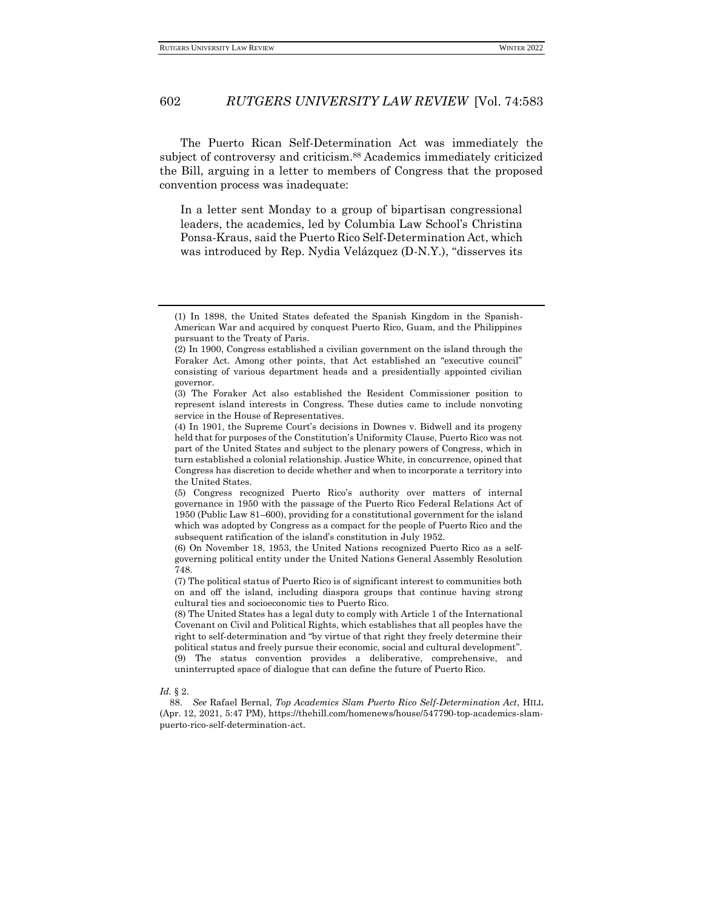The Puerto Rican Self-Determination Act was immediately the subject of controversy and criticism.<sup>88</sup> Academics immediately criticized the Bill, arguing in a letter to members of Congress that the proposed convention process was inadequate:

In a letter sent Monday to a group of bipartisan congressional leaders, the academics, led by Columbia Law School's Christina Ponsa-Kraus, said the Puerto Rico Self-Determination Act, which was introduced by Rep. Nydia Velázquez (D-N.Y.), "disserves its

#### *Id.* § 2.

88. *See* Rafael Bernal, *Top Academics Slam Puerto Rico Self-Determination Act*, HILL (Apr. 12, 2021, 5:47 PM), https://thehill.com/homenews/house/547790-top-academics-slampuerto-rico-self-determination-act.

<sup>(1)</sup> In 1898, the United States defeated the Spanish Kingdom in the Spanish-American War and acquired by conquest Puerto Rico, Guam, and the Philippines pursuant to the Treaty of Paris.

<sup>(2)</sup> In 1900, Congress established a civilian government on the island through the Foraker Act. Among other points, that Act established an "executive council" consisting of various department heads and a presidentially appointed civilian governor.

<sup>(3)</sup> The Foraker Act also established the Resident Commissioner position to represent island interests in Congress. These duties came to include nonvoting service in the House of Representatives.

<sup>(4)</sup> In 1901, the Supreme Court's decisions in Downes v. Bidwell and its progeny held that for purposes of the Constitution's Uniformity Clause, Puerto Rico was not part of the United States and subject to the plenary powers of Congress, which in turn established a colonial relationship. Justice White, in concurrence, opined that Congress has discretion to decide whether and when to incorporate a territory into the United States.

<sup>(5)</sup> Congress recognized Puerto Rico's authority over matters of internal governance in 1950 with the passage of the Puerto Rico Federal Relations Act of 1950 (Public Law 81–600), providing for a constitutional government for the island which was adopted by Congress as a compact for the people of Puerto Rico and the subsequent ratification of the island's constitution in July 1952.

<sup>(6)</sup> On November 18, 1953, the United Nations recognized Puerto Rico as a selfgoverning political entity under the United Nations General Assembly Resolution 748.

<sup>(7)</sup> The political status of Puerto Rico is of significant interest to communities both on and off the island, including diaspora groups that continue having strong cultural ties and socioeconomic ties to Puerto Rico.

<sup>(8)</sup> The United States has a legal duty to comply with Article 1 of the International Covenant on Civil and Political Rights, which establishes that all peoples have the right to self-determination and "by virtue of that right they freely determine their political status and freely pursue their economic, social and cultural development". (9) The status convention provides a deliberative, comprehensive, and uninterrupted space of dialogue that can define the future of Puerto Rico.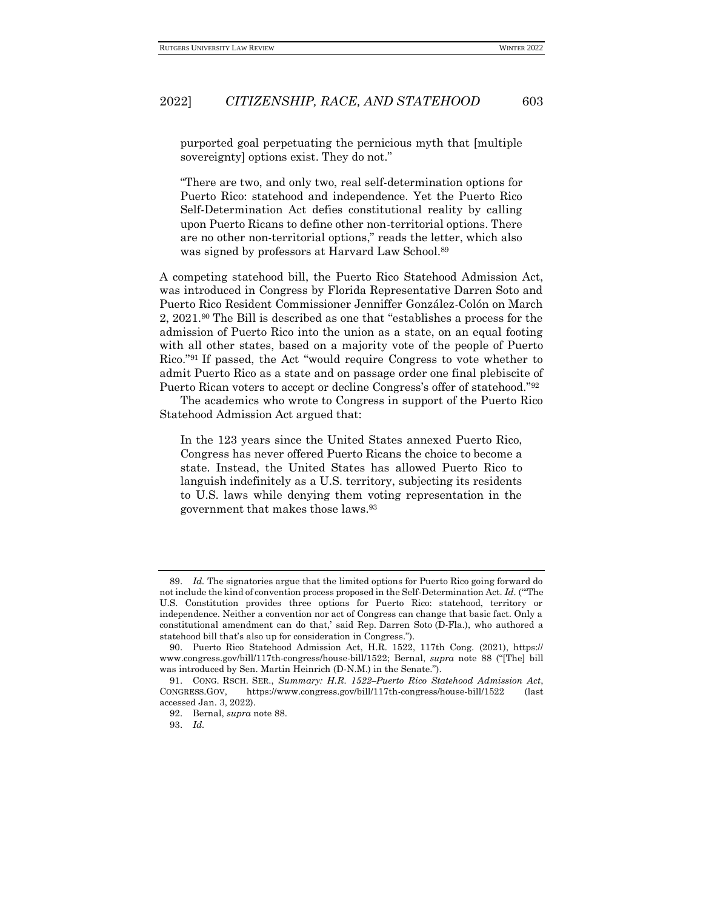purported goal perpetuating the pernicious myth that [multiple sovereignty] options exist. They do not."

"There are two, and only two, real self-determination options for Puerto Rico: statehood and independence. Yet the Puerto Rico Self-Determination Act defies constitutional reality by calling upon Puerto Ricans to define other non-territorial options. There are no other non-territorial options," reads the letter, which also was signed by professors at Harvard Law School.<sup>89</sup>

A competing statehood bill, the Puerto Rico Statehood Admission Act, was introduced in Congress by Florida Representative Darren Soto and Puerto Rico Resident Commissioner Jenniffer González-Colón on March 2, 2021.<sup>90</sup> The Bill is described as one that "establishes a process for the admission of Puerto Rico into the union as a state, on an equal footing with all other states, based on a majority vote of the people of Puerto Rico."<sup>91</sup> If passed, the Act "would require Congress to vote whether to admit Puerto Rico as a state and on passage order one final plebiscite of Puerto Rican voters to accept or decline Congress's offer of statehood."<sup>92</sup>

The academics who wrote to Congress in support of the Puerto Rico Statehood Admission Act argued that:

In the 123 years since the United States annexed Puerto Rico, Congress has never offered Puerto Ricans the choice to become a state. Instead, the United States has allowed Puerto Rico to languish indefinitely as a U.S. territory, subjecting its residents to U.S. laws while denying them voting representation in the government that makes those laws.<sup>93</sup>

<sup>89.</sup> *Id.* The signatories argue that the limited options for Puerto Rico going forward do not include the kind of convention process proposed in the Self-Determination Act. *Id.* ("'The U.S. Constitution provides three options for Puerto Rico: statehood, territory or independence. Neither a convention nor act of Congress can change that basic fact. Only a constitutional amendment can do that,' said Rep. Darren Soto (D-Fla.), who authored a statehood bill that's also up for consideration in Congress.").

<sup>90.</sup> Puerto Rico Statehood Admission Act, H.R. 1522, 117th Cong. (2021), https:// www.congress.gov/bill/117th-congress/house-bill/1522; Bernal, *supra* note 88 ("[The] bill was introduced by Sen. Martin Heinrich (D-N.M.) in the Senate.").

<sup>91.</sup> CONG. RSCH. SER., *Summary: H.R. 1522–Puerto Rico Statehood Admission Act*, CONGRESS.GOV, https://www.congress.gov/bill/117th-congress/house-bill/1522 (last accessed Jan. 3, 2022).

<sup>92.</sup> Bernal, *supra* note 88.

<sup>93.</sup> *Id.*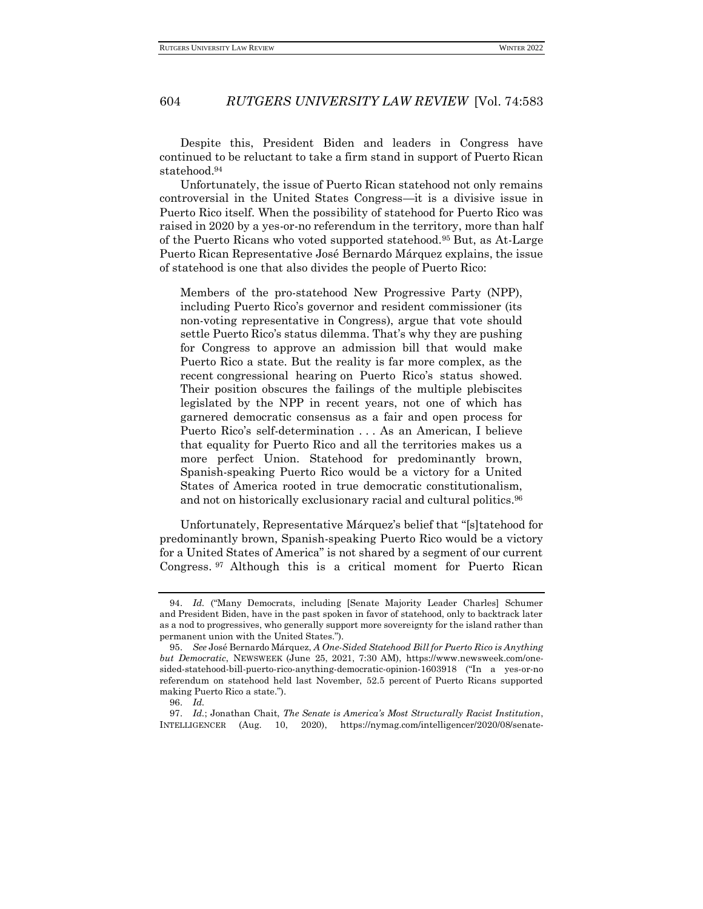Despite this, President Biden and leaders in Congress have continued to be reluctant to take a firm stand in support of Puerto Rican statehood.<sup>94</sup>

Unfortunately, the issue of Puerto Rican statehood not only remains controversial in the United States Congress—it is a divisive issue in Puerto Rico itself. When the possibility of statehood for Puerto Rico was raised in 2020 by a yes-or-no referendum in the territory, more than half of the Puerto Ricans who voted supported statehood.<sup>95</sup> But, as At-Large Puerto Rican Representative José Bernardo Márquez explains, the issue of statehood is one that also divides the people of Puerto Rico:

Members of the pro-statehood New Progressive Party (NPP), including Puerto Rico's governor and resident commissioner (its non-voting representative in Congress), argue that vote should settle Puerto Rico's status dilemma. That's why they are pushing for Congress to approve an admission bill that would make Puerto Rico a state. But the reality is far more complex, as the recent congressional hearing on Puerto Rico's status showed. Their position obscures the failings of the multiple plebiscites legislated by the NPP in recent years, not one of which has garnered democratic consensus as a fair and open process for Puerto Rico's self-determination . . . As an American, I believe that equality for Puerto Rico and all the territories makes us a more perfect Union. Statehood for predominantly brown, Spanish-speaking Puerto Rico would be a victory for a United States of America rooted in true democratic constitutionalism, and not on historically exclusionary racial and cultural politics.<sup>96</sup>

Unfortunately, Representative Márquez's belief that "[s]tatehood for predominantly brown, Spanish-speaking Puerto Rico would be a victory for a United States of America" is not shared by a segment of our current Congress. <sup>97</sup> Although this is a critical moment for Puerto Rican

<sup>94.</sup> *Id.* ("Many Democrats, including [Senate Majority Leader Charles] Schumer and President Biden, have in the past spoken in favor of statehood, only to backtrack later as a nod to progressives, who generally support more sovereignty for the island rather than permanent union with the United States.").

<sup>95.</sup> *See* José Bernardo Márquez, *A One-Sided Statehood Bill for Puerto Rico is Anything but Democratic*, NEWSWEEK (June 25, 2021, 7:30 AM), https://www.newsweek.com/onesided-statehood-bill-puerto-rico-anything-democratic-opinion-1603918 ("In a yes-or-no referendum on statehood held last November, 52.5 percent of Puerto Ricans supported making Puerto Rico a state.").

<sup>96.</sup> *Id.*

<sup>97.</sup> *Id.*; Jonathan Chait, *The Senate is America's Most Structurally Racist Institution*, INTELLIGENCER (Aug. 10, 2020), https://nymag.com/intelligencer/2020/08/senate-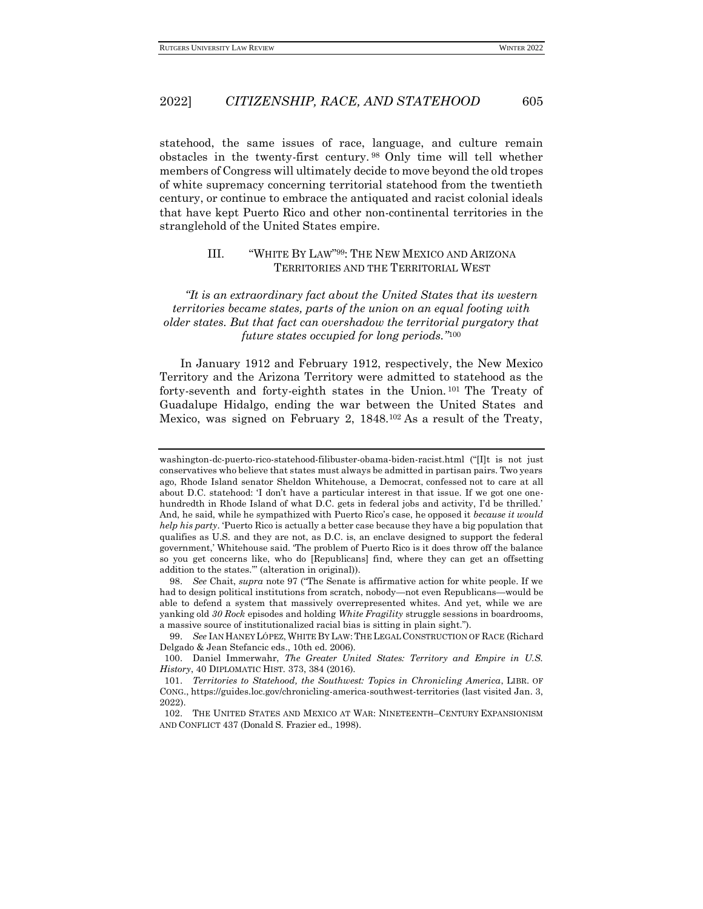statehood, the same issues of race, language, and culture remain obstacles in the twenty-first century. <sup>98</sup> Only time will tell whether members of Congress will ultimately decide to move beyond the old tropes of white supremacy concerning territorial statehood from the twentieth century, or continue to embrace the antiquated and racist colonial ideals that have kept Puerto Rico and other non-continental territories in the stranglehold of the United States empire.

### <span id="page-22-0"></span>III. "WHITE BY LAW" <sup>99</sup>: THE NEW MEXICO AND ARIZONA TERRITORIES AND THE TERRITORIAL WEST

*"It is an extraordinary fact about the United States that its western territories became states, parts of the union on an equal footing with older states. But that fact can overshadow the territorial purgatory that future states occupied for long periods."*<sup>100</sup>

In January 1912 and February 1912, respectively, the New Mexico Territory and the Arizona Territory were admitted to statehood as the forty-seventh and forty-eighth states in the Union. <sup>101</sup> The Treaty of Guadalupe Hidalgo, ending the war between the United States and Mexico, was signed on February 2, 1848.<sup>102</sup> As a result of the Treaty,

washington-dc-puerto-rico-statehood-filibuster-obama-biden-racist.html ("[I]t is not just conservatives who believe that states must always be admitted in partisan pairs. Two years ago, Rhode Island senator Sheldon Whitehouse, a Democrat, confessed not to care at all about D.C. statehood: 'I don't have a particular interest in that issue. If we got one onehundredth in Rhode Island of what D.C. gets in federal jobs and activity, I'd be thrilled.' And, he said, while he sympathized with Puerto Rico's case, he opposed it *because it would help his party*. 'Puerto Rico is actually a better case because they have a big population that qualifies as U.S. and they are not, as D.C. is, an enclave designed to support the federal government,' Whitehouse said. 'The problem of Puerto Rico is it does throw off the balance so you get concerns like, who do [Republicans] find, where they can get an offsetting addition to the states.'" (alteration in original)).

<sup>98.</sup> *See* Chait, *supra* note 97 ("The Senate is affirmative action for white people. If we had to design political institutions from scratch, nobody—not even Republicans—would be able to defend a system that massively overrepresented whites. And yet, while we are yanking old *30 Rock* episodes and holding *White Fragility* struggle sessions in boardrooms, a massive source of institutionalized racial bias is sitting in plain sight.").

<sup>99.</sup> *See* IAN HANEY LÓPEZ,WHITE BY LAW:THE LEGAL CONSTRUCTION OF RACE (Richard Delgado & Jean Stefancic eds., 10th ed. 2006).

<sup>100.</sup> Daniel Immerwahr, *The Greater United States: Territory and Empire in U.S. History*, 40 DIPLOMATIC HIST*.* 373, 384 (2016).

<sup>101.</sup> *Territories to Statehood, the Southwest: Topics in Chronicling America*, LIBR. OF CONG., https://guides.loc.gov/chronicling-america-southwest-territories (last visited Jan. 3, 2022).

<sup>102.</sup> THE UNITED STATES AND MEXICO AT WAR: NINETEENTH–CENTURY EXPANSIONISM AND CONFLICT 437 (Donald S. Frazier ed., 1998).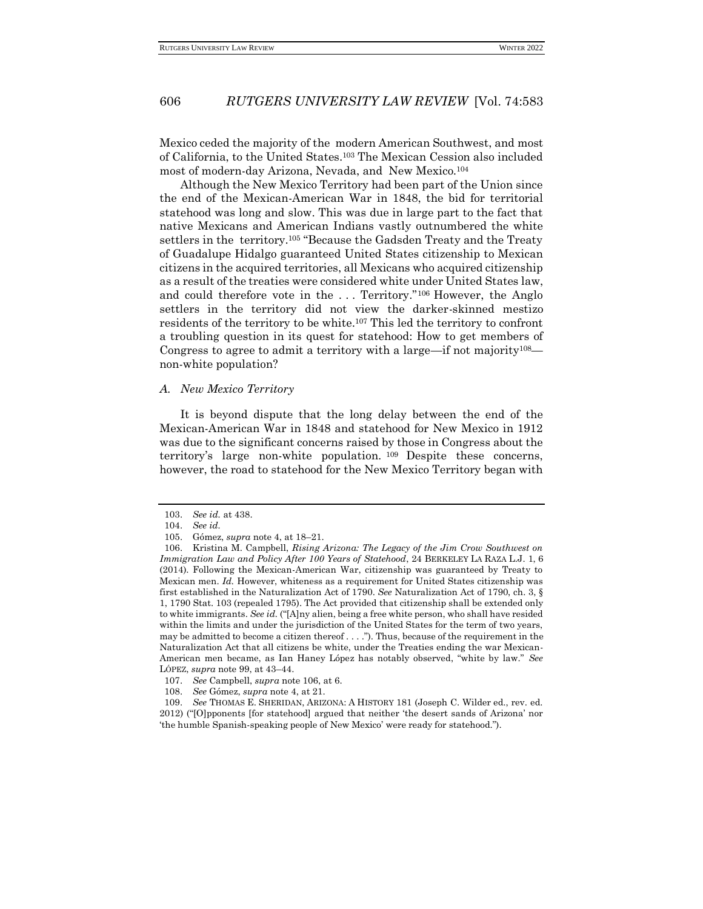Mexico ceded the majority of the modern American Southwest, and most of California, to the United States.<sup>103</sup> The Mexican Cession also included most of modern-day Arizona, Nevada, and New Mexico.<sup>104</sup>

Although the New Mexico Territory had been part of the Union since the end of the Mexican-American War in 1848, the bid for territorial statehood was long and slow. This was due in large part to the fact that native Mexicans and American Indians vastly outnumbered the white settlers in the territory.<sup>105</sup> "Because the Gadsden Treaty and the Treaty of Guadalupe Hidalgo guaranteed United States citizenship to Mexican citizens in the acquired territories, all Mexicans who acquired citizenship as a result of the treaties were considered white under United States law, and could therefore vote in the . . . Territory."<sup>106</sup> However, the Anglo settlers in the territory did not view the darker-skinned mestizo residents of the territory to be white.<sup>107</sup> This led the territory to confront a troubling question in its quest for statehood: How to get members of Congress to agree to admit a territory with a large—if not majority108 non-white population?

#### <span id="page-23-0"></span>*A. New Mexico Territory*

It is beyond dispute that the long delay between the end of the Mexican-American War in 1848 and statehood for New Mexico in 1912 was due to the significant concerns raised by those in Congress about the territory's large non-white population. <sup>109</sup> Despite these concerns, however, the road to statehood for the New Mexico Territory began with

<sup>103.</sup> *See id.* at 438.

<sup>104.</sup> *See id.*

<sup>105.</sup> Gómez, *supra* note 4, at 18–21.

<sup>106.</sup> Kristina M. Campbell, *Rising Arizona: The Legacy of the Jim Crow Southwest on Immigration Law and Policy After 100 Years of Statehood*, 24 BERKELEY LA RAZA L.J. 1, 6 (2014). Following the Mexican-American War, citizenship was guaranteed by Treaty to Mexican men. *Id.* However, whiteness as a requirement for United States citizenship was first established in the Naturalization Act of 1790. *See* Naturalization Act of 1790, ch. 3, § 1, 1790 Stat. 103 (repealed 1795). The Act provided that citizenship shall be extended only to white immigrants. *See id.* ("[A]ny alien, being a free white person, who shall have resided within the limits and under the jurisdiction of the United States for the term of two years, may be admitted to become a citizen thereof . . . ."). Thus, because of the requirement in the Naturalization Act that all citizens be white, under the Treaties ending the war Mexican-American men became, as Ian Haney López has notably observed, "white by law." *See* LÓPEZ, *supra* note 99, at 43–44.

<sup>107.</sup> *See* Campbell, *supra* note 106, at 6.

<sup>108.</sup> *See* Gómez, *supra* note 4, at 21.

<sup>109.</sup> *See* THOMAS E. SHERIDAN, ARIZONA: A HISTORY 181 (Joseph C. Wilder ed., rev. ed. 2012) ("[O]pponents [for statehood] argued that neither 'the desert sands of Arizona' nor 'the humble Spanish-speaking people of New Mexico' were ready for statehood.").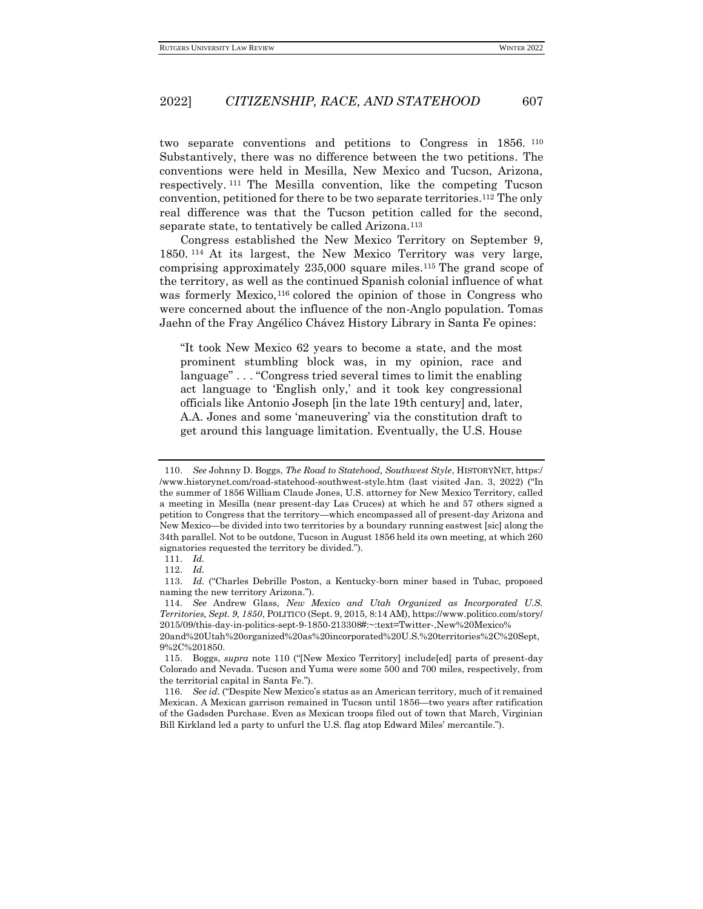two separate conventions and petitions to Congress in 1856. <sup>110</sup> Substantively, there was no difference between the two petitions. The conventions were held in Mesilla, New Mexico and Tucson, Arizona, respectively. <sup>111</sup> The Mesilla convention, like the competing Tucson convention, petitioned for there to be two separate territories.<sup>112</sup> The only real difference was that the Tucson petition called for the second, separate state, to tentatively be called Arizona.<sup>113</sup>

Congress established the New Mexico Territory on September 9, 1850. <sup>114</sup> At its largest, the New Mexico Territory was very large, comprising approximately 235,000 square miles.<sup>115</sup> The grand scope of the territory, as well as the continued Spanish colonial influence of what was formerly Mexico,<sup>116</sup> colored the opinion of those in Congress who were concerned about the influence of the non-Anglo population. Tomas Jaehn of the Fray Angélico Chávez History Library in Santa Fe opines:

"It took New Mexico 62 years to become a state, and the most prominent stumbling block was, in my opinion, race and language" . . . "Congress tried several times to limit the enabling act language to 'English only,' and it took key congressional officials like Antonio Joseph [in the late 19th century] and, later, A.A. Jones and some 'maneuvering' via the constitution draft to get around this language limitation. Eventually, the U.S. House

<sup>110.</sup> *See* Johnny D. Boggs, *The Road to Statehood, Southwest Style*, HISTORYNET, https:/ /www.historynet.com/road-statehood-southwest-style.htm (last visited Jan. 3, 2022) ("In the summer of 1856 William Claude Jones, U.S. attorney for New Mexico Territory, called a meeting in Mesilla (near present-day Las Cruces) at which he and 57 others signed a petition to Congress that the territory—which encompassed all of present-day Arizona and New Mexico—be divided into two territories by a boundary running eastwest [sic] along the 34th parallel. Not to be outdone, Tucson in August 1856 held its own meeting, at which 260 signatories requested the territory be divided.").

<sup>111.</sup> *Id.*

<sup>112.</sup> *Id.*

<sup>113.</sup> *Id.* ("Charles Debrille Poston, a Kentucky-born miner based in Tubac, proposed naming the new territory Arizona.").

<sup>114.</sup> *See* Andrew Glass, *New Mexico and Utah Organized as Incorporated U.S. Territories, Sept. 9, 1850*, POLITICO (Sept. 9, 2015, 8:14 AM), https://www.politico.com/story/ 2015/09/this-day-in-politics-sept-9-1850-213308#:~:text=Twitter-,New%20Mexico%

<sup>20</sup>and%20Utah%20organized%20as%20incorporated%20U.S.%20territories%2C%20Sept, 9%2C%201850.

<sup>115.</sup> Boggs, *supra* note 110 ("[New Mexico Territory] include[ed] parts of present-day Colorado and Nevada. Tucson and Yuma were some 500 and 700 miles, respectively, from the territorial capital in Santa Fe.").

<sup>116.</sup> *See id.* ("Despite New Mexico's status as an American territory, much of it remained Mexican. A Mexican garrison remained in Tucson until 1856—two years after ratification of the Gadsden Purchase. Even as Mexican troops filed out of town that March, Virginian Bill Kirkland led a party to unfurl the U.S. flag atop Edward Miles' mercantile.").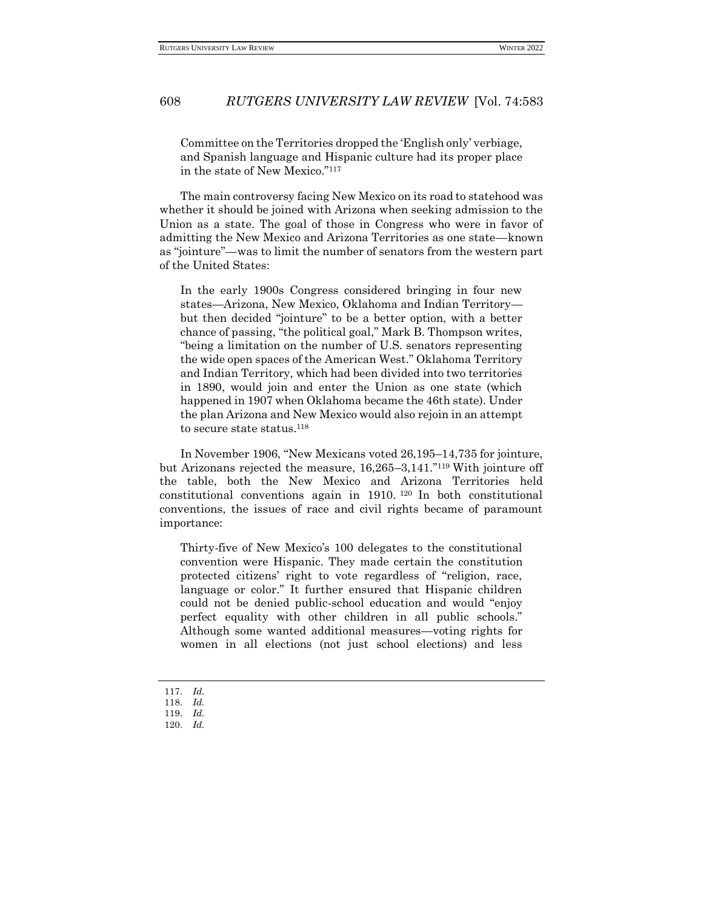Committee on the Territories dropped the 'English only' verbiage, and Spanish language and Hispanic culture had its proper place in the state of New Mexico."<sup>117</sup>

The main controversy facing New Mexico on its road to statehood was whether it should be joined with Arizona when seeking admission to the Union as a state. The goal of those in Congress who were in favor of admitting the New Mexico and Arizona Territories as one state—known as "jointure"—was to limit the number of senators from the western part of the United States:

In the early 1900s Congress considered bringing in four new states—Arizona, New Mexico, Oklahoma and Indian Territory but then decided "jointure" to be a better option, with a better chance of passing, "the political goal," Mark B. Thompson writes, "being a limitation on the number of U.S. senators representing the wide open spaces of the American West." Oklahoma Territory and Indian Territory, which had been divided into two territories in 1890, would join and enter the Union as one state (which happened in 1907 when Oklahoma became the 46th state). Under the plan Arizona and New Mexico would also rejoin in an attempt to secure state status.<sup>118</sup>

In November 1906, "New Mexicans voted 26,195–14,735 for jointure, but Arizonans rejected the measure, 16,265–3,141."<sup>119</sup> With jointure off the table, both the New Mexico and Arizona Territories held constitutional conventions again in 1910. <sup>120</sup> In both constitutional conventions, the issues of race and civil rights became of paramount importance:

Thirty-five of New Mexico's 100 delegates to the constitutional convention were Hispanic. They made certain the constitution protected citizens' right to vote regardless of "religion, race, language or color." It further ensured that Hispanic children could not be denied public-school education and would "enjoy perfect equality with other children in all public schools." Although some wanted additional measures—voting rights for women in all elections (not just school elections) and less

- 117. *Id.*
- 118. *Id.*
- 119. *Id.*
- 120. *Id.*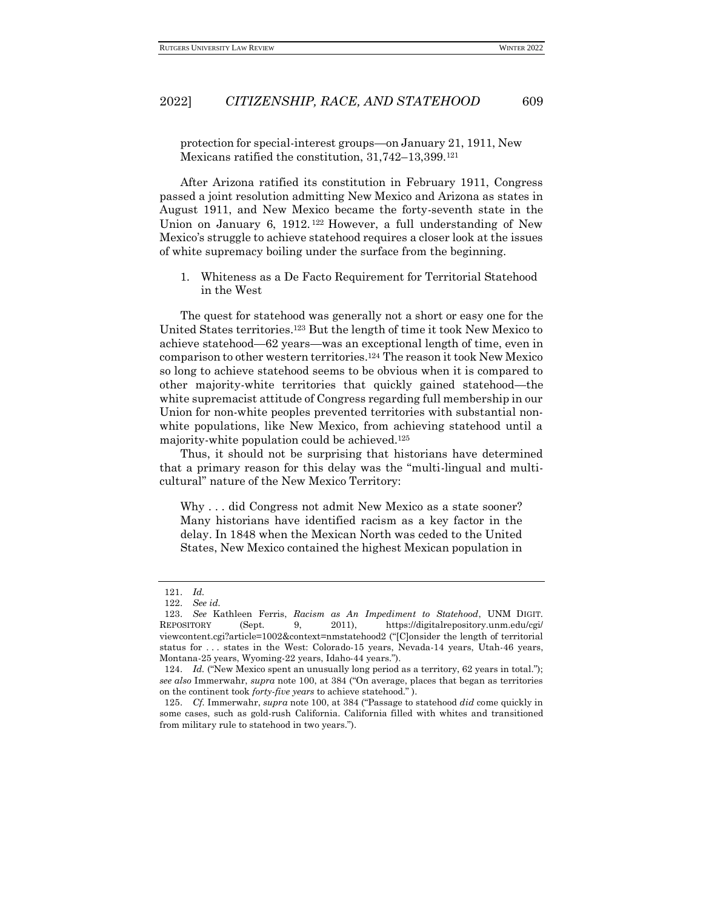protection for special-interest groups—on January 21, 1911, New Mexicans ratified the constitution, 31,742–13,399.<sup>121</sup>

After Arizona ratified its constitution in February 1911, Congress passed a joint resolution admitting New Mexico and Arizona as states in August 1911, and New Mexico became the forty-seventh state in the Union on January 6, 1912. <sup>122</sup> However, a full understanding of New Mexico's struggle to achieve statehood requires a closer look at the issues of white supremacy boiling under the surface from the beginning.

<span id="page-26-0"></span>1. Whiteness as a De Facto Requirement for Territorial Statehood in the West

The quest for statehood was generally not a short or easy one for the United States territories.<sup>123</sup> But the length of time it took New Mexico to achieve statehood—62 years—was an exceptional length of time, even in comparison to other western territories.<sup>124</sup> The reason it took New Mexico so long to achieve statehood seems to be obvious when it is compared to other majority-white territories that quickly gained statehood—the white supremacist attitude of Congress regarding full membership in our Union for non-white peoples prevented territories with substantial nonwhite populations, like New Mexico, from achieving statehood until a majority-white population could be achieved.<sup>125</sup>

Thus, it should not be surprising that historians have determined that a primary reason for this delay was the "multi-lingual and multicultural" nature of the New Mexico Territory:

Why ... did Congress not admit New Mexico as a state sooner? Many historians have identified racism as a key factor in the delay. In 1848 when the Mexican North was ceded to the United States, New Mexico contained the highest Mexican population in

<sup>121.</sup> *Id.*

<sup>122.</sup> *See id.*

<sup>123.</sup> *See* Kathleen Ferris, *Racism as An Impediment to Statehood*, UNM DIGIT. REPOSITORY (Sept. 9, 2011), https://digitalrepository.unm.edu/cgi/ viewcontent.cgi?article=1002&context=nmstatehood2 ("[C]onsider the length of territorial status for . . . states in the West: Colorado-15 years, Nevada-14 years, Utah-46 years, Montana-25 years, Wyoming-22 years, Idaho-44 years.").

<sup>124.</sup> *Id.* ("New Mexico spent an unusually long period as a territory, 62 years in total."); *see also* Immerwahr, *supra* note 100, at 384 ("On average, places that began as territories on the continent took *forty-five years* to achieve statehood." ).

<sup>125.</sup> *Cf.* Immerwahr, *supra* note 100, at 384 ("Passage to statehood *did* come quickly in some cases, such as gold-rush California. California filled with whites and transitioned from military rule to statehood in two years.").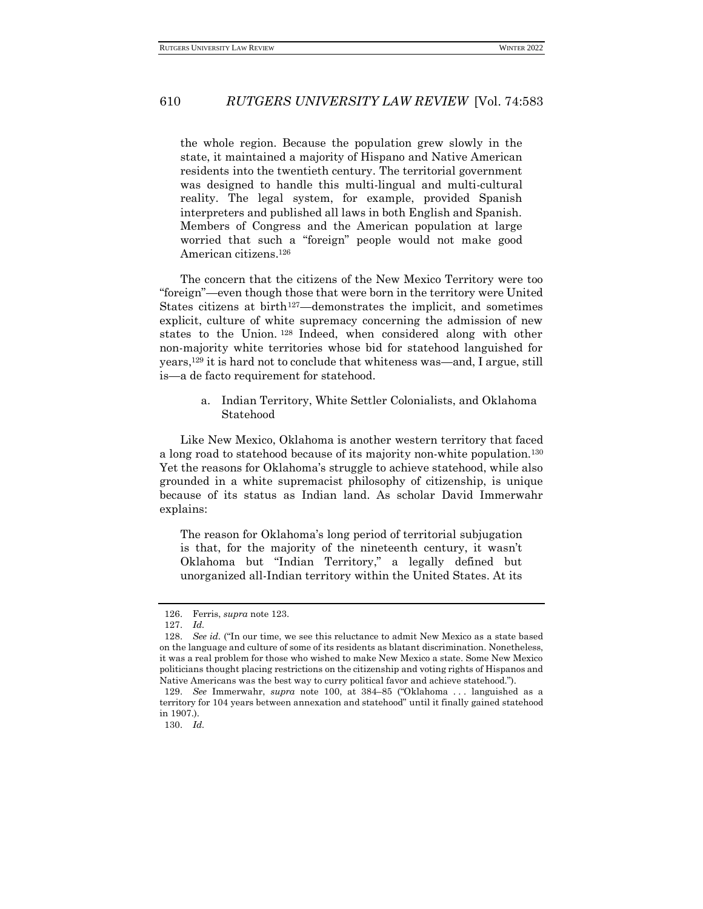the whole region. Because the population grew slowly in the state, it maintained a majority of Hispano and Native American residents into the twentieth century. The territorial government was designed to handle this multi-lingual and multi-cultural reality. The legal system, for example, provided Spanish interpreters and published all laws in both English and Spanish. Members of Congress and the American population at large worried that such a "foreign" people would not make good American citizens.<sup>126</sup>

The concern that the citizens of the New Mexico Territory were too "foreign"—even though those that were born in the territory were United States citizens at birth<sup>127</sup>—demonstrates the implicit, and sometimes explicit, culture of white supremacy concerning the admission of new states to the Union. <sup>128</sup> Indeed, when considered along with other non-majority white territories whose bid for statehood languished for years,<sup>129</sup> it is hard not to conclude that whiteness was—and, I argue, still is—a de facto requirement for statehood.

> <span id="page-27-0"></span>a. Indian Territory, White Settler Colonialists, and Oklahoma Statehood

Like New Mexico, Oklahoma is another western territory that faced a long road to statehood because of its majority non-white population.<sup>130</sup> Yet the reasons for Oklahoma's struggle to achieve statehood, while also grounded in a white supremacist philosophy of citizenship, is unique because of its status as Indian land. As scholar David Immerwahr explains:

The reason for Oklahoma's long period of territorial subjugation is that, for the majority of the nineteenth century, it wasn't Oklahoma but "Indian Territory," a legally defined but unorganized all-Indian territory within the United States. At its

130. *Id.*

<sup>126.</sup> Ferris, *supra* note 123.

<sup>127.</sup> *Id.*

<sup>128.</sup> *See id.* ("In our time, we see this reluctance to admit New Mexico as a state based on the language and culture of some of its residents as blatant discrimination. Nonetheless, it was a real problem for those who wished to make New Mexico a state. Some New Mexico politicians thought placing restrictions on the citizenship and voting rights of Hispanos and Native Americans was the best way to curry political favor and achieve statehood.").

<sup>129.</sup> *See* Immerwahr, *supra* note 100, at 384–85 ("Oklahoma . . . languished as a territory for 104 years between annexation and statehood" until it finally gained statehood in 1907.).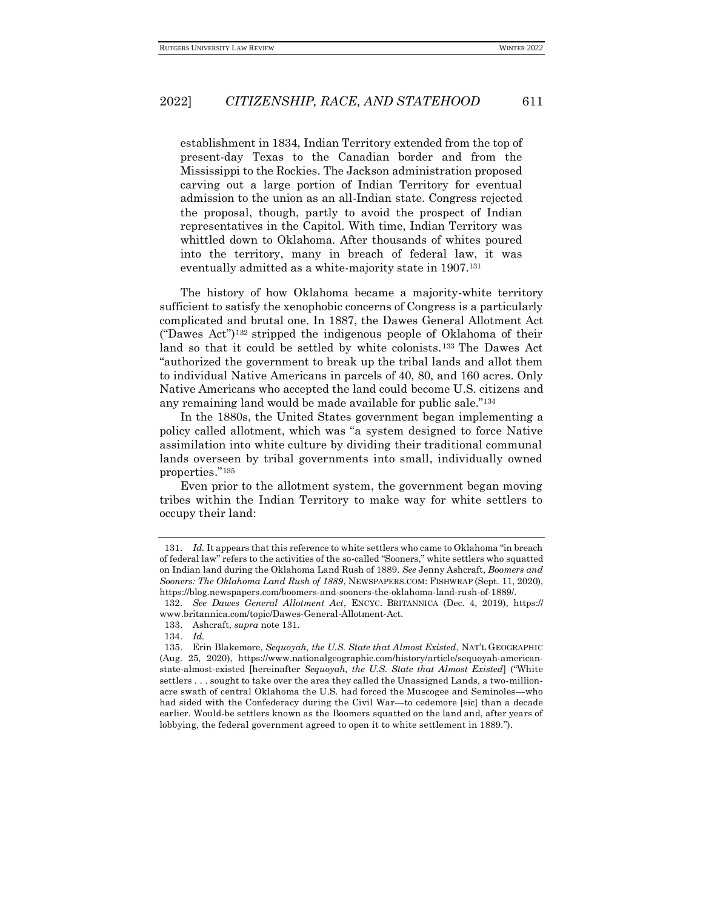establishment in 1834, Indian Territory extended from the top of present-day Texas to the Canadian border and from the Mississippi to the Rockies. The Jackson administration proposed carving out a large portion of Indian Territory for eventual admission to the union as an all-Indian state. Congress rejected the proposal, though, partly to avoid the prospect of Indian representatives in the Capitol. With time, Indian Territory was whittled down to Oklahoma. After thousands of whites poured into the territory, many in breach of federal law, it was eventually admitted as a white-majority state in 1907.<sup>131</sup>

The history of how Oklahoma became a majority-white territory sufficient to satisfy the xenophobic concerns of Congress is a particularly complicated and brutal one. In 1887, the Dawes General Allotment Act ("Dawes Act")<sup>132</sup> stripped the indigenous people of Oklahoma of their land so that it could be settled by white colonists.<sup>133</sup> The Dawes Act "authorized the government to break up the tribal lands and allot them to individual Native Americans in parcels of 40, 80, and 160 acres. Only Native Americans who accepted the land could become U.S. citizens and any remaining land would be made available for public sale."<sup>134</sup>

In the 1880s, the United States government began implementing a policy called allotment, which was "a system designed to force Native assimilation into white culture by dividing their traditional communal lands overseen by tribal governments into small, individually owned properties."<sup>135</sup>

Even prior to the allotment system, the government began moving tribes within the Indian Territory to make way for white settlers to occupy their land:

<sup>131.</sup> *Id.* It appears that this reference to white settlers who came to Oklahoma "in breach of federal law" refers to the activities of the so-called "Sooners," white settlers who squatted on Indian land during the Oklahoma Land Rush of 1889. *See* Jenny Ashcraft, *Boomers and Sooners: The Oklahoma Land Rush of 1889*, NEWSPAPERS.COM: FISHWRAP (Sept. 11, 2020), https://blog.newspapers.com/boomers-and-sooners-the-oklahoma-land-rush-of-1889/.

<sup>132.</sup> *See Dawes General Allotment Act*, ENCYC. BRITANNICA (Dec. 4, 2019), https:// www.britannica.com/topic/Dawes-General-Allotment-Act.

<sup>133.</sup> Ashcraft, *supra* note 131.

<sup>134.</sup> *Id.*

<sup>135.</sup> Erin Blakemore, *Sequoyah, the U.S. State that Almost Existed*, NAT'L GEOGRAPHIC (Aug. 25, 2020), https://www.nationalgeographic.com/history/article/sequoyah-americanstate-almost-existed [hereinafter *Sequoyah, the U.S. State that Almost Existed*] ("White settlers . . . sought to take over the area they called the Unassigned Lands, a two-millionacre swath of central Oklahoma the U.S. had forced the Muscogee and Seminoles—who had sided with the Confederacy during the Civil War—to cedemore [sic] than a decade earlier. Would-be settlers known as the Boomers squatted on the land and, after years of lobbying, the federal government agreed to open it to white settlement in 1889.").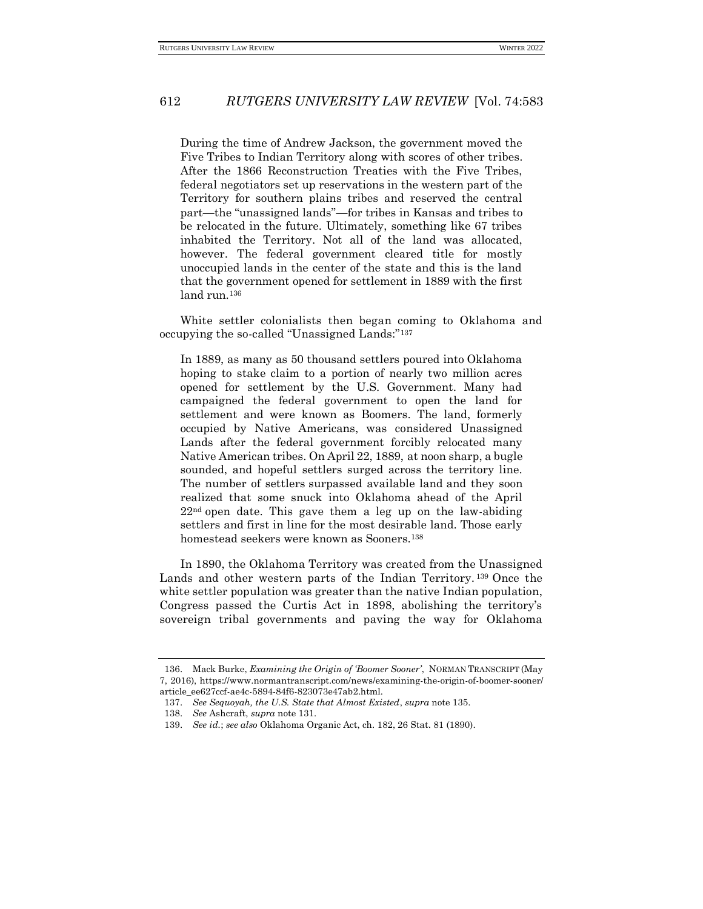During the time of Andrew Jackson, the government moved the Five Tribes to Indian Territory along with scores of other tribes. After the 1866 Reconstruction Treaties with the Five Tribes, federal negotiators set up reservations in the western part of the Territory for southern plains tribes and reserved the central part—the "unassigned lands"—for tribes in Kansas and tribes to be relocated in the future. Ultimately, something like 67 tribes inhabited the Territory. Not all of the land was allocated, however. The federal government cleared title for mostly unoccupied lands in the center of the state and this is the land that the government opened for settlement in 1889 with the first land run.<sup>136</sup>

White settler colonialists then began coming to Oklahoma and occupying the so-called "Unassigned Lands:"<sup>137</sup>

In 1889, as many as 50 thousand settlers poured into Oklahoma hoping to stake claim to a portion of nearly two million acres opened for settlement by the U.S. Government. Many had campaigned the federal government to open the land for settlement and were known as Boomers. The land, formerly occupied by Native Americans, was considered Unassigned Lands after the federal government forcibly relocated many Native American tribes. On April 22, 1889, at noon sharp, a bugle sounded, and hopeful settlers surged across the territory line. The number of settlers surpassed available land and they soon realized that some snuck into Oklahoma ahead of the April  $22<sup>nd</sup>$  open date. This gave them a leg up on the law-abiding settlers and first in line for the most desirable land. Those early homestead seekers were known as Sooners.<sup>138</sup>

In 1890, the Oklahoma Territory was created from the Unassigned Lands and other western parts of the Indian Territory.<sup>139</sup> Once the white settler population was greater than the native Indian population, Congress passed the Curtis Act in 1898, abolishing the territory's sovereign tribal governments and paving the way for Oklahoma

<sup>136.</sup> Mack Burke, *Examining the Origin of 'Boomer Sooner'*, NORMAN TRANSCRIPT (May 7, 2016), https://www.normantranscript.com/news/examining-the-origin-of-boomer-sooner/ article\_ee627ccf-ae4c-5894-84f6-823073e47ab2.html.

<sup>137.</sup> *See Sequoyah, the U.S. State that Almost Existed*, *supra* note 135.

<sup>138.</sup> *See* Ashcraft, *supra* note 131.

<sup>139.</sup> *See id.*; *see also* Oklahoma Organic Act, ch. 182, 26 Stat. 81 (1890).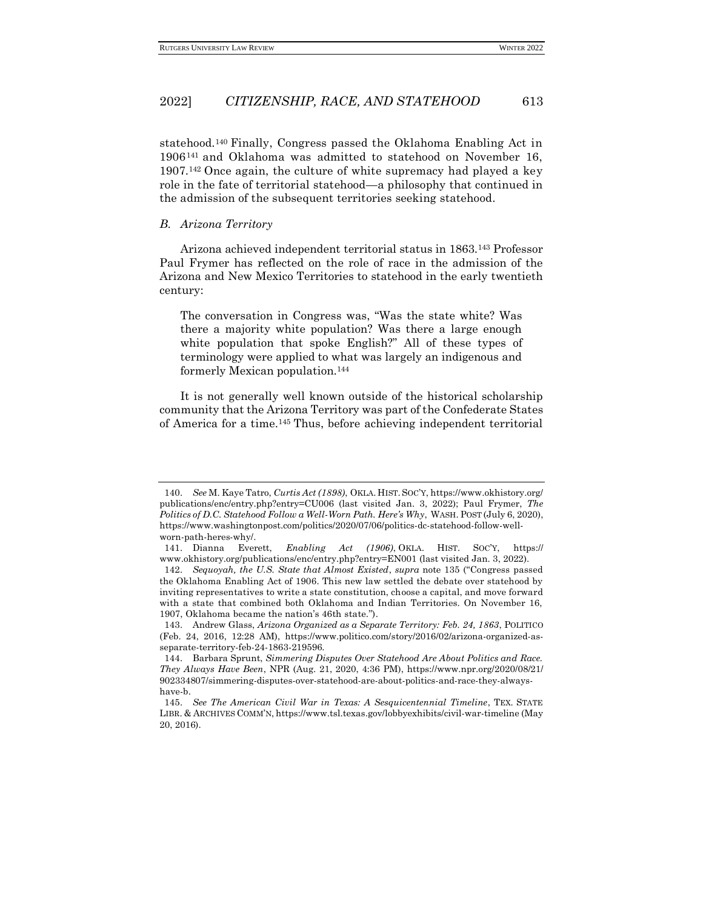statehood.<sup>140</sup> Finally, Congress passed the Oklahoma Enabling Act in 1906<sup>141</sup> and Oklahoma was admitted to statehood on November 16, 1907.<sup>142</sup> Once again, the culture of white supremacy had played a key role in the fate of territorial statehood—a philosophy that continued in the admission of the subsequent territories seeking statehood.

#### <span id="page-30-0"></span>*B. Arizona Territory*

Arizona achieved independent territorial status in 1863.<sup>143</sup> Professor Paul Frymer has reflected on the role of race in the admission of the Arizona and New Mexico Territories to statehood in the early twentieth century:

The conversation in Congress was, "Was the state white? Was there a majority white population? Was there a large enough white population that spoke English?" All of these types of terminology were applied to what was largely an indigenous and formerly Mexican population.<sup>144</sup>

It is not generally well known outside of the historical scholarship community that the Arizona Territory was part of the Confederate States of America for a time.<sup>145</sup> Thus, before achieving independent territorial

<sup>140.</sup> *See* M. Kaye Tatro, *Curtis Act (1898)*, OKLA. HIST. SOC'Y, https://www.okhistory.org/ publications/enc/entry.php?entry=CU006 (last visited Jan. 3, 2022); Paul Frymer, *The Politics of D.C. Statehood Follow a Well-Worn Path. Here's Why*, WASH. POST (July 6, 2020), https://www.washingtonpost.com/politics/2020/07/06/politics-dc-statehood-follow-wellworn-path-heres-why/.

<sup>141.</sup> Dianna Everett, *Enabling Act (1906)*, OKLA. HIST. SOC'Y, https:// www.okhistory.org/publications/enc/entry.php?entry=EN001 (last visited Jan. 3, 2022).

<sup>142.</sup> *Sequoyah, the U.S. State that Almost Existed*, *supra* note 135 ("Congress passed the Oklahoma Enabling Act of 1906. This new law settled the debate over statehood by inviting representatives to write a state constitution, choose a capital, and move forward with a state that combined both Oklahoma and Indian Territories. On November 16, 1907, Oklahoma became the nation's 46th state.").

<sup>143.</sup> Andrew Glass, *Arizona Organized as a Separate Territory: Feb. 24, 1863*, POLITICO (Feb. 24, 2016, 12:28 AM), https://www.politico.com/story/2016/02/arizona-organized-asseparate-territory-feb-24-1863-219596.

<sup>144.</sup> Barbara Sprunt, *Simmering Disputes Over Statehood Are About Politics and Race. They Always Have Been*, NPR (Aug. 21, 2020, 4:36 PM), https://www.npr.org/2020/08/21/ 902334807/simmering-disputes-over-statehood-are-about-politics-and-race-they-alwayshave-b.

<sup>145.</sup> *See The American Civil War in Texas: A Sesquicentennial Timeline*, TEX. STATE LIBR. & ARCHIVES COMM'N, https://www.tsl.texas.gov/lobbyexhibits/civil-war-timeline (May 20, 2016).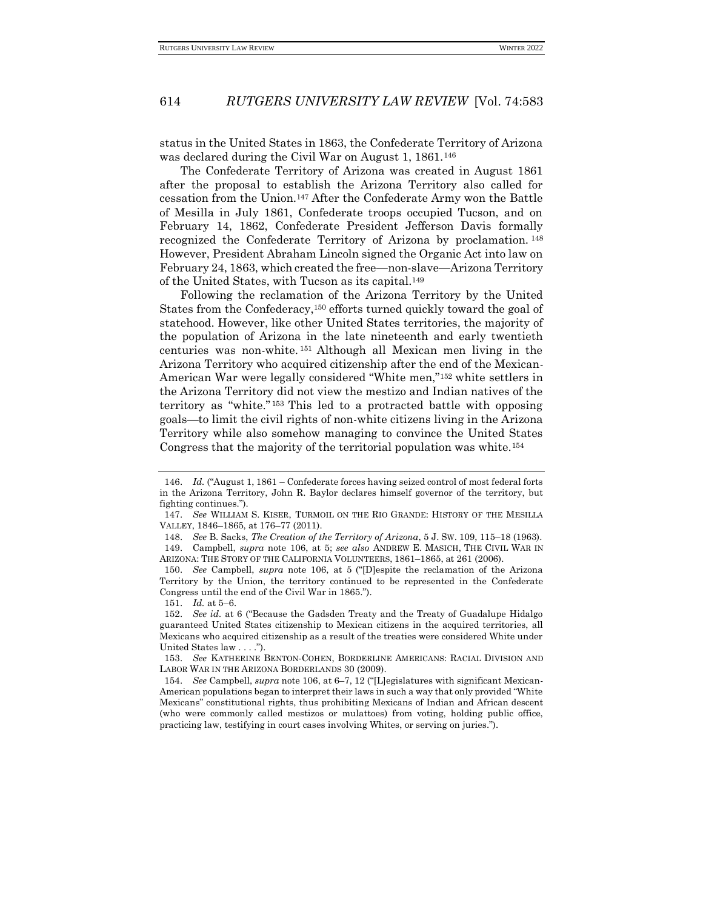status in the United States in 1863, the Confederate Territory of Arizona was declared during the Civil War on August 1, 1861.<sup>146</sup>

The Confederate Territory of Arizona was created in August 1861 after the proposal to establish the Arizona Territory also called for cessation from the Union.<sup>147</sup> After the Confederate Army won the Battle of Mesilla in July 1861, Confederate troops occupied Tucson, and on February 14, 1862, Confederate President Jefferson Davis formally recognized the Confederate Territory of Arizona by proclamation. <sup>148</sup> However, President Abraham Lincoln signed the Organic Act into law on February 24, 1863, which created the free—non-slave—Arizona Territory of the United States, with Tucson as its capital.<sup>149</sup>

Following the reclamation of the Arizona Territory by the United States from the Confederacy,<sup>150</sup> efforts turned quickly toward the goal of statehood. However, like other United States territories, the majority of the population of Arizona in the late nineteenth and early twentieth centuries was non-white. <sup>151</sup> Although all Mexican men living in the Arizona Territory who acquired citizenship after the end of the Mexican-American War were legally considered "White men,"<sup>152</sup> white settlers in the Arizona Territory did not view the mestizo and Indian natives of the territory as "white." <sup>153</sup> This led to a protracted battle with opposing goals—to limit the civil rights of non-white citizens living in the Arizona Territory while also somehow managing to convince the United States Congress that the majority of the territorial population was white.<sup>154</sup>

<sup>146.</sup> *Id.* ("August 1, 1861 – Confederate forces having seized control of most federal forts in the Arizona Territory, John R. Baylor declares himself governor of the territory, but fighting continues.").

<sup>147.</sup> *See* WILLIAM S. KISER, TURMOIL ON THE RIO GRANDE: HISTORY OF THE MESILLA VALLEY, 1846–1865, at 176–77 (2011).

<sup>148.</sup> *See* B. Sacks, *The Creation of the Territory of Arizona*, 5 J. SW. 109, 115–18 (1963). 149. Campbell, *supra* note 106, at 5; *see also* ANDREW E. MASICH, THE CIVIL WAR IN ARIZONA: THE STORY OF THE CALIFORNIA VOLUNTEERS, 1861–1865, at 261 (2006).

<sup>150.</sup> *See* Campbell, *supra* note 106, at 5 ("[D]espite the reclamation of the Arizona Territory by the Union, the territory continued to be represented in the Confederate Congress until the end of the Civil War in 1865.").

<sup>151.</sup> *Id.* at 5–6.

<sup>152.</sup> *See id.* at 6 ("Because the Gadsden Treaty and the Treaty of Guadalupe Hidalgo guaranteed United States citizenship to Mexican citizens in the acquired territories, all Mexicans who acquired citizenship as a result of the treaties were considered White under United States law . . . .").

<sup>153.</sup> *See* KATHERINE BENTON-COHEN, BORDERLINE AMERICANS: RACIAL DIVISION AND LABOR WAR IN THE ARIZONA BORDERLANDS 30 (2009).

<sup>154.</sup> *See* Campbell, *supra* note 106, at 6–7, 12 ("[L]egislatures with significant Mexican-American populations began to interpret their laws in such a way that only provided "White Mexicans" constitutional rights, thus prohibiting Mexicans of Indian and African descent (who were commonly called mestizos or mulattoes) from voting, holding public office, practicing law, testifying in court cases involving Whites, or serving on juries.").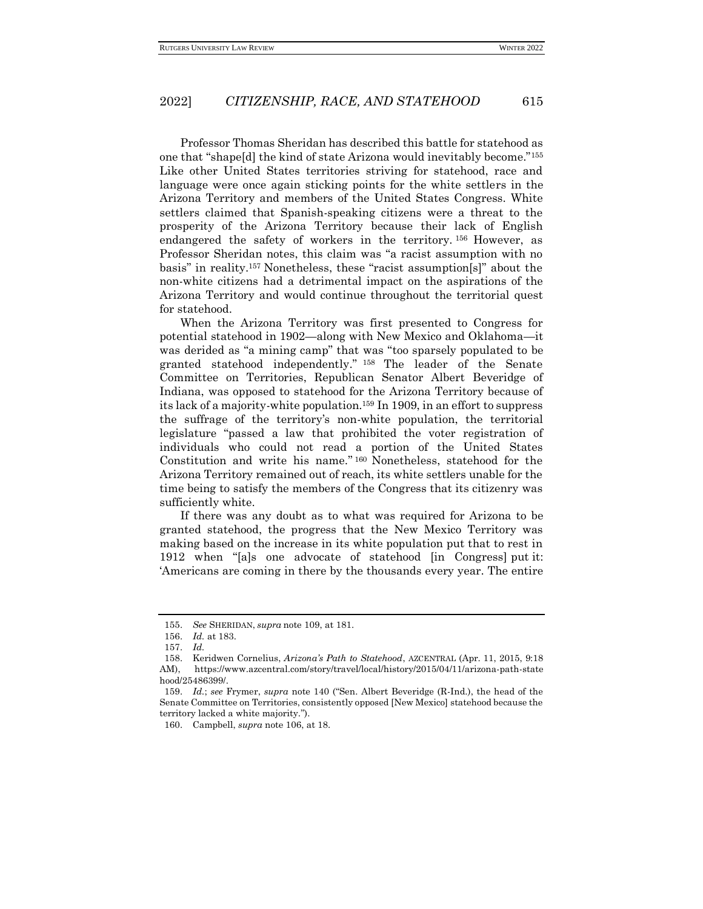Professor Thomas Sheridan has described this battle for statehood as one that "shape[d] the kind of state Arizona would inevitably become."<sup>155</sup> Like other United States territories striving for statehood, race and language were once again sticking points for the white settlers in the Arizona Territory and members of the United States Congress. White settlers claimed that Spanish-speaking citizens were a threat to the prosperity of the Arizona Territory because their lack of English endangered the safety of workers in the territory. <sup>156</sup> However, as Professor Sheridan notes, this claim was "a racist assumption with no basis" in reality.<sup>157</sup> Nonetheless, these "racist assumption[s]" about the non-white citizens had a detrimental impact on the aspirations of the Arizona Territory and would continue throughout the territorial quest for statehood.

When the Arizona Territory was first presented to Congress for potential statehood in 1902—along with New Mexico and Oklahoma—it was derided as "a mining camp" that was "too sparsely populated to be granted statehood independently." <sup>158</sup> The leader of the Senate Committee on Territories, Republican Senator Albert Beveridge of Indiana, was opposed to statehood for the Arizona Territory because of its lack of a majority-white population.<sup>159</sup> In 1909, in an effort to suppress the suffrage of the territory's non-white population, the territorial legislature "passed a law that prohibited the voter registration of individuals who could not read a portion of the United States Constitution and write his name."<sup>160</sup> Nonetheless, statehood for the Arizona Territory remained out of reach, its white settlers unable for the time being to satisfy the members of the Congress that its citizenry was sufficiently white.

If there was any doubt as to what was required for Arizona to be granted statehood, the progress that the New Mexico Territory was making based on the increase in its white population put that to rest in 1912 when "[a]s one advocate of statehood [in Congress] put it: 'Americans are coming in there by the thousands every year. The entire

<sup>155.</sup> *See* SHERIDAN, *supra* note 109, at 181.

<sup>156.</sup> *Id.* at 183.

<sup>157.</sup> *Id.*

<sup>158.</sup> Keridwen Cornelius, *Arizona's Path to Statehood*, AZCENTRAL (Apr. 11, 2015, 9:18 AM), https://www.azcentral.com/story/travel/local/history/2015/04/11/arizona-path-state hood/25486399/.

<sup>159.</sup> *Id.*; *see* Frymer, *supra* note 140 ("Sen. Albert Beveridge (R-Ind.), the head of the Senate Committee on Territories, consistently opposed [New Mexico] statehood because the territory lacked a white majority.").

<sup>160.</sup> Campbell, *supra* note 106, at 18.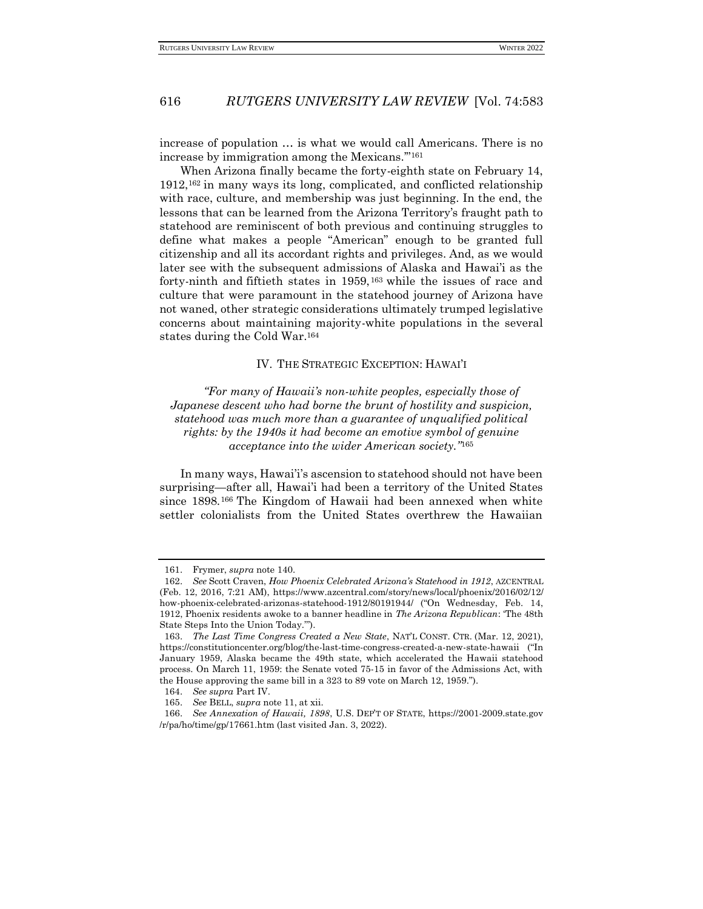increase of population … is what we would call Americans. There is no increase by immigration among the Mexicans.'"<sup>161</sup>

When Arizona finally became the forty-eighth state on February 14, 1912,<sup>162</sup> in many ways its long, complicated, and conflicted relationship with race, culture, and membership was just beginning. In the end, the lessons that can be learned from the Arizona Territory's fraught path to statehood are reminiscent of both previous and continuing struggles to define what makes a people "American" enough to be granted full citizenship and all its accordant rights and privileges. And, as we would later see with the subsequent admissions of Alaska and Hawai'i as the forty-ninth and fiftieth states in 1959,<sup>163</sup> while the issues of race and culture that were paramount in the statehood journey of Arizona have not waned, other strategic considerations ultimately trumped legislative concerns about maintaining majority-white populations in the several states during the Cold War.<sup>164</sup>

#### IV. THE STRATEGIC EXCEPTION: HAWAI'I

<span id="page-33-0"></span>*"For many of Hawaii's non-white peoples, especially those of Japanese descent who had borne the brunt of hostility and suspicion, statehood was much more than a guarantee of unqualified political rights: by the 1940s it had become an emotive symbol of genuine acceptance into the wider American society."*<sup>165</sup>

In many ways, Hawai'i's ascension to statehood should not have been surprising—after all, Hawai'i had been a territory of the United States since 1898.<sup>166</sup> The Kingdom of Hawaii had been annexed when white settler colonialists from the United States overthrew the Hawaiian

<sup>161.</sup> Frymer, *supra* note 140.

<sup>162.</sup> *See* Scott Craven, *How Phoenix Celebrated Arizona's Statehood in 1912*, AZCENTRAL (Feb. 12, 2016, 7:21 AM), https://www.azcentral.com/story/news/local/phoenix/2016/02/12/ how-phoenix-celebrated-arizonas-statehood-1912/80191944/ ("On Wednesday, Feb. 14, 1912, Phoenix residents awoke to a banner headline in *The Arizona Republican*: 'The 48th State Steps Into the Union Today.'").

<sup>163.</sup> *The Last Time Congress Created a New State*, NAT'L CONST. CTR. (Mar. 12, 2021), https://constitutioncenter.org/blog/the-last-time-congress-created-a-new-state-hawaii ("In January 1959, Alaska became the 49th state, which accelerated the Hawaii statehood process. On March 11, 1959: the Senate voted 75-15 in favor of the Admissions Act, with the House approving the same bill in a 323 to 89 vote on March 12, 1959.").

<sup>164.</sup> *See supra* Part IV.

<sup>165.</sup> *See* BELL, *supra* note 11, at xii.

<sup>166.</sup> *See Annexation of Hawaii, 1898*, U.S. DEP'T OF STATE, https://2001-2009.state.gov /r/pa/ho/time/gp/17661.htm (last visited Jan. 3, 2022).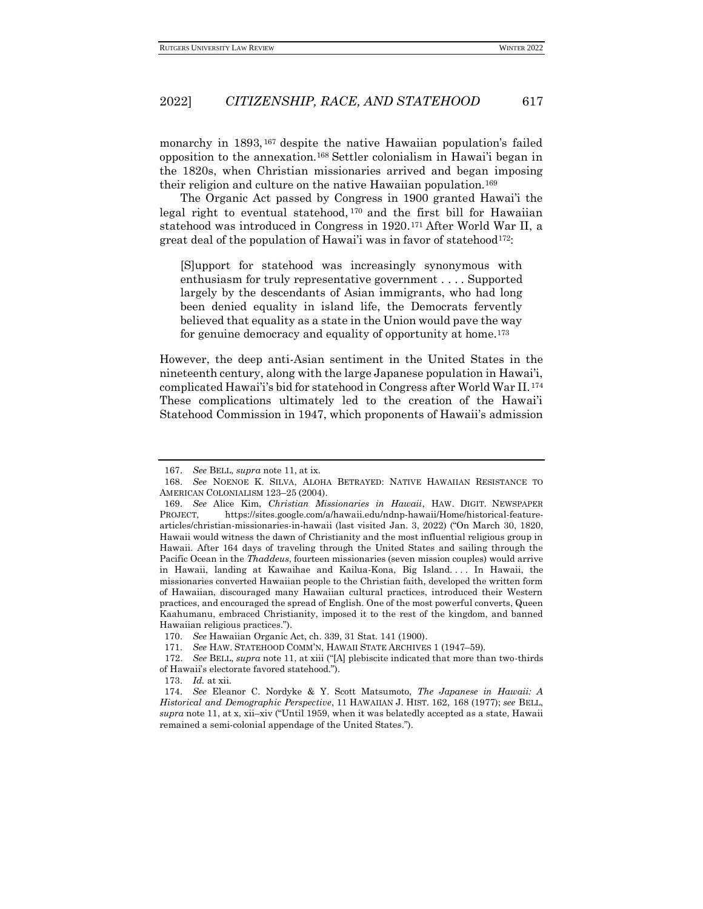monarchy in 1893,<sup>167</sup> despite the native Hawaiian population's failed opposition to the annexation.<sup>168</sup> Settler colonialism in Hawai'i began in the 1820s, when Christian missionaries arrived and began imposing their religion and culture on the native Hawaiian population.<sup>169</sup>

The Organic Act passed by Congress in 1900 granted Hawai'i the legal right to eventual statehood,  $170$  and the first bill for Hawaiian statehood was introduced in Congress in 1920.<sup>171</sup> After World War II, a great deal of the population of Hawai'i was in favor of statehood<sup>172</sup>:

[S]upport for statehood was increasingly synonymous with enthusiasm for truly representative government . . . . Supported largely by the descendants of Asian immigrants, who had long been denied equality in island life, the Democrats fervently believed that equality as a state in the Union would pave the way for genuine democracy and equality of opportunity at home.<sup>173</sup>

However, the deep anti-Asian sentiment in the United States in the nineteenth century, along with the large Japanese population in Hawai'i, complicated Hawai'i's bid for statehood in Congress after World War II.<sup>174</sup> These complications ultimately led to the creation of the Hawai'i Statehood Commission in 1947, which proponents of Hawaii's admission

<sup>167.</sup> *See* BELL, *supra* note 11, at ix.

<sup>168.</sup> *See* NOENOE K. SILVA, ALOHA BETRAYED: NATIVE HAWAIIAN RESISTANCE TO AMERICAN COLONIALISM 123–25 (2004).

<sup>169.</sup> *See* Alice Kim, *Christian Missionaries in Hawaii*, HAW. DIGIT. NEWSPAPER PROJECT, https://sites.google.com/a/hawaii.edu/ndnp-hawaii/Home/historical-featurearticles/christian-missionaries-in-hawaii (last visited Jan. 3, 2022) ("On March 30, 1820, Hawaii would witness the dawn of Christianity and the most influential religious group in Hawaii. After 164 days of traveling through the United States and sailing through the Pacific Ocean in the *Thaddeus*, fourteen missionaries (seven mission couples) would arrive in Hawaii, landing at Kawaihae and Kailua-Kona, Big Island. . . . In Hawaii, the missionaries converted Hawaiian people to the Christian faith, developed the written form of Hawaiian, discouraged many Hawaiian cultural practices, introduced their Western practices, and encouraged the spread of English. One of the most powerful converts, Queen Kaahumanu, embraced Christianity, imposed it to the rest of the kingdom, and banned Hawaiian religious practices.").

<sup>170.</sup> *See* Hawaiian Organic Act, ch. 339, 31 Stat. 141 (1900).

<sup>171.</sup> *See* HAW. STATEHOOD COMM'N, HAWAII STATE ARCHIVES 1 (1947–59).

<sup>172.</sup> *See* BELL, *supra* note 11, at xiii ("[A] plebiscite indicated that more than two-thirds of Hawaii's electorate favored statehood.").

<sup>173.</sup> *Id.* at xii.

<sup>174.</sup> *See* Eleanor C. Nordyke & Y. Scott Matsumoto, *The Japanese in Hawaii: A Historical and Demographic Perspective*, 11 HAWAIIAN J. HIST. 162, 168 (1977); *see* BELL, *supra* note 11, at x, xii–xiv ("Until 1959, when it was belatedly accepted as a state, Hawaii remained a semi-colonial appendage of the United States.").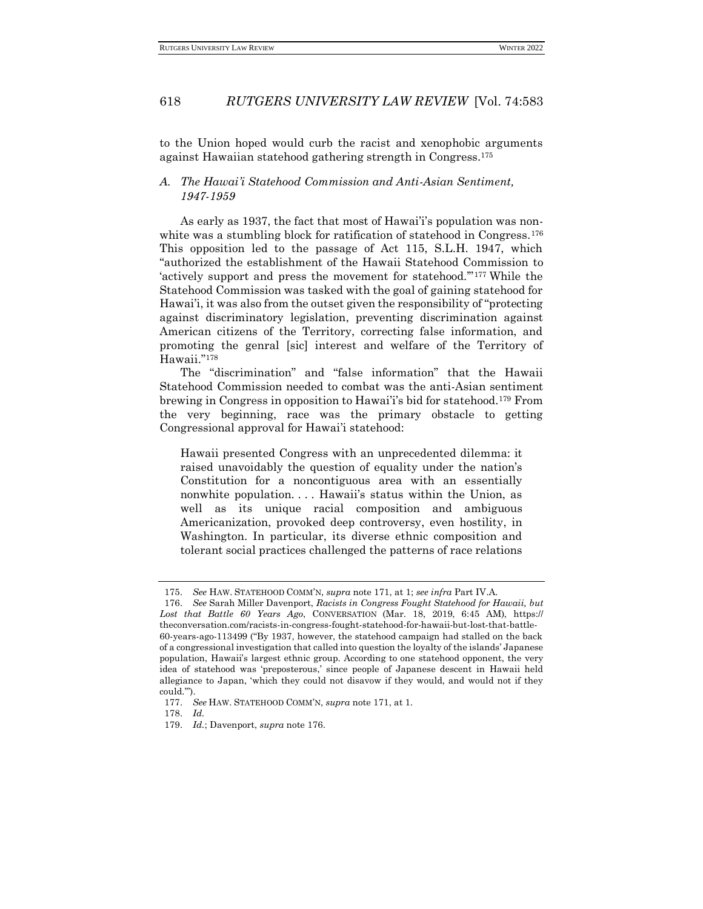to the Union hoped would curb the racist and xenophobic arguments against Hawaiian statehood gathering strength in Congress.<sup>175</sup>

## <span id="page-35-0"></span>*A. The Hawai'i Statehood Commission and Anti-Asian Sentiment, 1947-1959*

As early as 1937, the fact that most of Hawai'i's population was nonwhite was a stumbling block for ratification of statehood in Congress.<sup>176</sup> This opposition led to the passage of Act 115, S.L.H. 1947, which "authorized the establishment of the Hawaii Statehood Commission to 'actively support and press the movement for statehood.'"<sup>177</sup> While the Statehood Commission was tasked with the goal of gaining statehood for Hawai'i, it was also from the outset given the responsibility of "protecting against discriminatory legislation, preventing discrimination against American citizens of the Territory, correcting false information, and promoting the genral [sic] interest and welfare of the Territory of Hawaii."<sup>178</sup>

The "discrimination" and "false information" that the Hawaii Statehood Commission needed to combat was the anti-Asian sentiment brewing in Congress in opposition to Hawai'i's bid for statehood.<sup>179</sup> From the very beginning, race was the primary obstacle to getting Congressional approval for Hawai'i statehood:

Hawaii presented Congress with an unprecedented dilemma: it raised unavoidably the question of equality under the nation's Constitution for a noncontiguous area with an essentially nonwhite population. . . . Hawaii's status within the Union, as well as its unique racial composition and ambiguous Americanization, provoked deep controversy, even hostility, in Washington. In particular, its diverse ethnic composition and tolerant social practices challenged the patterns of race relations

<sup>175.</sup> *See* HAW. STATEHOOD COMM'N, *supra* note 171, at 1; *see infra* Part IV.A.

<sup>176.</sup> *See* Sarah Miller Davenport, *Racists in Congress Fought Statehood for Hawaii, but Lost that Battle 60 Years Ago*, CONVERSATION (Mar. 18, 2019, 6:45 AM), https:// theconversation.com/racists-in-congress-fought-statehood-for-hawaii-but-lost-that-battle-60-years-ago-113499 ("By 1937, however, the statehood campaign had stalled on the back of a congressional investigation that called into question the loyalty of the islands' Japanese population, Hawaii's largest ethnic group. According to one statehood opponent, the very idea of statehood was 'preposterous,' since people of Japanese descent in Hawaii held allegiance to Japan, 'which they could not disavow if they would, and would not if they could.'").

<sup>177.</sup> *See* HAW. STATEHOOD COMM'N, *supra* note 171, at 1.

<sup>178.</sup> *Id.*

<sup>179.</sup> *Id.*; Davenport, *supra* note 176.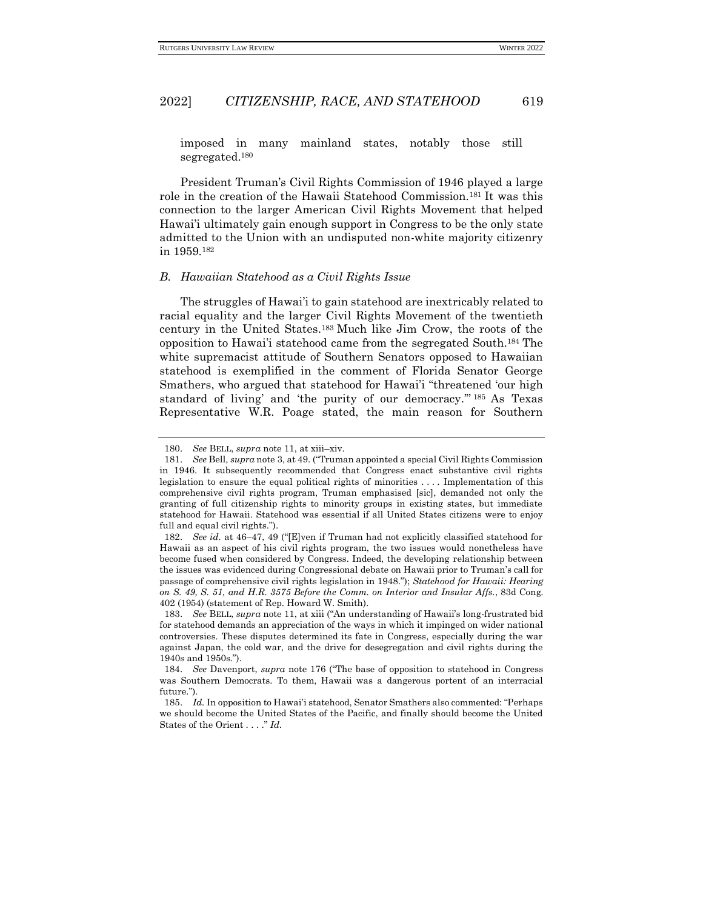imposed in many mainland states, notably those still segregated.<sup>180</sup>

President Truman's Civil Rights Commission of 1946 played a large role in the creation of the Hawaii Statehood Commission.<sup>181</sup> It was this connection to the larger American Civil Rights Movement that helped Hawai'i ultimately gain enough support in Congress to be the only state admitted to the Union with an undisputed non-white majority citizenry in 1959.<sup>182</sup>

### <span id="page-36-0"></span>*B. Hawaiian Statehood as a Civil Rights Issue*

The struggles of Hawai'i to gain statehood are inextricably related to racial equality and the larger Civil Rights Movement of the twentieth century in the United States.<sup>183</sup> Much like Jim Crow, the roots of the opposition to Hawai'i statehood came from the segregated South.<sup>184</sup> The white supremacist attitude of Southern Senators opposed to Hawaiian statehood is exemplified in the comment of Florida Senator George Smathers, who argued that statehood for Hawai'i "threatened 'our high standard of living' and 'the purity of our democracy.'" <sup>185</sup> As Texas Representative W.R. Poage stated, the main reason for Southern

<sup>180.</sup> *See* BELL, *supra* note 11, at xiii–xiv.

<sup>181.</sup> *See* Bell, *supra* note 3, at 49. ("Truman appointed a special Civil Rights Commission in 1946. It subsequently recommended that Congress enact substantive civil rights legislation to ensure the equal political rights of minorities . . . . Implementation of this comprehensive civil rights program, Truman emphasised [sic], demanded not only the granting of full citizenship rights to minority groups in existing states, but immediate statehood for Hawaii. Statehood was essential if all United States citizens were to enjoy full and equal civil rights.").

<sup>182.</sup> *See id.* at 46–47, 49 ("[E]ven if Truman had not explicitly classified statehood for Hawaii as an aspect of his civil rights program, the two issues would nonetheless have become fused when considered by Congress. Indeed, the developing relationship between the issues was evidenced during Congressional debate on Hawaii prior to Truman's call for passage of comprehensive civil rights legislation in 1948."); *Statehood for Hawaii: Hearing on S. 49, S. 51, and H.R. 3575 Before the Comm. on Interior and Insular Affs.*, 83d Cong. 402 (1954) (statement of Rep. Howard W. Smith).

<sup>183.</sup> *See* BELL, *supra* note 11, at xiii ("An understanding of Hawaii's long-frustrated bid for statehood demands an appreciation of the ways in which it impinged on wider national controversies. These disputes determined its fate in Congress, especially during the war against Japan, the cold war, and the drive for desegregation and civil rights during the 1940s and 1950s.").

<sup>184.</sup> *See* Davenport, *supra* note 176 ("The base of opposition to statehood in Congress was Southern Democrats. To them, Hawaii was a dangerous portent of an interracial future."

<sup>185.</sup> *Id.* In opposition to Hawai'i statehood, Senator Smathers also commented: "Perhaps we should become the United States of the Pacific, and finally should become the United States of the Orient . . . ." *Id.*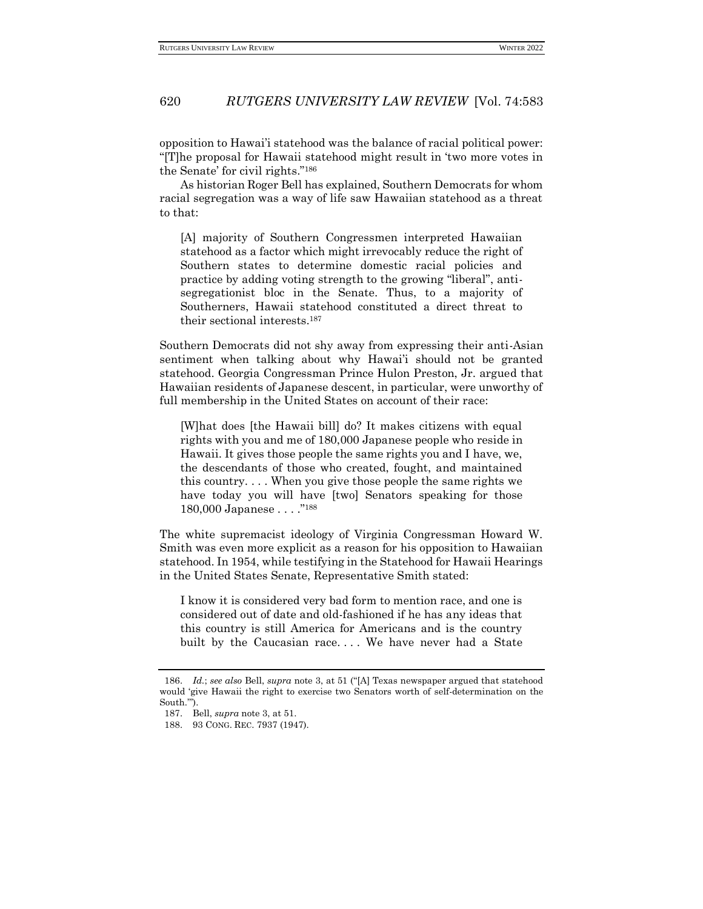opposition to Hawai'i statehood was the balance of racial political power: "[T]he proposal for Hawaii statehood might result in 'two more votes in the Senate' for civil rights."<sup>186</sup>

As historian Roger Bell has explained, Southern Democrats for whom racial segregation was a way of life saw Hawaiian statehood as a threat to that:

[A] majority of Southern Congressmen interpreted Hawaiian statehood as a factor which might irrevocably reduce the right of Southern states to determine domestic racial policies and practice by adding voting strength to the growing "liberal", antisegregationist bloc in the Senate. Thus, to a majority of Southerners, Hawaii statehood constituted a direct threat to their sectional interests.<sup>187</sup>

Southern Democrats did not shy away from expressing their anti-Asian sentiment when talking about why Hawai'i should not be granted statehood. Georgia Congressman Prince Hulon Preston, Jr. argued that Hawaiian residents of Japanese descent, in particular, were unworthy of full membership in the United States on account of their race:

[W]hat does [the Hawaii bill] do? It makes citizens with equal rights with you and me of 180,000 Japanese people who reside in Hawaii. It gives those people the same rights you and I have, we, the descendants of those who created, fought, and maintained this country. . . . When you give those people the same rights we have today you will have [two] Senators speaking for those 180,000 Japanese . . . ."<sup>188</sup>

The white supremacist ideology of Virginia Congressman Howard W. Smith was even more explicit as a reason for his opposition to Hawaiian statehood. In 1954, while testifying in the Statehood for Hawaii Hearings in the United States Senate, Representative Smith stated:

I know it is considered very bad form to mention race, and one is considered out of date and old-fashioned if he has any ideas that this country is still America for Americans and is the country built by the Caucasian race.... We have never had a State

<sup>186.</sup> *Id.*; *see also* Bell, *supra* note 3, at 51 ("[A] Texas newspaper argued that statehood would 'give Hawaii the right to exercise two Senators worth of self-determination on the South.'").

<sup>187.</sup> Bell, *supra* note 3, at 51.

<sup>188.</sup> 93 CONG. REC. 7937 (1947).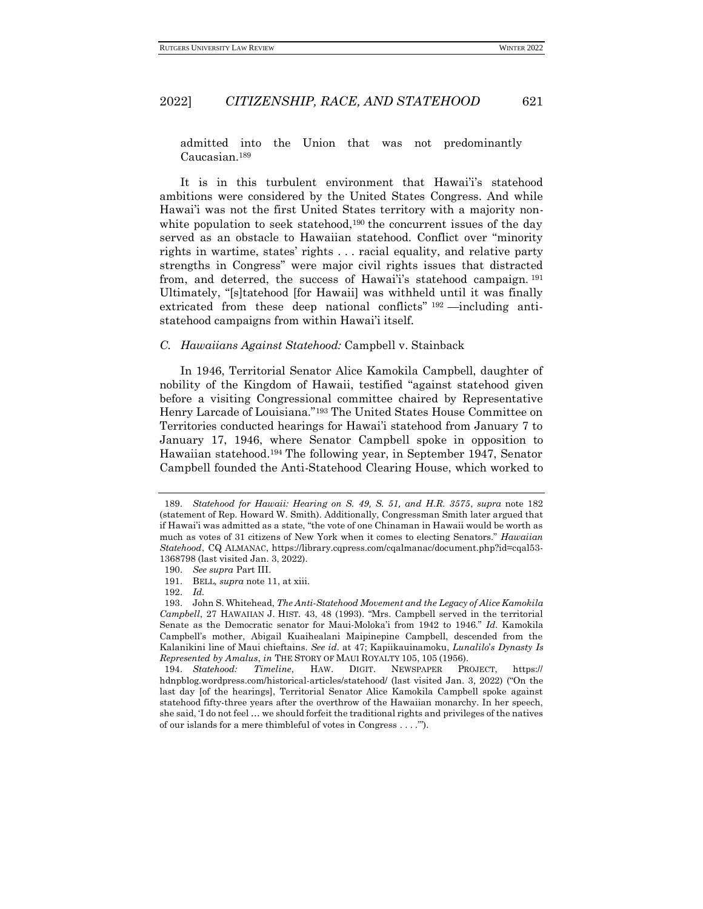admitted into the Union that was not predominantly Caucasian.<sup>189</sup>

It is in this turbulent environment that Hawai'i's statehood ambitions were considered by the United States Congress. And while Hawai'i was not the first United States territory with a majority nonwhite population to seek statehood,<sup>190</sup> the concurrent issues of the day served as an obstacle to Hawaiian statehood. Conflict over "minority rights in wartime, states' rights . . . racial equality, and relative party strengths in Congress" were major civil rights issues that distracted from, and deterred, the success of Hawai'i's statehood campaign. <sup>191</sup> Ultimately, "[s]tatehood [for Hawaii] was withheld until it was finally extricated from these deep national conflicts" <sup>192</sup> —including antistatehood campaigns from within Hawai'i itself.

#### <span id="page-38-0"></span>*C. Hawaiians Against Statehood:* Campbell v. Stainback

In 1946, Territorial Senator Alice Kamokila Campbell, daughter of nobility of the Kingdom of Hawaii, testified "against statehood given before a visiting Congressional committee chaired by Representative Henry Larcade of Louisiana."<sup>193</sup> The United States House Committee on Territories conducted hearings for Hawai'i statehood from January 7 to January 17, 1946, where Senator Campbell spoke in opposition to Hawaiian statehood.<sup>194</sup> The following year, in September 1947, Senator Campbell founded the Anti-Statehood Clearing House, which worked to

<sup>189.</sup> *Statehood for Hawaii: Hearing on S. 49, S. 51, and H.R. 3575*, *supra* note 182 (statement of Rep. Howard W. Smith). Additionally, Congressman Smith later argued that if Hawai'i was admitted as a state, "the vote of one Chinaman in Hawaii would be worth as much as votes of 31 citizens of New York when it comes to electing Senators." *Hawaiian Statehood*, CQ ALMANAC, https://library.cqpress.com/cqalmanac/document.php?id=cqal53- 1368798 (last visited Jan. 3, 2022).

<sup>190.</sup> *See supra* Part III.

<sup>191.</sup> BELL*, supra* note 11, at xiii.

<sup>192.</sup> *Id.*

<sup>193.</sup> John S. Whitehead, *The Anti-Statehood Movement and the Legacy of Alice Kamokila Campbell*, 27 HAWAIIAN J. HIST. 43, 48 (1993). "Mrs. Campbell served in the territorial Senate as the Democratic senator for Maui-Moloka'i from 1942 to 1946." *Id.* Kamokila Campbell's mother, Abigail Kuaihealani Maipinepine Campbell, descended from the Kalanikini line of Maui chieftains. *See id.* at 47; Kapiikauinamoku, *Lunalilo*'*s Dynasty Is Represented by Amalus*, *in* THE STORY OF MAUI ROYALTY 105, 105 (1956).

<sup>194.</sup> *Statehood: Timeline*, HAW. DIGIT. NEWSPAPER PROJECT, https:// hdnpblog.wordpress.com/historical-articles/statehood/ (last visited Jan. 3, 2022) ("On the last day [of the hearings], Territorial Senator Alice Kamokila Campbell spoke against statehood fifty-three years after the overthrow of the Hawaiian monarchy. In her speech, she said, 'I do not feel … we should forfeit the traditional rights and privileges of the natives of our islands for a mere thimbleful of votes in Congress . . . .'").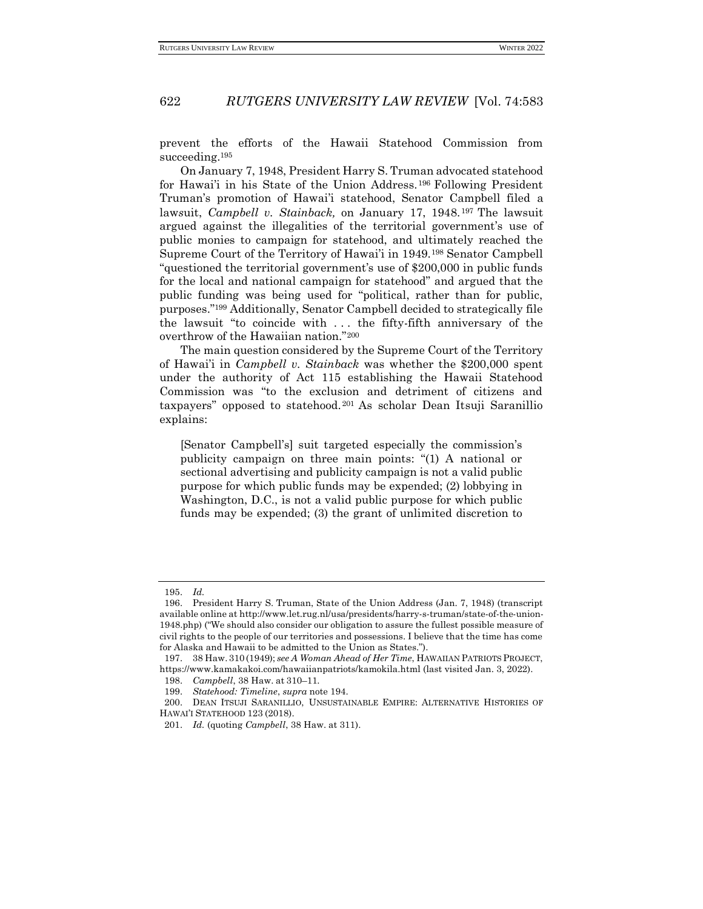prevent the efforts of the Hawaii Statehood Commission from succeeding.<sup>195</sup>

On January 7, 1948, President Harry S. Truman advocated statehood for Hawai'i in his State of the Union Address.<sup>196</sup> Following President Truman's promotion of Hawai'i statehood, Senator Campbell filed a law*s*uit, *Campbell v. Stainback,* on January 17, 1948. <sup>197</sup> The lawsuit argued against the illegalities of the territorial government's use of public monies to campaign for statehood, and ultimately reached the Supreme Court of the Territory of Hawai'i in 1949.<sup>198</sup> Senator Campbell "questioned the territorial government's use of \$200,000 in public funds for the local and national campaign for statehood" and argued that the public funding was being used for "political, rather than for public, purposes."<sup>199</sup> Additionally, Senator Campbell decided to strategically file the lawsuit "to coincide with . . . the fifty-fifth anniversary of the overthrow of the Hawaiian nation."<sup>200</sup>

The main question considered by the Supreme Court of the Territory of Hawai'i in *Campbell v. Stainback* was whether the \$200,000 spent under the authority of Act 115 establishing the Hawaii Statehood Commission was "to the exclusion and detriment of citizens and taxpayers" opposed to statehood. <sup>201</sup> As scholar Dean Itsuji Saranillio explains:

[Senator Campbell's] suit targeted especially the commission's publicity campaign on three main points: "(1) A national or sectional advertising and publicity campaign is not a valid public purpose for which public funds may be expended; (2) lobbying in Washington, D.C., is not a valid public purpose for which public funds may be expended; (3) the grant of unlimited discretion to

<sup>195.</sup> *Id.*

<sup>196.</sup> President Harry S. Truman, State of the Union Address (Jan. 7, 1948) (transcript available online at http://www.let.rug.nl/usa/presidents/harry-s-truman/state-of-the-union-1948.php) ("We should also consider our obligation to assure the fullest possible measure of civil rights to the people of our territories and possessions. I believe that the time has come for Alaska and Hawaii to be admitted to the Union as States.").

<sup>197.</sup> 38 Haw. 310 (1949); *see A Woman Ahead of Her Time*, HAWAIIAN PATRIOTS PROJECT, https://www.kamakakoi.com/hawaiianpatriots/kamokila.html (last visited Jan. 3, 2022).

<sup>198.</sup> *Campbell*, 38 Haw. at 310–11.

<sup>199.</sup> *Statehood: Timeline*, *supra* note 194.

<sup>200.</sup> DEAN ITSUJI SARANILLIO, UNSUSTAINABLE EMPIRE: ALTERNATIVE HISTORIES OF HAWAI'I STATEHOOD 123 (2018).

<sup>201.</sup> *Id.* (quoting *Campbell*, 38 Haw. at 311).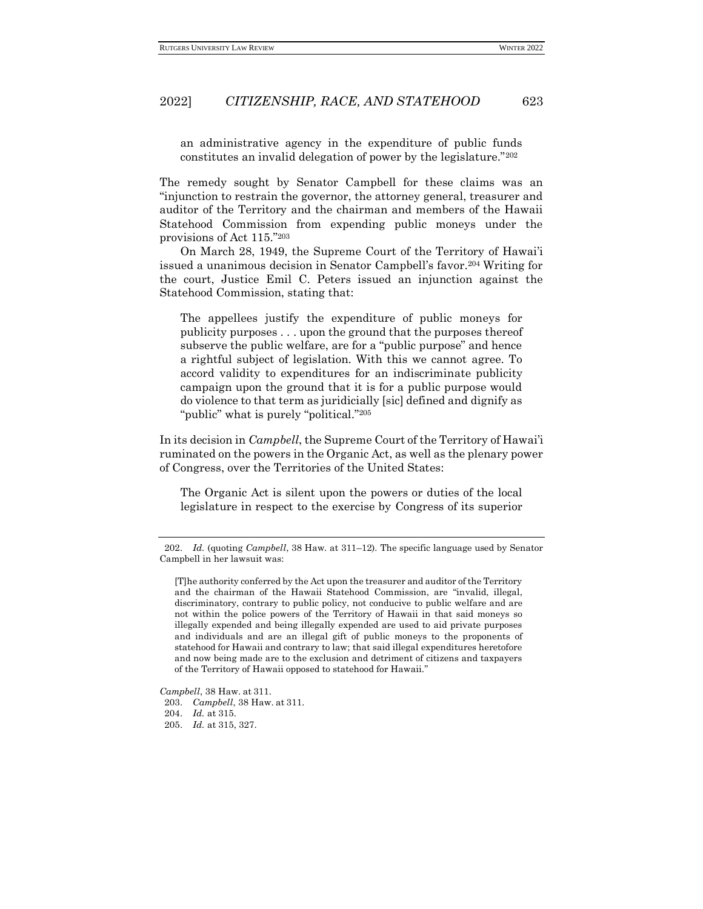an administrative agency in the expenditure of public funds constitutes an invalid delegation of power by the legislature."<sup>202</sup>

The remedy sought by Senator Campbell for these claims was an "injunction to restrain the governor, the attorney general, treasurer and auditor of the Territory and the chairman and members of the Hawaii Statehood Commission from expending public moneys under the provisions of Act 115."<sup>203</sup>

On March 28, 1949, the Supreme Court of the Territory of Hawai'i issued a unanimous decision in Senator Campbell's favor.<sup>204</sup> Writing for the court, Justice Emil C. Peters issued an injunction against the Statehood Commission, stating that:

The appellees justify the expenditure of public moneys for publicity purposes . . . upon the ground that the purposes thereof subserve the public welfare, are for a "public purpose" and hence a rightful subject of legislation. With this we cannot agree. To accord validity to expenditures for an indiscriminate publicity campaign upon the ground that it is for a public purpose would do violence to that term as juridicially [sic] defined and dignify as "public" what is purely "political."<sup>205</sup>

In its decision in *Campbell*, the Supreme Court of the Territory of Hawai'i ruminated on the powers in the Organic Act, as well as the plenary power of Congress, over the Territories of the United States:

The Organic Act is silent upon the powers or duties of the local legislature in respect to the exercise by Congress of its superior

*Campbell*, 38 Haw. at 311.

<sup>202.</sup> *Id.* (quoting *Campbell*, 38 Haw. at 311–12)*.* The specific language used by Senator Campbell in her lawsuit was:

<sup>[</sup>T]he authority conferred by the Act upon the treasurer and auditor of the Territory and the chairman of the Hawaii Statehood Commission, are "invalid, illegal, discriminatory, contrary to public policy, not conducive to public welfare and are not within the police powers of the Territory of Hawaii in that said moneys so illegally expended and being illegally expended are used to aid private purposes and individuals and are an illegal gift of public moneys to the proponents of statehood for Hawaii and contrary to law; that said illegal expenditures heretofore and now being made are to the exclusion and detriment of citizens and taxpayers of the Territory of Hawaii opposed to statehood for Hawaii."

<sup>203.</sup> *Campbell*, 38 Haw. at 311.

<sup>204.</sup> *Id.* at 315.

<sup>205.</sup> *Id.* at 315, 327.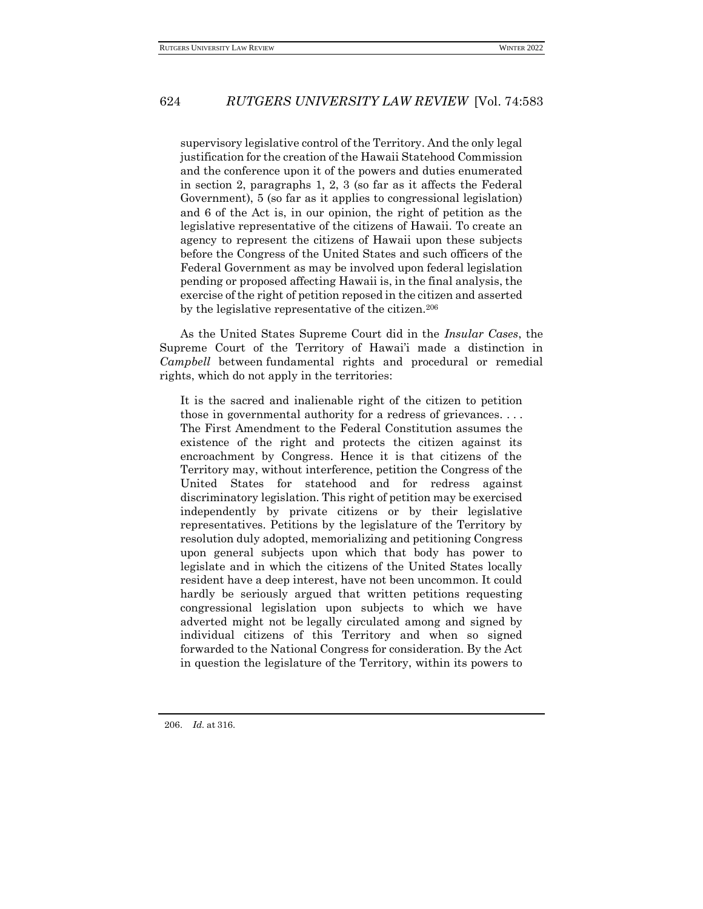supervisory legislative control of the Territory. And the only legal justification for the creation of the Hawaii Statehood Commission and the conference upon it of the powers and duties enumerated in section 2, paragraphs 1, 2, 3 (so far as it affects the Federal Government), 5 (so far as it applies to congressional legislation) and 6 of the Act is, in our opinion, the right of petition as the legislative representative of the citizens of Hawaii. To create an agency to represent the citizens of Hawaii upon these subjects before the Congress of the United States and such officers of the Federal Government as may be involved upon federal legislation pending or proposed affecting Hawaii is, in the final analysis, the exercise of the right of petition reposed in the citizen and asserted by the legislative representative of the citizen.<sup>206</sup>

As the United States Supreme Court did in the *Insular Cases*, the Supreme Court of the Territory of Hawai'i made a distinction in *Campbell* between fundamental rights and procedural or remedial rights, which do not apply in the territories:

It is the sacred and inalienable right of the citizen to petition those in governmental authority for a redress of grievances. . . . The First Amendment to the Federal Constitution assumes the existence of the right and protects the citizen against its encroachment by Congress. Hence it is that citizens of the Territory may, without interference, petition the Congress of the United States for statehood and for redress against discriminatory legislation. This right of petition may be exercised independently by private citizens or by their legislative representatives. Petitions by the legislature of the Territory by resolution duly adopted, memorializing and petitioning Congress upon general subjects upon which that body has power to legislate and in which the citizens of the United States locally resident have a deep interest, have not been uncommon. It could hardly be seriously argued that written petitions requesting congressional legislation upon subjects to which we have adverted might not be legally circulated among and signed by individual citizens of this Territory and when so signed forwarded to the National Congress for consideration. By the Act in question the legislature of the Territory, within its powers to

206. *Id.* at 316.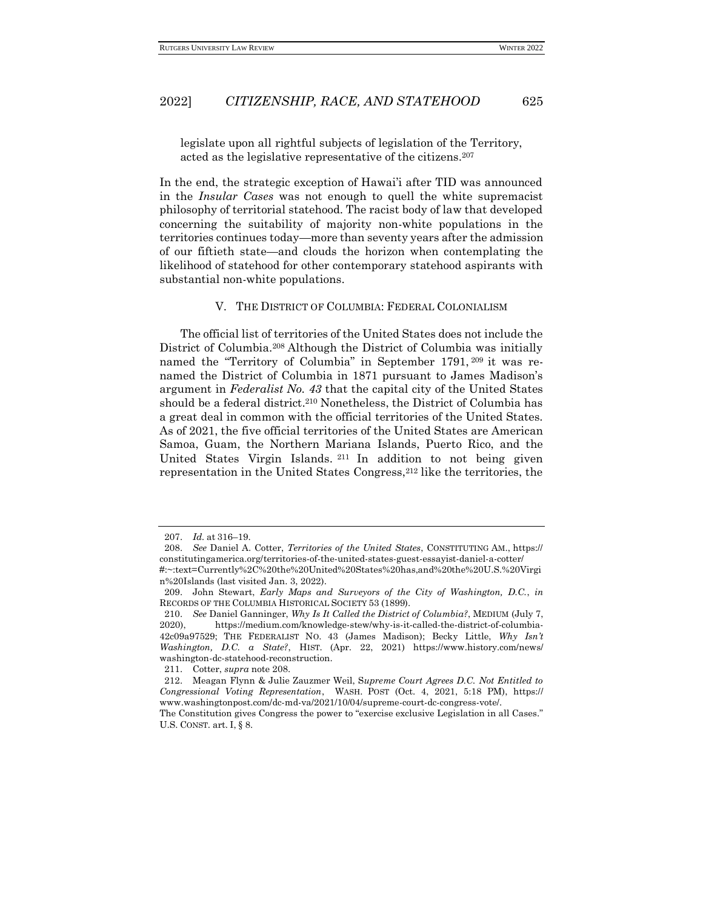legislate upon all rightful subjects of legislation of the Territory, acted as the legislative representative of the citizens.<sup>207</sup>

In the end, the strategic exception of Hawai'i after TID was announced in the *Insular Cases* was not enough to quell the white supremacist philosophy of territorial statehood. The racist body of law that developed concerning the suitability of majority non-white populations in the territories continues today—more than seventy years after the admission of our fiftieth state—and clouds the horizon when contemplating the likelihood of statehood for other contemporary statehood aspirants with substantial non-white populations.

#### V. THE DISTRICT OF COLUMBIA: FEDERAL COLONIALISM

<span id="page-42-0"></span>The official list of territories of the United States does not include the District of Columbia.<sup>208</sup> Although the District of Columbia was initially named the "Territory of Columbia" in September 1791, <sup>209</sup> it was renamed the District of Columbia in 1871 pursuant to James Madison's argument in *Federalist No. 43* that the capital city of the United States should be a federal district.<sup>210</sup> Nonetheless, the District of Columbia has a great deal in common with the official territories of the United States. As of 2021, the five official territories of the United States are American Samoa, Guam, the Northern Mariana Islands, Puerto Rico, and the United States Virgin Islands. <sup>211</sup> In addition to not being given representation in the United States Congress,<sup>212</sup> like the territories, the

<sup>207.</sup> *Id.* at 316–19.

<sup>208.</sup> *See* Daniel A. Cotter, *Territories of the United States*, CONSTITUTING AM., https:// constitutingamerica.org/territories-of-the-united-states-guest-essayist-daniel-a-cotter/

<sup>#:~:</sup>text=Currently%2C%20the%20United%20States%20has,and%20the%20U.S.%20Virgi n%20Islands (last visited Jan. 3, 2022).

<sup>209.</sup> John Stewart, *Early Maps and Surveyors of the City of Washington, D.C.*, *in* RECORDS OF THE COLUMBIA HISTORICAL SOCIETY 53 (1899).

<sup>210.</sup> *See* Daniel Ganninger, *Why Is It Called the District of Columbia?*, MEDIUM (July 7, 2020), https://medium.com/knowledge-stew/why-is-it-called-the-district-of-columbia-42c09a97529; THE FEDERALIST NO. 43 (James Madison); Becky Little, *Why Isn't Washington, D.C. a State?*, HIST. (Apr. 22, 2021) https://www.history.com/news/ washington-dc-statehood-reconstruction.

<sup>211.</sup> Cotter, *supra* note 208.

<sup>212.</sup> Meagan Flynn & Julie Zauzmer Weil, S*upreme Court Agrees D.C. Not Entitled to Congressional Voting Representation*, WASH. POST (Oct. 4, 2021, 5:18 PM), https:// www.washingtonpost.com/dc-md-va/2021/10/04/supreme-court-dc-congress-vote/.

The Constitution gives Congress the power to "exercise exclusive Legislation in all Cases." U.S. CONST. art. I, § 8.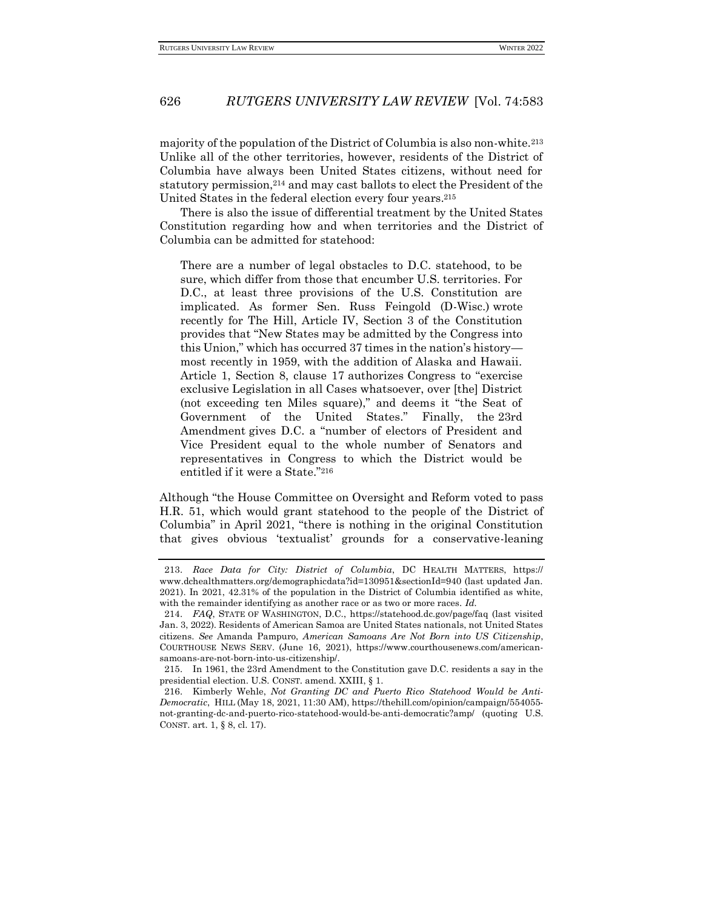majority of the population of the District of Columbia is also non-white.<sup>213</sup> Unlike all of the other territories, however, residents of the District of Columbia have always been United States citizens, without need for statutory permission,<sup>214</sup> and may cast ballots to elect the President of the United States in the federal election every four years.<sup>215</sup>

There is also the issue of differential treatment by the United States Constitution regarding how and when territories and the District of Columbia can be admitted for statehood:

There are a number of legal obstacles to D.C. statehood, to be sure, which differ from those that encumber U.S. territories. For D.C., at least three provisions of the U.S. Constitution are implicated. As former Sen. Russ Feingold (D-Wisc.) wrote recently for The Hill, Article IV, Section 3 of the Constitution provides that "New States may be admitted by the Congress into this Union," which has occurred 37 times in the nation's history most recently in 1959, with the addition of Alaska and Hawaii. Article 1, Section 8, clause 17 authorizes Congress to "exercise exclusive Legislation in all Cases whatsoever, over [the] District (not exceeding ten Miles square)," and deems it "the Seat of Government of the United States." Finally, the 23rd Amendment gives D.C. a "number of electors of President and Vice President equal to the whole number of Senators and representatives in Congress to which the District would be entitled if it were a State."<sup>216</sup>

Although "the House Committee on Oversight and Reform voted to pass H.R. 51, which would grant statehood to the people of the District of Columbia" in April 2021, "there is nothing in the original Constitution that gives obvious 'textualist' grounds for a conservative-leaning

<sup>213.</sup> *Race Data for City: District of Columbia*, DC HEALTH MATTERS, https:// www.dchealthmatters.org/demographicdata?id=130951&sectionId=940 (last updated Jan. 2021). In 2021, 42.31% of the population in the District of Columbia identified as white, with the remainder identifying as another race or as two or more races. *Id.*

<sup>214.</sup> *FAQ*, STATE OF WASHINGTON, D.C.,<https://statehood.dc.gov/page/faq> (last visited Jan. 3, 2022). Residents of American Samoa are United States nationals, not United States citizens. *See* Amanda Pampuro, *American Samoans Are Not Born into US Citizenship*, COURTHOUSE NEWS SERV. (June 16, 2021), https://www.courthousenews.com/americansamoans-are-not-born-into-us-citizenship/.

<sup>215.</sup> In 1961, the 23rd Amendment to the Constitution gave D.C. residents a say in the presidential election. U.S. CONST. amend. XXIII, § 1.

<sup>216.</sup> Kimberly Wehle, *Not Granting DC and Puerto Rico Statehood Would be Anti-Democratic*, HILL (May 18, 2021, 11:30 AM), https://thehill.com/opinion/campaign/554055 not-granting-dc-and-puerto-rico-statehood-would-be-anti-democratic?amp/ (quoting U.S. CONST. art. 1, § 8, cl. 17).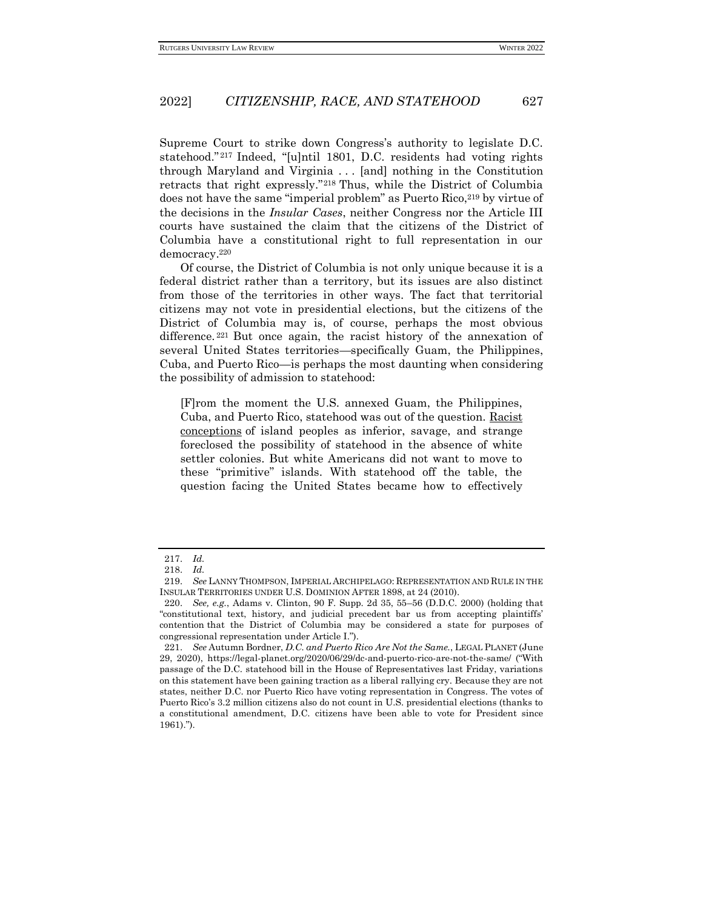Supreme Court to strike down Congress's authority to legislate D.C. statehood." <sup>217</sup> Indeed, "[u]ntil 1801, D.C. residents had voting rights through Maryland and Virginia . . . [and] nothing in the Constitution retracts that right expressly."<sup>218</sup> Thus, while the District of Columbia does not have the same "imperial problem" as Puerto Rico, <sup>219</sup> by virtue of the decisions in the *Insular Cases*, neither Congress nor the Article III courts have sustained the claim that the citizens of the District of Columbia have a constitutional right to full representation in our democracy.<sup>220</sup>

Of course, the District of Columbia is not only unique because it is a federal district rather than a territory, but its issues are also distinct from those of the territories in other ways. The fact that territorial citizens may not vote in presidential elections, but the citizens of the District of Columbia may is, of course, perhaps the most obvious difference.<sup>221</sup> But once again, the racist history of the annexation of several United States territories—specifically Guam, the Philippines, Cuba, and Puerto Rico—is perhaps the most daunting when considering the possibility of admission to statehood:

[F]rom the moment the U.S. annexed Guam, the Philippines, Cuba, and Puerto Rico, statehood was out of the question. [Racist](https://online.ucpress.edu/phr/article/71/4/535/66671/The-Imperial-Republic-A-Comparison-of-the-Insular) [conceptions](https://online.ucpress.edu/phr/article/71/4/535/66671/The-Imperial-Republic-A-Comparison-of-the-Insular) of island peoples as inferior, savage, and strange foreclosed the possibility of statehood in the absence of white settler colonies. But white Americans did not want to move to these "primitive" islands. With statehood off the table, the question facing the United States became how to effectively

<sup>217.</sup> *Id.*

<sup>218.</sup> *Id.*

<sup>219.</sup> *See* LANNY THOMPSON, IMPERIAL ARCHIPELAGO: REPRESENTATION AND RULE IN THE INSULAR TERRITORIES UNDER U.S. DOMINION AFTER 1898, at 24 (2010).

<sup>220.</sup> *See, e.g.*, Adams v. Clinton, 90 F. Supp. 2d 35, 55–56 (D.D.C. 2000) (holding that "constitutional text, history, and judicial precedent bar us from accepting plaintiffs' contention that the District of Columbia may be considered a state for purposes of congressional representation under Article I.").

<sup>221.</sup> *See* Autumn Bordner, *D.C. and Puerto Rico Are Not the Same.*, LEGAL PLANET (June 29, 2020), https://legal-planet.org/2020/06/29/dc-and-puerto-rico-are-not-the-same/ ("With passage of the D.C. statehood bill in the House of Representatives last Friday, variations on this statement have been gaining traction as a liberal rallying cry. Because they are not states, neither D.C. nor Puerto Rico have voting representation in Congress. The votes of Puerto Rico's 3.2 million citizens also do not count in U.S. presidential elections (thanks to a constitutional amendment, D.C. citizens have been able to vote for President since 1961).").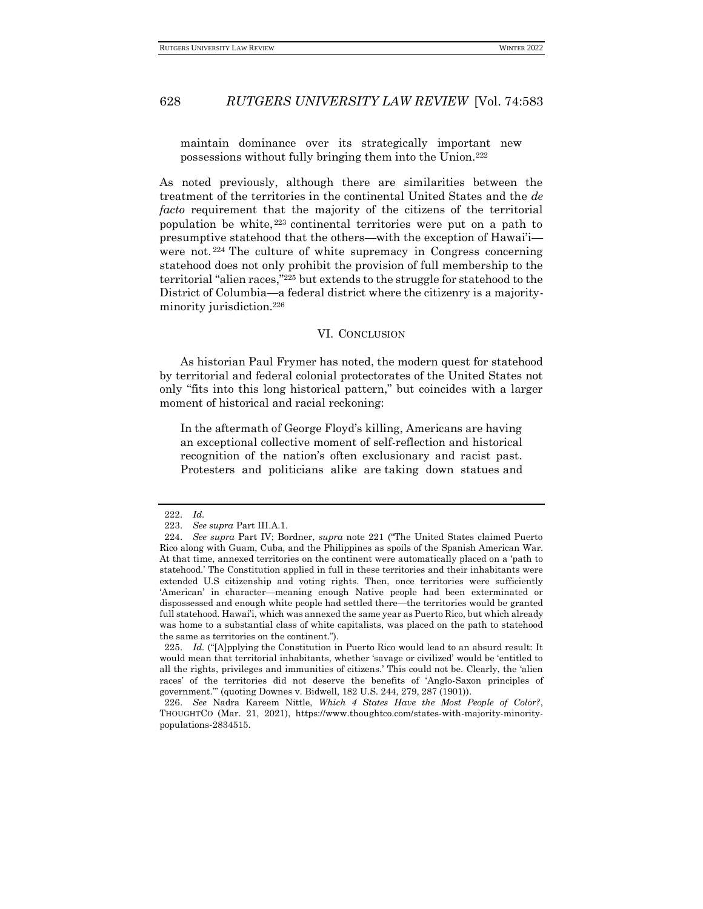maintain dominance over its strategically important new possessions without fully bringing them into the Union.<sup>222</sup>

As noted previously, although there are similarities between the treatment of the territories in the continental United States and the *de facto* requirement that the majority of the citizens of the territorial population be white, <sup>223</sup> continental territories were put on a path to presumptive statehood that the others—with the exception of Hawai'i were not. <sup>224</sup> The culture of white supremacy in Congress concerning statehood does not only prohibit the provision of full membership to the territorial "alien races,"<sup>225</sup> but extends to the struggle for statehood to the District of Columbia—a federal district where the citizenry is a majorityminority jurisdiction.<sup>226</sup>

## VI. CONCLUSION

<span id="page-45-0"></span>As historian Paul Frymer has noted, the modern quest for statehood by territorial and federal colonial protectorates of the United States not only "fits into this long historical pattern," but coincides with a larger moment of historical and racial reckoning:

In the aftermath of George Floyd's killing, Americans are having an exceptional collective moment of self-reflection and historical recognition of the nation's often exclusionary and racist past. Protesters and politicians alike are taking down statues and

<sup>222.</sup> *Id.*

<sup>223.</sup> *See supra* Part III.A.1.

<sup>224.</sup> *See supra* Part IV; Bordner, *supra* note 221 ("The United States claimed Puerto Rico along with Guam, Cuba, and the Philippines as spoils of the Spanish American War. At that time, annexed territories on the continent were automatically placed on a 'path to statehood.' The Constitution applied in full in these territories and their inhabitants were extended U.S citizenship and voting rights. Then, once territories were sufficiently 'American' in character—meaning enough Native people had been exterminated or dispossessed and enough white people had settled there—the territories would be granted full statehood. Hawai'i, which was annexed the same year as Puerto Rico, but which already was home to a substantial class of white capitalists, was placed on the path to statehood the same as territories on the continent.").

<sup>225.</sup> *Id.* ("[A]pplying the Constitution in Puerto Rico would lead to an absurd result: It would mean that territorial inhabitants, whether 'savage or civilized' would be 'entitled to all the rights, privileges and immunities of citizens.' This could not be. Clearly, the 'alien races' of the territories did not deserve the benefits of 'Anglo-Saxon principles of government.'" (quoting Downes v. Bidwell, 182 U.S. 244, 279, 287 (1901)).

<sup>226.</sup> *See* Nadra Kareem Nittle, *Which 4 States Have the Most People of Color?*, THOUGHTCO (Mar. 21, 2021), https://www.thoughtco.com/states-with-majority-minoritypopulations-2834515.